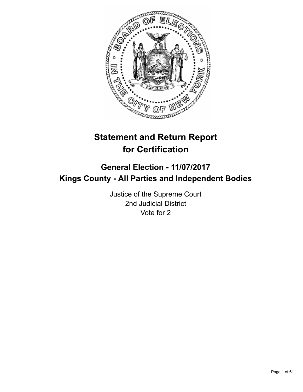

# **Statement and Return Report for Certification**

## **General Election - 11/07/2017 Kings County - All Parties and Independent Bodies**

Justice of the Supreme Court 2nd Judicial District Vote for 2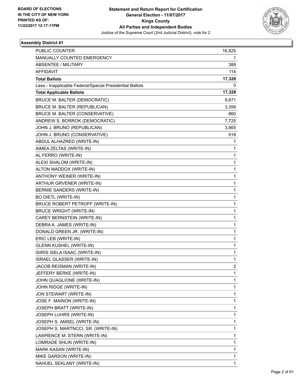

| <b>PUBLIC COUNTER</b>                                    | 16,825         |
|----------------------------------------------------------|----------------|
| MANUALLY COUNTED EMERGENCY                               | 1              |
| ABSENTEE / MILITARY                                      | 388            |
| <b>AFFIDAVIT</b>                                         | 114            |
| <b>Total Ballots</b>                                     | 17,328         |
| Less - Inapplicable Federal/Special Presidential Ballots | 0              |
| <b>Total Applicable Ballots</b>                          | 17,328         |
| <b>BRUCE M. BALTER (DEMOCRATIC)</b>                      | 9,671          |
| BRUCE M. BALTER (REPUBLICAN)                             | 3,356          |
| BRUCE M. BALTER (CONSERVATIVE)                           | 860            |
| ANDREW S. BORROK (DEMOCRATIC)                            | 7,725          |
| JOHN J. BRUNO (REPUBLICAN)                               | 3,865          |
| JOHN J. BRUNO (CONSERVATIVE)                             | 918            |
| ABDUL ALHAZRED (WRITE-IN)                                | 1              |
| AIMEA ZELTAS (WRITE-IN)                                  | 1              |
| AL FERRO (WRITE-IN)                                      | 1              |
| ALEXI SHALOM (WRITE-IN)                                  | 1              |
| ALTON MADDOX (WRITE-IN)                                  | 1              |
| ANTHONY WEINER (WRITE-IN)                                | 1              |
| ARTHUR GRVENER (WRITE-IN)                                | 1              |
| BERNIE SANDERS (WRITE-IN)                                | 1              |
| <b>BO DIETL (WRITE-IN)</b>                               | 1              |
| BRUCE ROBERT PETROFF (WRITE-IN)                          | 1              |
| <b>BRUCE WRIGHT (WRITE-IN)</b>                           | 1              |
| CAREY BERNSTEIN (WRITE-IN)                               | 1              |
| DEBRA A. JAMES (WRITE-IN)                                | 1              |
| DONALD GREEN JR. (WRITE-IN)                              | 1              |
| ERIC LEB (WRITE-IN)                                      | 1              |
| <b>GLENN KUSHEL (WRITE-IN)</b>                           | 1              |
| ISIRIS ISELA ISAAC (WRITE-IN)                            | 1              |
| ISRAEL GLASSER (WRITE-IN)                                | 1              |
| JACOB REISMAN (WRITE-IN)                                 | $\overline{2}$ |
| JEFFERY BERKE (WRITE-IN)                                 | 1              |
| JOHN QUAGLIONE (WRITE-IN)                                | 1              |
| JOHN RIDGE (WRITE-IN)                                    | 1              |
| JON STEWART (WRITE-IN)                                   | 1              |
| JOSE F. MAINON (WRITE-IN)                                | 1              |
| JOSEPH BRATT (WRITE-IN)                                  | 1              |
| JOSEPH LUHRS (WRITE-IN)                                  | 1              |
| JOSEPH S. AMSEL (WRITE-IN)                               | 1              |
| JOSEPH S. MARTNCCI, SR. (WRITE-IN)                       | 1              |
| LAWRENCE M. STERN (WRITE-IN)                             | 1              |
| LOMRADE SHLIN (WRITE-IN)                                 | 1              |
| MARK KASAN (WRITE-IN)                                    | 1              |
| MIKE GARSON (WRITE-IN)                                   | 1              |
| NAHUEL SEKLANY (WRITE-IN)                                | 1              |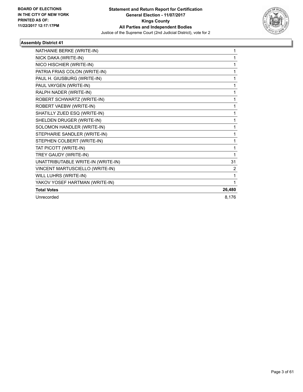

| NATHANIE BERKE (WRITE-IN)          | 1              |
|------------------------------------|----------------|
| NICK DAKA (WRITE-IN)               |                |
| NICO HISCHIER (WRITE-IN)           | 1              |
| PATRIA FRIAS COLON (WRITE-IN)      | 1              |
| PAUL H. GIUSBURG (WRITE-IN)        | 1              |
| PAUL VAYGEN (WRITE-IN)             | 1              |
| RALPH NADER (WRITE-IN)             | 1              |
| ROBERT SCHWARTZ (WRITE-IN)         | 1              |
| ROBERT VAEBW (WRITE-IN)            | 1              |
| SHATILLY ZUED ESQ (WRITE-IN)       | 1              |
| SHELDEN DRUGER (WRITE-IN)          | 1              |
| SOLOMON HANDLER (WRITE-IN)         | 1              |
| STEPHARIE SANDLER (WRITE-IN)       | 1              |
| STEPHEN COLBERT (WRITE-IN)         | 1              |
| TAT PICOTT (WRITE-IN)              | 1              |
| TREY GAUDY (WRITE-IN)              | 1              |
| UNATTRIBUTABLE WRITE-IN (WRITE-IN) | 31             |
| VINCENT MARTUSCIELLO (WRITE-IN)    | $\overline{2}$ |
| WILL LUHRS (WRITE-IN)              | 1              |
| YAKOV YOSEF HARTMAN (WRITE-IN)     | 1              |
| <b>Total Votes</b>                 | 26,480         |
| Unrecorded                         | 8,176          |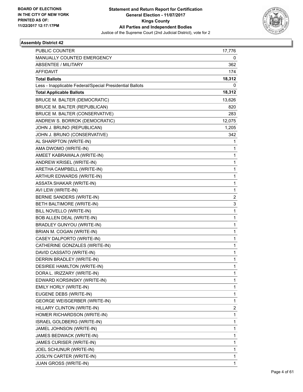

| <b>PUBLIC COUNTER</b>                                    | 17,776 |
|----------------------------------------------------------|--------|
| MANUALLY COUNTED EMERGENCY                               | 0      |
| ABSENTEE / MILITARY                                      | 362    |
| <b>AFFIDAVIT</b>                                         | 174    |
| <b>Total Ballots</b>                                     | 18,312 |
| Less - Inapplicable Federal/Special Presidential Ballots | 0      |
| <b>Total Applicable Ballots</b>                          | 18,312 |
| BRUCE M. BALTER (DEMOCRATIC)                             | 13,626 |
| <b>BRUCE M. BALTER (REPUBLICAN)</b>                      | 820    |
| BRUCE M. BALTER (CONSERVATIVE)                           | 283    |
| ANDREW S. BORROK (DEMOCRATIC)                            | 12,075 |
| JOHN J. BRUNO (REPUBLICAN)                               | 1,205  |
| JOHN J. BRUNO (CONSERVATIVE)                             | 342    |
| AL SHARPTON (WRITE-IN)                                   | 1      |
| AMA DWOMO (WRITE-IN)                                     | 1      |
| AMEET KABRAWALA (WRITE-IN)                               | 1      |
| ANDREW KRISEL (WRITE-IN)                                 | 1      |
| ARETHA CAMPBELL (WRITE-IN)                               | 1      |
| ARTHUR EDWARDS (WRITE-IN)                                | 1      |
| <b>ASSATA SHAKAR (WRITE-IN)</b>                          | 1      |
| AVI LEW (WRITE-IN)                                       | 1      |
| BERNIE SANDERS (WRITE-IN)                                | 2      |
| BETH BALTIMORE (WRITE-IN)                                | 3      |
| BILL NOVELLO (WRITE-IN)                                  | 1      |
| BOB ALLEN DEAL (WRITE-IN)                                | 1      |
| <b>BRADLEY GUNYOU (WRITE-IN)</b>                         | 1      |
| BRIAN M. COGAN (WRITE-IN)                                | 1      |
| CASEY DALPORTO (WRITE-IN)                                | 1      |
| CATHERINE GONZALES (WRITE-IN)                            | 1      |
| DAVID CASSATO (WRITE-IN)                                 | 1      |
| DERRIN BRADLEY (WRITE-IN)                                | 1      |
| DESIREE HAMILTON (WRITE-IN)                              | 1      |
| DORA L. IRIZZARY (WRITE-IN)                              | 1      |
| EDWARD KORSINSKY (WRITE-IN)                              | 1      |
| EMILY HORLY (WRITE-IN)                                   | 1      |
| EUGENE DEBS (WRITE-IN)                                   | 1      |
| <b>GEORGE WEISGERBER (WRITE-IN)</b>                      | 1      |
| HILLARY CLINTON (WRITE-IN)                               | 2      |
| HOMER RICHARDSON (WRITE-IN)                              | 1      |
| ISRAEL GOLDBERG (WRITE-IN)                               | 1      |
| JAMEL JOHNSON (WRITE-IN)                                 | 1      |
| JAMES BEDWACK (WRITE-IN)                                 | 1      |
| JAMES CURISER (WRITE-IN)                                 | 1      |
| JOEL SCHUNUR (WRITE-IN)                                  | 1      |
| JOSLYN CARTER (WRITE-IN)                                 | 1      |
| JUAN GROSS (WRITE-IN)                                    | 1      |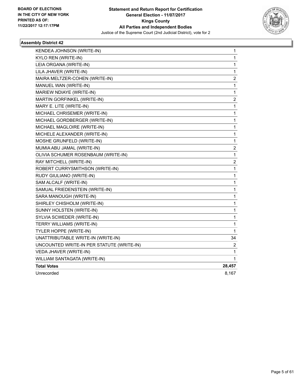

| KENDEA JOHNSON (WRITE-IN)                 | 1                       |
|-------------------------------------------|-------------------------|
| KYLO REN (WRITE-IN)                       | 1                       |
| LEIA ORGANA (WRITE-IN)                    | 1                       |
| LILA JHAVER (WRITE-IN)                    | 1                       |
| MAIRA MELTZER-COHEN (WRITE-IN)            | 2                       |
| MANUEL WAN (WRITE-IN)                     | 1                       |
| MARIEW NDIAYE (WRITE-IN)                  | 1                       |
| <b>MARTIN GORFINKEL (WRITE-IN)</b>        | 2                       |
| MARY E. LITE (WRITE-IN)                   | 1                       |
| MICHAEL CHRISEMER (WRITE-IN)              | $\mathbf 1$             |
| MICHAEL GORDBERGER (WRITE-IN)             | $\mathbf 1$             |
| MICHAEL MAGLOIRE (WRITE-IN)               | 1                       |
| MICHELE ALEXANDER (WRITE-IN)              | 1                       |
| MOSHE GRUNFELD (WRITE-IN)                 | $\mathbf 1$             |
| MUMIA ABU JAMAL (WRITE-IN)                | $\overline{\mathbf{c}}$ |
| OLIVIA SCHUMER ROSENBAUM (WRITE-IN)       | $\mathbf{1}$            |
| RAY MITCHELL (WRITE-IN)                   | $\overline{\mathbf{c}}$ |
| ROBERT CURRYSMITHSON (WRITE-IN)           | 1                       |
| RUDY GIULIANO (WRITE-IN)                  | $\mathbf 1$             |
| SAM ALCALF (WRITE-IN)                     | $\mathbf{1}$            |
| SAMUAL FRIEDENSTEIN (WRITE-IN)            | 1                       |
| SARA MANOUGH (WRITE-IN)                   | 1                       |
| SHIRLEY CHISHOLM (WRITE-IN)               | 1                       |
| SUNNY HOLSTEN (WRITE-IN)                  | 1                       |
| SYLVIA SCWEDER (WRITE-IN)                 | 1                       |
| TERRY WILLIAMS (WRITE-IN)                 | 1                       |
| TYLER HOPPE (WRITE-IN)                    | 1                       |
| UNATTRIBUTABLE WRITE-IN (WRITE-IN)        | 34                      |
| UNCOUNTED WRITE-IN PER STATUTE (WRITE-IN) | 2                       |
| VEDA JHAVER (WRITE-IN)                    | 1                       |
| WILLIAM SANTAGATA (WRITE-IN)              | 1                       |
| <b>Total Votes</b>                        | 28,457                  |
| Unrecorded                                | 8,167                   |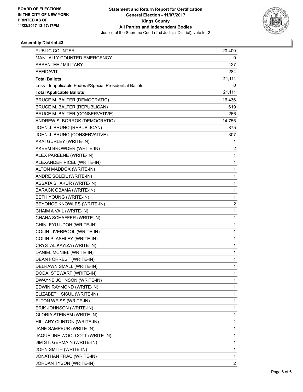

| <b>PUBLIC COUNTER</b>                                    | 20,400         |
|----------------------------------------------------------|----------------|
| MANUALLY COUNTED EMERGENCY                               | 0              |
| <b>ABSENTEE / MILITARY</b>                               | 427            |
| <b>AFFIDAVIT</b>                                         | 284            |
| <b>Total Ballots</b>                                     | 21,111         |
| Less - Inapplicable Federal/Special Presidential Ballots | 0              |
| <b>Total Applicable Ballots</b>                          | 21,111         |
| <b>BRUCE M. BALTER (DEMOCRATIC)</b>                      | 16,436         |
| BRUCE M. BALTER (REPUBLICAN)                             | 619            |
| BRUCE M. BALTER (CONSERVATIVE)                           | 266            |
| ANDREW S. BORROK (DEMOCRATIC)                            | 14,755         |
| JOHN J. BRUNO (REPUBLICAN)                               | 875            |
| JOHN J. BRUNO (CONSERVATIVE)                             | 307            |
| AKAI GURLEY (WRITE-IN)                                   | 1              |
| AKEEM BROWDER (WRITE-IN)                                 | 2              |
| ALEX PAREENE (WRITE-IN)                                  | $\mathbf 1$    |
| ALEXANDER PICEL (WRITE-IN)                               | 1              |
| ALTON MADDOX (WRITE-IN)                                  | 1              |
| ANDRE SOLEIL (WRITE-IN)                                  | 1              |
| ASSATA SHAKUR (WRITE-IN)                                 | 1              |
| BARACK OBAMA (WRITE-IN)                                  | 1              |
| BETH YOUNG (WRITE-IN)                                    | 1              |
| BEYONCE KNOWLES (WRITE-IN)                               | 2              |
| CHAIM A VAIL (WRITE-IN)                                  | 1              |
| CHANA SCHAFFER (WRITE-IN)                                | 1              |
| CHINLEYU UDOH (WRITE-IN)                                 | $\mathbf{1}$   |
| COLIN LIVERPOOL (WRITE-IN)                               | 1              |
| COLIN P. ASHLEY (WRITE-IN)                               | 1              |
| CRYSTAL KAYIZA (WRITE-IN)                                | $\mathbf{1}$   |
| DANIEL MCNIEL (WRITE-IN)                                 | 1              |
| DEAN FORREST (WRITE-IN)                                  | $\mathbf 1$    |
| DELRAWN SMALL (WRITE-IN)                                 | 1              |
| DODAI STEWART (WRITE-IN)                                 | 1              |
| DWAYNE JOHNSON (WRITE-IN)                                | 1              |
| EDWIN RAYMOND (WRITE-IN)                                 | 1              |
| ELIZABETH SISUL (WRITE-IN)                               | 1              |
| ELTON WEISS (WRITE-IN)                                   | 1              |
| ERIK JOHNSON (WRITE-IN)                                  | 1              |
| <b>GLORIA STEINEM (WRITE-IN)</b>                         | 1              |
| HILLARY CLINTON (WRITE-IN)                               | 1              |
| JANE SAMPEUR (WRITE-IN)                                  | 1              |
| JAQUELINE WOOLCOTT (WRITE-IN)                            | 1              |
| JIM ST. GERMAIN (WRITE-IN)                               | 1              |
| JOHN SMITH (WRITE-IN)                                    | 1              |
| JONATHAN FRAC (WRITE-IN)                                 | 1              |
| JORDAN TYSON (WRITE-IN)                                  | $\overline{2}$ |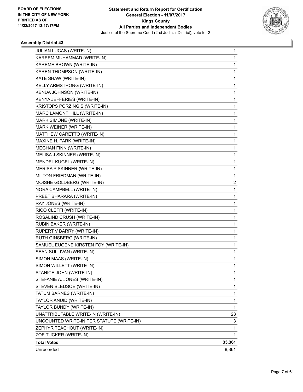

| <b>JULIAN LUCAS (WRITE-IN)</b>            | 1            |
|-------------------------------------------|--------------|
| KAREEM MUHAMMAD (WRITE-IN)                | 1            |
| KAREME BROWN (WRITE-IN)                   | 1            |
| KAREN THOMPSON (WRITE-IN)                 | $\mathbf{1}$ |
| KATE SHAW (WRITE-IN)                      | 1            |
| KELLY ARMSTRONG (WRITE-IN)                | 1            |
| KENDA JOHNSON (WRITE-IN)                  | $\mathbf{1}$ |
| KENYA JEFFERIES (WRITE-IN)                | 1            |
| KRISTOPS PORZINGIS (WRITE-IN)             | 1            |
| MARC LAMONT HILL (WRITE-IN)               | $\mathbf{1}$ |
| MARK SIMONE (WRITE-IN)                    | 1            |
| MARK WEINER (WRITE-IN)                    | 1            |
| MATTHEW CARETTO (WRITE-IN)                | $\mathbf{1}$ |
| MAXINE H. PARK (WRITE-IN)                 | 1            |
| MEGHAN FINN (WRITE-IN)                    | 1            |
| MELISA J SKINNER (WRITE-IN)               | $\mathbf{1}$ |
| MENDEL KUGEL (WRITE-IN)                   | 1            |
| MERISA P SKINNER (WRITE-IN)               | 1            |
| MILTON FRIEDMAN (WRITE-IN)                | $\mathbf{1}$ |
| MOISHE GOLDBERG (WRITE-IN)                | 2            |
| NORA CAMPBELL (WRITE-IN)                  | 1            |
| PREET BHARARA (WRITE-IN)                  | $\mathbf{1}$ |
| RAY JONES (WRITE-IN)                      | 1            |
| RICO CLEFFI (WRITE-IN)                    | 1            |
| ROSALIND CRUSH (WRITE-IN)                 | $\mathbf{1}$ |
| RUBIN BAKER (WRITE-IN)                    | 1            |
| RUPERT V BARRY (WRITE-IN)                 | 1            |
| RUTH GINSBERG (WRITE-IN)                  | $\mathbf{1}$ |
| SAMUEL EUGENE KIRSTEN FOY (WRITE-IN)      | 1            |
| SEAN SULLIVAN (WRITE-IN)                  | 1            |
| SIMON MAAS (WRITE-IN)                     | $\mathbf{1}$ |
| SIMON WILLETT (WRITE-IN)                  | 1            |
| STANICE JOHN (WRITE-IN)                   | 1            |
| STEFANIE A. JONES (WRITE-IN)              | $\mathbf{1}$ |
| STEVEN BLEDSOE (WRITE-IN)                 | 1            |
| TATUM BARNES (WRITE-IN)                   | 1            |
| TAYLOR ANUID (WRITE-IN)                   | $\mathbf{1}$ |
| TAYLOR BUNDY (WRITE-IN)                   | 1            |
| UNATTRIBUTABLE WRITE-IN (WRITE-IN)        | 23           |
| UNCOUNTED WRITE-IN PER STATUTE (WRITE-IN) | 3            |
| ZEPHYR TEACHOUT (WRITE-IN)                | $\mathbf{1}$ |
| ZOE TUCKER (WRITE-IN)                     | 1            |
| <b>Total Votes</b>                        | 33,361       |
| Unrecorded                                | 8,861        |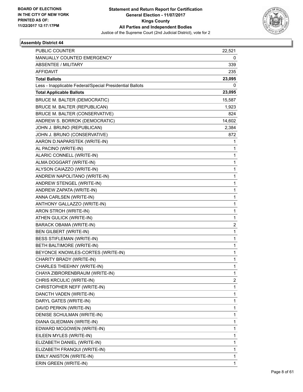

| <b>PUBLIC COUNTER</b>                                    | 22,521         |
|----------------------------------------------------------|----------------|
| MANUALLY COUNTED EMERGENCY                               | 0              |
| <b>ABSENTEE / MILITARY</b>                               | 339            |
| <b>AFFIDAVIT</b>                                         | 235            |
| <b>Total Ballots</b>                                     | 23,095         |
| Less - Inapplicable Federal/Special Presidential Ballots | 0              |
| <b>Total Applicable Ballots</b>                          | 23,095         |
| BRUCE M. BALTER (DEMOCRATIC)                             | 15,587         |
| <b>BRUCE M. BALTER (REPUBLICAN)</b>                      | 1,923          |
| BRUCE M. BALTER (CONSERVATIVE)                           | 824            |
| ANDREW S. BORROK (DEMOCRATIC)                            | 14,602         |
| JOHN J. BRUNO (REPUBLICAN)                               | 2,384          |
| JOHN J. BRUNO (CONSERVATIVE)                             | 872            |
| AARON D.NAPARSTEK (WRITE-IN)                             | 1              |
| AL PACINO (WRITE-IN)                                     | 1              |
| ALARIC CONNELL (WRITE-IN)                                | 1              |
| ALMA DOGGART (WRITE-IN)                                  | 1              |
| ALYSON CAIAZZO (WRITE-IN)                                | 1              |
| ANDREW NAPOLITANO (WRITE-IN)                             | 1              |
| ANDREW STENGEL (WRITE-IN)                                | 1              |
| ANDREW ZAPATA (WRITE-IN)                                 | 1              |
| ANNA CARLSEN (WRITE-IN)                                  | 1              |
| ANTHONY GALLAZZO (WRITE-IN)                              | 1              |
| ARON STROH (WRITE-IN)                                    | 1              |
| ATHEN GULICK (WRITE-IN)                                  | 1              |
| BARACK OBAMA (WRITE-IN)                                  | $\overline{2}$ |
| <b>BEN GILBERT (WRITE-IN)</b>                            | 1              |
| BESS STIFLEMAN (WRITE-IN)                                | 1              |
| BETH BALTIMORE (WRITE-IN)                                | 1              |
| BEYONCE KNOWLES-CORTES (WRITE-IN)                        | 1              |
| CHARITY BRADY (WRITE-IN)                                 | 1              |
| CHARLES THEEHNY (WRITE-IN)                               | 1              |
| CHAYA ZIBRORENBRAUM (WRITE-IN)                           | 1              |
| CHRIS KRCULIC (WRITE-IN)                                 | 2              |
| CHRISTOPHER NEFF (WRITE-IN)                              | 1              |
| DANCTH VADEN (WRITE-IN)                                  | 1              |
| DARYL GATES (WRITE-IN)                                   | 1              |
| DAVID PERKIN (WRITE-IN)                                  | 1              |
| DENISE SCHULMAN (WRITE-IN)                               | 1              |
| DIANA GLIEDMAN (WRITE-IN)                                | 1              |
| EDWARD MCGOWEN (WRITE-IN)                                | 1              |
| EILEEN MYLES (WRITE-IN)                                  | 1              |
| ELIZABETH DANIEL (WRITE-IN)                              | 1              |
| ELIZABETH FRANQUI (WRITE-IN)                             | 1              |
| EMILY ANISTON (WRITE-IN)                                 | 1              |
| ERIN GREEN (WRITE-IN)                                    | 1              |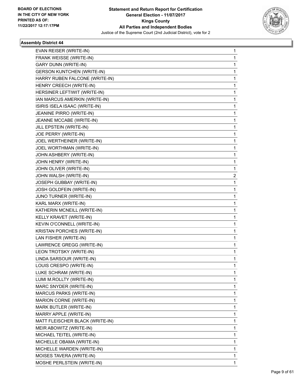

| EVAN REISER (WRITE-IN)            | 1 |
|-----------------------------------|---|
| FRANK WEISSE (WRITE-IN)           | 1 |
| GARY DUNN (WRITE-IN)              | 1 |
| <b>GERSON KUNTCHEN (WRITE-IN)</b> | 1 |
| HARRY RUBEN FALCONE (WRITE-IN)    | 1 |
| HENRY CREECH (WRITE-IN)           | 1 |
| HERSINER LEFTIWIT (WRITE-IN)      | 1 |
| IAN MARCUS AMERKIN (WRITE-IN)     | 1 |
| ISIRIS ISELA ISAAC (WRITE-IN)     | 1 |
| JEANINE PIRRO (WRITE-IN)          | 1 |
| JEANNE MCCABE (WRITE-IN)          | 1 |
| JILL EPSTEIN (WRITE-IN)           | 1 |
| JOE PERRY (WRITE-IN)              | 1 |
| JOEL WERTHEINER (WRITE-IN)        | 1 |
| JOEL WORTHMAN (WRITE-IN)          | 1 |
| JOHN ASHBERY (WRITE-IN)           | 1 |
| JOHN HENRY (WRITE-IN)             | 1 |
| JOHN OLIVER (WRITE-IN)            | 1 |
| JOHN WALSH (WRITE-IN)             | 2 |
| JOSEPH GUBBAY (WRITE-IN)          | 1 |
| JOSH GOLDFEIN (WRITE-IN)          | 1 |
| JUNO TURNER (WRITE-IN)            | 1 |
| KARL MARX (WRITE-IN)              | 1 |
| KATHERIN MCNEILL (WRITE-IN)       | 1 |
| KELLY KRAVET (WRITE-IN)           | 1 |
| KEVIN O'CONNELL (WRITE-IN)        | 1 |
| KRISTAN PORCHES (WRITE-IN)        | 1 |
| LAN FISHER (WRITE-IN)             | 1 |
| LAWRENCE GREGG (WRITE-IN)         | 1 |
| LEON TROTSKY (WRITE-IN)           | 1 |
| LINDA SARSOUR (WRITE-IN)          | 1 |
| LOUIS CRESPO (WRITE-IN)           | 1 |
| LUKE SCHRAM (WRITE-IN)            | 1 |
| LUMI M.ROLLTY (WRITE-IN)          | 1 |
| MARC SNYDER (WRITE-IN)            | 1 |
| MARCUS PARKS (WRITE-IN)           | 1 |
| MARION CORNE (WRITE-IN)           | 1 |
| MARK BUTLER (WRITE-IN)            | 1 |
| MARRY APPLE (WRITE-IN)            | 1 |
| MATT FLEISCHER BLACK (WRITE-IN)   | 1 |
| MEIR ABOWITZ (WRITE-IN)           | 1 |
| MICHAEL TEITEL (WRITE-IN)         | 1 |
| MICHELLE OBAMA (WRITE-IN)         | 1 |
| MICHELLE WARDEN (WRITE-IN)        | 1 |
| MOISES TAVERA (WRITE-IN)          | 1 |
| MOSHE PERLSTEIN (WRITE-IN)        | 1 |
|                                   |   |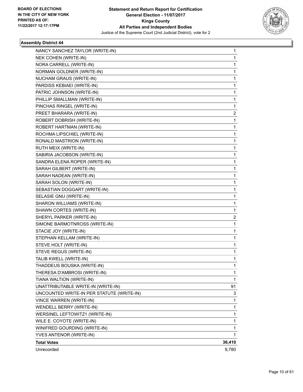

| NANCY SANCHEZ TAYLOR (WRITE-IN)           | 1            |
|-------------------------------------------|--------------|
| NEK COHEN (WRITE-IN)                      | 1            |
| NORA CARRELL (WRITE-IN)                   | 1            |
| NORMAN GOLDNER (WRITE-IN)                 | 1            |
| NUCHAM GRAUS (WRITE-IN)                   | 1            |
| PARDISS KEBIAEI (WRITE-IN)                | 1            |
| PATRIC JOHNSON (WRITE-IN)                 | 1            |
| PHILLIP SMALLMAN (WRITE-IN)               | $\mathbf{1}$ |
| PINCHAS RINGEL (WRITE-IN)                 | 1            |
| PREET BHARARA (WRITE-IN)                  | 2            |
| ROBERT DOBRISH (WRITE-IN)                 | 1            |
| ROBERT HARTMAN (WRITE-IN)                 | 1            |
| ROCHMA LIPSCHIEL (WRITE-IN)               | 1            |
| RONALD MASTRION (WRITE-IN)                | $\mathbf{1}$ |
| RUTH MEIX (WRITE-IN)                      | 1            |
| SABIRIA JACOBSON (WRITE-IN)               | 1            |
| SANDRA ELENA ROPER (WRITE-IN)             | 1            |
| SARAH GILBERT (WRITE-IN)                  | 1            |
| SARAH NADEAN (WRITE-IN)                   | 1            |
| SARAH SOLON (WRITE-IN)                    | $\mathbf{1}$ |
| SEBASTIAN DOGGART (WRITE-IN)              | 1            |
| SELASIE GNU (WRITE-IN)                    | 1            |
| SHARON WILLIAMS (WRITE-IN)                | 1            |
| SHAWN CORTES (WRITE-IN)                   | 1            |
| SHERYL PARKER (WRITE-IN)                  | 2            |
| SIMONE BARMOTNROSS (WRITE-IN)             | 1            |
| STACIE JOY (WRITE-IN)                     | 1            |
| STEPHAN KELLAM (WRITE-IN)                 | 1            |
| STEVE HOLT (WRITE-IN)                     | 1            |
| STEVE REGUS (WRITE-IN)                    | 1            |
| TALIB KWELL (WRITE-IN)                    | 1            |
| THADDEUS BOUSKA (WRITE-IN)                | 1            |
| THERESA D'AMBROSI (WRITE-IN)              | 1            |
| TIANA WALTION (WRITE-IN)                  | 1            |
| UNATTRIBUTABLE WRITE-IN (WRITE-IN)        | 91           |
| UNCOUNTED WRITE-IN PER STATUTE (WRITE-IN) | 3            |
| VINCE WARREN (WRITE-IN)                   | 1            |
| WENDELL BERRY (WRITE-IN)                  | $\mathbf 1$  |
| WERSINEL LEFTOWITZ1 (WRITE-IN)            | 1            |
| WILE E. COYOTE (WRITE-IN)                 | 1            |
| WINIFRED GOURDING (WRITE-IN)              | 1            |
| YVES ANTENOR (WRITE-IN)                   | $\mathbf{1}$ |
| <b>Total Votes</b>                        | 36,410       |
| Unrecorded                                | 9,780        |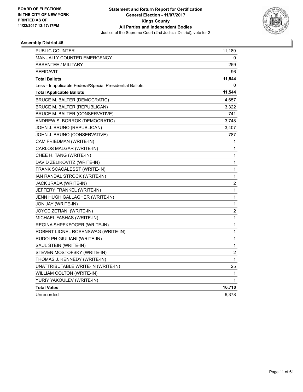

| <b>PUBLIC COUNTER</b>                                    | 11,189                  |
|----------------------------------------------------------|-------------------------|
| <b>MANUALLY COUNTED EMERGENCY</b>                        | 0                       |
| <b>ABSENTEE / MILITARY</b>                               | 259                     |
| <b>AFFIDAVIT</b>                                         | 96                      |
| <b>Total Ballots</b>                                     | 11,544                  |
| Less - Inapplicable Federal/Special Presidential Ballots | 0                       |
| <b>Total Applicable Ballots</b>                          | 11,544                  |
| BRUCE M. BALTER (DEMOCRATIC)                             | 4,657                   |
| BRUCE M. BALTER (REPUBLICAN)                             | 3,322                   |
| BRUCE M. BALTER (CONSERVATIVE)                           | 741                     |
| ANDREW S. BORROK (DEMOCRATIC)                            | 3,748                   |
| JOHN J. BRUNO (REPUBLICAN)                               | 3,407                   |
| JOHN J. BRUNO (CONSERVATIVE)                             | 787                     |
| CAM FRIEDMAN (WRITE-IN)                                  | 1                       |
| CARLOS MALGAR (WRITE-IN)                                 | 1                       |
| CHEE H. TANG (WRITE-IN)                                  | 1                       |
| DAVID ZELIKOVITZ (WRITE-IN)                              | 1                       |
| FRANK SCACALESST (WRITE-IN)                              | 1                       |
| IAN RANDAL STROCK (WRITE-IN)                             | 1                       |
| JACK JRADA (WRITE-IN)                                    | 2                       |
| JEFFERY FRANKEL (WRITE-IN)                               | 1                       |
| JENN HUGH GALLAGHER (WRITE-IN)                           | 1                       |
| JON JAY (WRITE-IN)                                       | 1                       |
| JOYCE ZETIANI (WRITE-IN)                                 | $\boldsymbol{2}$        |
| MICHAEL FASHAS (WRITE-IN)                                | 1                       |
| REGINA SHPEKFOGER (WRITE-IN)                             | 1                       |
| ROBERT LIONEL ROSENSWAG (WRITE-IN)                       | 1                       |
| RUDOLPH GIULIANI (WRITE-IN)                              | 1                       |
| SAUL STEIN (WRITE-IN)                                    | 1                       |
| STEVEN MOSTOFSKY (WRITE-IN)                              | $\overline{\mathbf{c}}$ |
| THOMAS J. KENNEDY (WRITE-IN)                             | 1                       |
| UNATTRIBUTABLE WRITE-IN (WRITE-IN)                       | 25                      |
| WILLIAM COLTON (WRITE-IN)                                | 1                       |
| YURIY YAKOULEV (WRITE-IN)                                | 1                       |
| <b>Total Votes</b>                                       | 16,710                  |
| Unrecorded                                               | 6,378                   |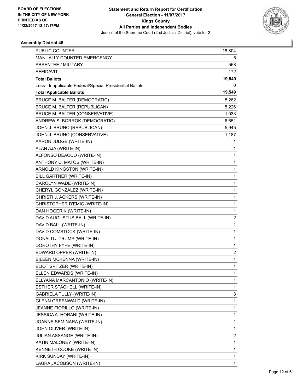

| <b>PUBLIC COUNTER</b>                                    | 18,804                  |
|----------------------------------------------------------|-------------------------|
| MANUALLY COUNTED EMERGENCY                               | 5                       |
| <b>ABSENTEE / MILITARY</b>                               | 568                     |
| <b>AFFIDAVIT</b>                                         | 172                     |
| <b>Total Ballots</b>                                     | 19,549                  |
| Less - Inapplicable Federal/Special Presidential Ballots | 0                       |
| <b>Total Applicable Ballots</b>                          | 19,549                  |
| BRUCE M. BALTER (DEMOCRATIC)                             | 8,262                   |
| BRUCE M. BALTER (REPUBLICAN)                             | 5,226                   |
| BRUCE M. BALTER (CONSERVATIVE)                           | 1,033                   |
| ANDREW S. BORROK (DEMOCRATIC)                            | 6,651                   |
| JOHN J. BRUNO (REPUBLICAN)                               | 5,945                   |
| JOHN J. BRUNO (CONSERVATIVE)                             | 1,187                   |
| AARON JUDGE (WRITE-IN)                                   | 1                       |
| ALAN AJA (WRITE-IN)                                      | 1                       |
| ALFONSO DEACCO (WRITE-IN)                                | 1                       |
| ANTHONY C. MATOS (WRITE-IN)                              | 1                       |
| ARNOLD KINGSTON (WRITE-IN)                               | 1                       |
| BILL GARTNER (WRITE-IN)                                  | 1                       |
| CAROLYN WADE (WRITE-IN)                                  | 1                       |
| CHERYL GONZALEZ (WRITE-IN)                               | 1                       |
| CHRISTI J. ACKERS (WRITE-IN)                             | 1                       |
| CHRISTOPHER D'EMIC (WRITE-IN)                            | $\mathbf{1}$            |
| DAN HOGERIK (WRITE-IN)                                   | 1                       |
| DAVID AUGUSTUS BALL (WRITE-IN)                           | $\overline{\mathbf{c}}$ |
| DAVID BALL (WRITE-IN)                                    | 1                       |
| DAVID COMSTOCK (WRITE-IN)                                | 1                       |
| DONALD J TRUMP (WRITE-IN)                                | 1                       |
| DOROTHY FYFE (WRITE-IN)                                  | $\mathbf{1}$            |
| EDWARD OPPER (WRITE-IN)                                  | 2                       |
| EILEEN MCKENNA (WRITE-IN)                                | 1                       |
| ELIOT SPITZER (WRITE-IN)                                 | 1                       |
| ELLEN EDWARDS (WRITE-IN)                                 | 1                       |
| ELLYANA MARCANTONIO (WRITE-IN)                           | 1                       |
| ESTHER STACHELL (WRITE-IN)                               | 1                       |
| GABRIELA TULLY (WRITE-IN)                                | 3                       |
| <b>GLENN GREENWALD (WRITE-IN)</b>                        | 1                       |
| JEANNE FIORILLO (WRITE-IN)                               | 1                       |
| JESSICA A. HORANI (WRITE-IN)                             | 1                       |
| JOANNE SEMINARA (WRITE-IN)                               | 1                       |
| JOHN OLIVER (WRITE-IN)                                   | 1                       |
| JULIAN ASSANGE (WRITE-IN)                                | 2                       |
| KATIN MALONEY (WRITE-IN)                                 | 1                       |
| KENNETH COOKE (WRITE-IN)                                 | 1                       |
| KIRK SUNDAY (WRITE-IN)                                   | 1                       |
| LAURA JACOBSON (WRITE-IN)                                | 1                       |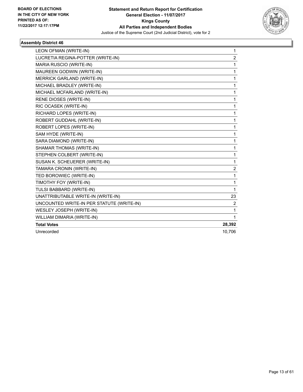

| LEON OFMAN (WRITE-IN)                     | 1              |
|-------------------------------------------|----------------|
| LUCRETIA REGINA-POTTER (WRITE-IN)         | $\overline{c}$ |
| MARIA RUSCIO (WRITE-IN)                   | 1              |
| MAUREEN GODWIN (WRITE-IN)                 | 1              |
| <b>MERRICK GARLAND (WRITE-IN)</b>         | 1              |
| MICHAEL BRADLEY (WRITE-IN)                | 1              |
| MICHAEL MCFARLAND (WRITE-IN)              | 1              |
| RENE DIOSES (WRITE-IN)                    | 1              |
| RIC OCASEK (WRITE-IN)                     | 1              |
| RICHARD LOPES (WRITE-IN)                  | 1              |
| ROBERT GUDDAHL (WRITE-IN)                 | 1              |
| ROBERT LOPES (WRITE-IN)                   | 1              |
| SAM HYDE (WRITE-IN)                       | 1              |
| SARA DIAMOND (WRITE-IN)                   | 1              |
| SHAMAR THOMAS (WRITE-IN)                  | 1              |
| STEPHEN COLBERT (WRITE-IN)                | 1              |
| SUSAN K. SCHEUERER (WRITE-IN)             | 1              |
| TAMARA CRONIN (WRITE-IN)                  | 2              |
| TED BOROWIEC (WRITE-IN)                   | 1              |
| TIMOTHY FOY (WRITE-IN)                    | 1              |
| TULSI BABBARD (WRITE-IN)                  | 1              |
| UNATTRIBUTABLE WRITE-IN (WRITE-IN)        | 23             |
| UNCOUNTED WRITE-IN PER STATUTE (WRITE-IN) | 2              |
| WESLEY JOSEPH (WRITE-IN)                  | 1              |
| WILLIAM DIMARIA (WRITE-IN)                | 1              |
| <b>Total Votes</b>                        | 28,392         |
| Unrecorded                                | 10.706         |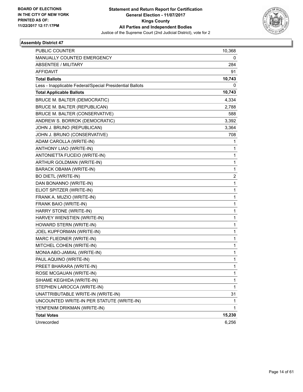

| <b>PUBLIC COUNTER</b>                                    | 10,368                  |
|----------------------------------------------------------|-------------------------|
| MANUALLY COUNTED EMERGENCY                               | 0                       |
| <b>ABSENTEE / MILITARY</b>                               | 284                     |
| <b>AFFIDAVIT</b>                                         | 91                      |
| <b>Total Ballots</b>                                     | 10,743                  |
| Less - Inapplicable Federal/Special Presidential Ballots | 0                       |
| <b>Total Applicable Ballots</b>                          | 10,743                  |
| <b>BRUCE M. BALTER (DEMOCRATIC)</b>                      | 4,334                   |
| BRUCE M. BALTER (REPUBLICAN)                             | 2,788                   |
| BRUCE M. BALTER (CONSERVATIVE)                           | 588                     |
| ANDREW S. BORROK (DEMOCRATIC)                            | 3,392                   |
| JOHN J. BRUNO (REPUBLICAN)                               | 3,364                   |
| JOHN J. BRUNO (CONSERVATIVE)                             | 708                     |
| ADAM CAROLLA (WRITE-IN)                                  | 1                       |
| ANTHONY LIAO (WRITE-IN)                                  | 1                       |
| ANTONIETTA FUCEIO (WRITE-IN)                             | 1                       |
| ARTHUR GOLDMAN (WRITE-IN)                                | 1                       |
| <b>BARACK OBAMA (WRITE-IN)</b>                           | 1                       |
| <b>BO DIETL (WRITE-IN)</b>                               | $\overline{\mathbf{c}}$ |
| DAN BONANNO (WRITE-IN)                                   | $\mathbf{1}$            |
| ELIOT SPITZER (WRITE-IN)                                 | 1                       |
| FRANK A. MUZIO (WRITE-IN)                                | 1                       |
| FRANK BAIO (WRITE-IN)                                    | $\mathbf{1}$            |
| HARRY STONE (WRITE-IN)                                   | 1                       |
| HARVEY WIENSTIEN (WRITE-IN)                              | 1                       |
| HOWARD STERN (WRITE-IN)                                  | $\mathbf{1}$            |
| JOEL KUPFORMAN (WRITE-IN)                                | 1                       |
| MARC FLIEDNER (WRITE-IN)                                 | 1                       |
| MITCHEL COHEN (WRITE-IN)                                 | $\mathbf{1}$            |
| MONIA ABO-JAMIAL (WRITE-IN)                              | 1                       |
| PAUL AQUINO (WRITE-IN)                                   | 1                       |
| PREET BHARARA (WRITE-IN)                                 | 1                       |
| ROSE MCGAUAN (WRITE-IN)                                  | 1                       |
| SIHAME KEGHIDA (WRITE-IN)                                | $\mathbf 1$             |
| STEPHEN LAROCCA (WRITE-IN)                               | $\mathbf{1}$            |
| UNATTRIBUTABLE WRITE-IN (WRITE-IN)                       | 31                      |
| UNCOUNTED WRITE-IN PER STATUTE (WRITE-IN)                | 1                       |
| YENFENIM DRIKMAN (WRITE-IN)                              | 1                       |
| <b>Total Votes</b>                                       | 15,230                  |
| Unrecorded                                               | 6,256                   |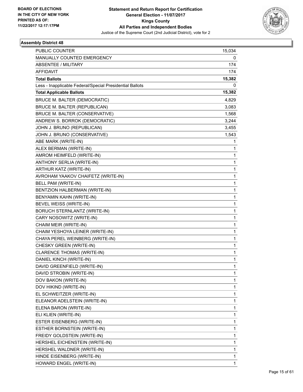

| <b>PUBLIC COUNTER</b>                                    | 15,034       |
|----------------------------------------------------------|--------------|
| MANUALLY COUNTED EMERGENCY                               | 0            |
| ABSENTEE / MILITARY                                      | 174          |
| <b>AFFIDAVIT</b>                                         | 174          |
| <b>Total Ballots</b>                                     | 15,382       |
| Less - Inapplicable Federal/Special Presidential Ballots | 0            |
| <b>Total Applicable Ballots</b>                          | 15,382       |
| BRUCE M. BALTER (DEMOCRATIC)                             | 4,829        |
| BRUCE M. BALTER (REPUBLICAN)                             | 3,083        |
| BRUCE M. BALTER (CONSERVATIVE)                           | 1,568        |
| ANDREW S. BORROK (DEMOCRATIC)                            | 3,244        |
| JOHN J. BRUNO (REPUBLICAN)                               | 3,455        |
| JOHN J. BRUNO (CONSERVATIVE)                             | 1,543        |
| ABE MARK (WRITE-IN)                                      | 1            |
| ALEX BERMAN (WRITE-IN)                                   | 1            |
| AMROM HEIMFELD (WRITE-IN)                                | 1            |
| ANTHONY SERLIA (WRITE-IN)                                | 1            |
| <b>ARTHUR KATZ (WRITE-IN)</b>                            | 1            |
| AVROHAM YAAKOV CHAIFETZ (WRITE-IN)                       | 1            |
| BELL PAM (WRITE-IN)                                      | 1            |
| BENTZION HALBERMAN (WRITE-IN)                            | 1            |
| BENYAMIN KAHN (WRITE-IN)                                 | 1            |
| BEVEL WEISS (WRITE-IN)                                   | $\mathbf{1}$ |
| BORUCH STERNLANTZ (WRITE-IN)                             | 1            |
| CARY NOSOWITZ (WRITE-IN)                                 | 1            |
| CHAIM MEIR (WRITE-IN)                                    | 1            |
| CHAIM YESHOYA LEINER (WRITE-IN)                          | 1            |
| CHAYA PEREL WEINBERG (WRITE-IN)                          | 1            |
| CHESKY GREEN (WRITE-IN)                                  | $\mathbf{1}$ |
| CLARENCE THOMAS (WRITE-IN)                               | 1            |
| DANIEL KINCH (WRITE-IN)                                  | 1            |
| DAVID GREENFIELD (WRITE-IN)                              | 1            |
| DAVID STROBIN (WRITE-IN)                                 | 1            |
| DOV BAKON (WRITE-IN)                                     | 1            |
| DOV HIKIND (WRITE-IN)                                    | 1            |
| EL SCHWEITZER (WRITE-IN)                                 | 1            |
| ELEANOR ADELSTEIN (WRITE-IN)                             | 1            |
| ELENA BARON (WRITE-IN)                                   | 1            |
| ELI KLIEN (WRITE-IN)                                     | 1            |
| ESTER EISENBERG (WRITE-IN)                               | 1            |
| ESTHER BORNSTEIN (WRITE-IN)                              | 1            |
| FREIDY GOLDSTEIN (WRITE-IN)                              | 1            |
| HERSHEL EICHENSTEIN (WRITE-IN)                           | 1            |
| HERSHEL WALDNER (WRITE-IN)                               | 1            |
| HINDE EISENBERG (WRITE-IN)                               | 1            |
| HOWARD ENGEL (WRITE-IN)                                  | 1            |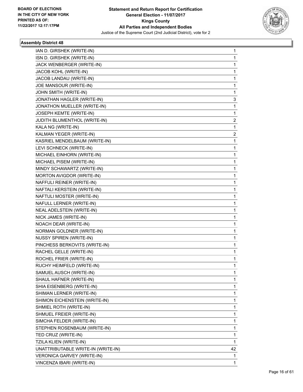

| IAN D. GIRSHEK (WRITE-IN)          | 1  |
|------------------------------------|----|
| ISN D. GIRSHEK (WRITE-IN)          | 1  |
| JACK WENBERGER (WRITE-IN)          | 1  |
| JACOB KOHL (WRITE-IN)              | 1  |
| JACOB LANDAU (WRITE-IN)            | 1  |
| JOE MANSOUR (WRITE-IN)             | 1  |
| JOHN SMITH (WRITE-IN)              | 1  |
| JONATHAN HAGLER (WRITE-IN)         | 3  |
| JONATHON MUELLER (WRITE-IN)        | 1  |
| JOSEPH KEMTE (WRITE-IN)            | 1  |
| JUDITH BLUMENTHOL (WRITE-IN)       | 2  |
| KALA NG (WRITE-IN)                 | 1  |
| KALMAN YEGER (WRITE-IN)            | 2  |
| KASRIEL MENDELBAUM (WRITE-IN)      | 1  |
| LEVI SCHNECK (WRITE-IN)            | 1  |
| MICHAEL EINHORN (WRITE-IN)         | 1  |
| MICHAEL PISEM (WRITE-IN)           | 1  |
| MINDY SCHAWARTZ (WRITE-IN)         | 1  |
| MORTON AVIGDOR (WRITE-IN)          | 1  |
| NAFFULI REINER (WRITE-IN)          | 1  |
| NAFTALI KERSTEIN (WRITE-IN)        | 1  |
| NAFTULI MOSTER (WRITE-IN)          | 1  |
| NAFULL LERNER (WRITE-IN)           | 1  |
| NEAL ADELSTEIN (WRITE-IN)          | 1  |
| NICK JAMES (WRITE-IN)              | 1  |
| NOACH DEAR (WRITE-IN)              | 1  |
| NORMAN GOLDNER (WRITE-IN)          | 1  |
| <b>NUSSY SPIREN (WRITE-IN)</b>     | 1  |
| PINCHESS BERKOVITS (WRITE-IN)      | 1  |
| RACHEL GELLE (WRITE-IN)            | 1  |
| ROCHEL FRIER (WRITE-IN)            | 1  |
| RUCHY HEIMFELD (WRITE-IN)          | 1  |
| SAMUEL AUSCH (WRITE-IN)            | 1  |
| SHAUL HAFNER (WRITE-IN)            | 1  |
| SHIA EISENBERG (WRITE-IN)          | 1  |
| SHIMAN LERNER (WRITE-IN)           | 1  |
| SHIMON EICHENSTEIN (WRITE-IN)      | 1  |
| SHMIEL ROTH (WRITE-IN)             | 1  |
| SHMUEL FREIER (WRITE-IN)           | 1  |
| SIMCHA FELDER (WRITE-IN)           | 1  |
| STEPHEN ROSENBAUM (WRITE-IN)       | 1  |
| TED CRUZ (WRITE-IN)                | 1  |
| TZILA KLIEN (WRITE-IN)             | 1  |
| UNATTRIBUTABLE WRITE-IN (WRITE-IN) | 42 |
| VERONICA GARVEY (WRITE-IN)         | 1  |
| VINCENZA IBARI (WRITE-IN)          | 1  |
|                                    |    |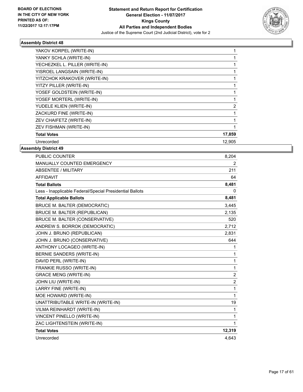

| YAKOV KORPEL (WRITE-IN)        |        |
|--------------------------------|--------|
| YANKY SCHLA (WRITE-IN)         |        |
| YECHEZKEL L. PILLER (WRITE-IN) |        |
| YISROEL LANGSAIN (WRITE-IN)    |        |
| YITZCHOK KRAKOVER (WRITE-IN)   |        |
| YITZY PILLER (WRITE-IN)        |        |
| YOSEF GOLDSTEIN (WRITE-IN)     |        |
| YOSEF MORTERL (WRITE-IN)       |        |
| YUDELE KLIEN (WRITE-IN)        | 2      |
| ZACKURD FINE (WRITE-IN)        |        |
| ZEV CHAIFETZ (WRITE-IN)        |        |
| ZEV FISHMAN (WRITE-IN)         |        |
| <b>Total Votes</b>             | 17,859 |
| Unrecorded                     | 12,905 |
|                                |        |

| <b>PUBLIC COUNTER</b>                                    | 8,204          |
|----------------------------------------------------------|----------------|
| MANUALLY COUNTED EMERGENCY                               | 2              |
| <b>ABSENTEE / MILITARY</b>                               | 211            |
| <b>AFFIDAVIT</b>                                         | 64             |
| <b>Total Ballots</b>                                     | 8,481          |
| Less - Inapplicable Federal/Special Presidential Ballots | 0              |
| <b>Total Applicable Ballots</b>                          | 8,481          |
| <b>BRUCE M. BALTER (DEMOCRATIC)</b>                      | 3,445          |
| BRUCE M. BALTER (REPUBLICAN)                             | 2,135          |
| <b>BRUCE M. BALTER (CONSERVATIVE)</b>                    | 520            |
| ANDREW S. BORROK (DEMOCRATIC)                            | 2,712          |
| JOHN J. BRUNO (REPUBLICAN)                               | 2,831          |
| JOHN J. BRUNO (CONSERVATIVE)                             | 644            |
| ANTHONY LOCAGEO (WRITE-IN)                               | 1              |
| BERNIE SANDERS (WRITE-IN)                                | 1              |
| DAVID PERL (WRITE-IN)                                    | 1              |
| FRANKIE RUSSO (WRITE-IN)                                 | 1              |
| <b>GRACE MENG (WRITE-IN)</b>                             | $\overline{2}$ |
| JOHN LIU (WRITE-IN)                                      | 2              |
| LARRY FINE (WRITE-IN)                                    | 1              |
| MOE HOWARD (WRITE-IN)                                    | 1              |
| UNATTRIBUTABLE WRITE-IN (WRITE-IN)                       | 19             |
| <b>VILMA REINHARDT (WRITE-IN)</b>                        | 1              |
| VINCENT PINELLO (WRITE-IN)                               | 1              |
| ZAC LIGHTENSTEIN (WRITE-IN)                              | 1              |
| <b>Total Votes</b>                                       | 12,319         |
| Unrecorded                                               | 4.643          |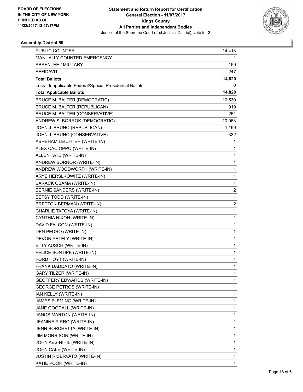

| PUBLIC COUNTER                                           | 14,413                  |
|----------------------------------------------------------|-------------------------|
| MANUALLY COUNTED EMERGENCY                               | 1                       |
| ABSENTEE / MILITARY                                      | 159                     |
| <b>AFFIDAVIT</b>                                         | 247                     |
| <b>Total Ballots</b>                                     | 14,820                  |
| Less - Inapplicable Federal/Special Presidential Ballots | 0                       |
| <b>Total Applicable Ballots</b>                          | 14,820                  |
| BRUCE M. BALTER (DEMOCRATIC)                             | 10,530                  |
| BRUCE M. BALTER (REPUBLICAN)                             | 919                     |
| BRUCE M. BALTER (CONSERVATIVE)                           | 261                     |
| ANDREW S. BORROK (DEMOCRATIC)                            | 10,063                  |
| JOHN J. BRUNO (REPUBLICAN)                               | 1,199                   |
| JOHN J. BRUNO (CONSERVATIVE)                             | 332                     |
| ABREHAM LEICHTER (WRITE-IN)                              | 1                       |
| ALEX CACIOPPO (WRITE-IN)                                 | 1                       |
| ALLEN TATE (WRITE-IN)                                    | 1                       |
| ANDREW BORNOR (WRITE-IN)                                 | 1                       |
| ANDREW WOODWORTH (WRITE-IN)                              | 1                       |
| ARYE HERSLKOWITZ (WRITE-IN)                              | 1                       |
| <b>BARACK OBAMA (WRITE-IN)</b>                           | 1                       |
| BERNIE SANDERS (WRITE-IN)                                | $\overline{\mathbf{c}}$ |
| BETSY TODD (WRITE-IN)                                    | 1                       |
| BRETTON BERMAN (WRITE-IN)                                | $\overline{2}$          |
| CHARLIE TAFOYA (WRITE-IN)                                | 1                       |
| CYNTHIA NIXON (WRITE-IN)                                 | 1                       |
| DAVID FALCON (WRITE-IN)                                  | 1                       |
| DEN PEDRO (WRITE-IN)                                     | 1                       |
| DEVON PETELY (WRITE-IN)                                  | 1                       |
| ETTY AUSCH (WRITE-IN)                                    | 1                       |
| FELICE SONTIPE (WRITE-IN)                                | 1                       |
| FORD HOYT (WRITE-IN)                                     | 1                       |
| FRANK DADDATO (WRITE-IN)                                 | 1                       |
| <b>GARY TILZER (WRITE-IN)</b>                            | 1                       |
| GEOFFERY EDWARDS (WRITE-IN)                              | 1                       |
| <b>GEORGE PETROS (WRITE-IN)</b>                          | 1                       |
| IAN KELLY (WRITE-IN)                                     | 1                       |
| JAMES FLEMING (WRITE-IN)                                 | 1                       |
| JANE GOODALL (WRITE-IN)                                  | 1                       |
| JANOS MARTON (WRITE-IN)                                  | 1                       |
| JEANINE PIRRO (WRITE-IN)                                 | 1                       |
| JENN BORCHETTA (WRITE-IN)                                | 1                       |
| <b>JIM MORRISON (WRITE-IN)</b>                           | 1                       |
| JOHN AES-NIHIL (WRITE-IN)                                | 1                       |
| JOHN CALE (WRITE-IN)                                     | 1                       |
| <b>JUSTIN RISERVATO (WRITE-IN)</b>                       | 1                       |
| KATIE POOR (WRITE-IN)                                    | 1                       |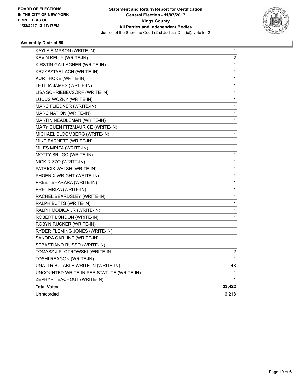

| KAYLA SIMPSON (WRITE-IN)                  | 1              |
|-------------------------------------------|----------------|
| KEVIN KELLY (WRITE-IN)                    | $\overline{c}$ |
| KIRSTIN GALLAGHER (WRITE-IN)              | 1              |
| KRZYSZTAF LACH (WRITE-IN)                 | 1              |
| KURT HOKE (WRITE-IN)                      | 1              |
| LETITIA JAMES (WRITE-IN)                  | 1              |
| LISA SCHRIEBEVSORF (WRITE-IN)             | 1              |
| LUCUS WOZNY (WRITE-IN)                    | 1              |
| MARC FLIEDNER (WRITE-IN)                  | 1              |
| MARC NATION (WRITE-IN)                    | 1              |
| MARTIN NEADLEMAN (WRITE-IN)               | 1              |
| MARY CUEN FITZMAURICE (WRITE-IN)          | 1              |
| MICHAEL BLOOMBERG (WRITE-IN)              | 1              |
| MIKE BARNETT (WRITE-IN)                   | 1              |
| MILES MRIZA (WRITE-IN)                    | 1              |
| MOTTY SRUGO (WRITE-IN)                    | 1              |
| NICK RIZZO (WRITE-IN)                     | 1              |
| PATRICIK WALSH (WRITE-IN)                 | 1              |
| PHOENIX WRIGHT (WRITE-IN)                 | 1              |
| PREET BHARARA (WRITE-IN)                  | 1              |
| PREL MRIZA (WRITE-IN)                     | 1              |
| RACHEL BEARDSLEY (WRITE-IN)               | 1              |
| RALPH BUTTS (WRITE-IN)                    | 1              |
| RALPH MODICA JR (WRITE-IN)                | 1              |
| ROBERT LONDON (WRITE-IN)                  | 1              |
| ROBYN RUCKER (WRITE-IN)                   | 1              |
| RYDER FLEMING JONES (WRITE-IN)            | 1              |
| SANDRA CARLINE (WRITE-IN)                 | 1              |
| SEBASTIANO RUSSO (WRITE-IN)               | 1              |
| TOMASZ J PLOTROWSKI (WRITE-IN)            | 2              |
| TOSHI REAGON (WRITE-IN)                   | 1              |
| UNATTRIBUTABLE WRITE-IN (WRITE-IN)        | 48             |
| UNCOUNTED WRITE-IN PER STATUTE (WRITE-IN) | 1              |
| ZEPHYR TEACHOUT (WRITE-IN)                | 1              |
| <b>Total Votes</b>                        | 23,422         |
| Unrecorded                                | 6,218          |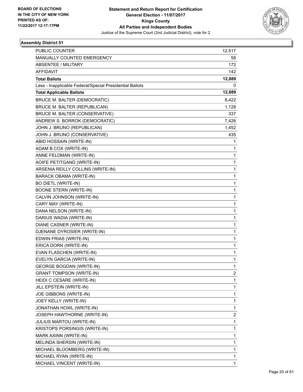

| PUBLIC COUNTER                                           | 12,517       |
|----------------------------------------------------------|--------------|
| MANUALLY COUNTED EMERGENCY                               | 58           |
| <b>ABSENTEE / MILITARY</b>                               | 172          |
| <b>AFFIDAVIT</b>                                         | 142          |
| <b>Total Ballots</b>                                     | 12,889       |
| Less - Inapplicable Federal/Special Presidential Ballots | 0            |
| <b>Total Applicable Ballots</b>                          | 12,889       |
| BRUCE M. BALTER (DEMOCRATIC)                             | 8,422        |
| BRUCE M. BALTER (REPUBLICAN)                             | 1,128        |
| BRUCE M. BALTER (CONSERVATIVE)                           | 337          |
| ANDREW S. BORROK (DEMOCRATIC)                            | 7,426        |
| JOHN J. BRUNO (REPUBLICAN)                               | 1,452        |
| JOHN J. BRUNO (CONSERVATIVE)                             | 435          |
| ABID HOSSAIN (WRITE-IN)                                  | 1            |
| ADAM B COX (WRITE-IN)                                    | 1            |
| ANNE FELDMAN (WRITE-IN)                                  | 1            |
| AOIFE PETITGAND (WRITE-IN)                               | 1            |
| ARSENIA REILLY COLLINS (WRITE-IN)                        | 1            |
| BARACK OBAMA (WRITE-IN)                                  | 1            |
| <b>BO DIETL (WRITE-IN)</b>                               | 1            |
| <b>BOONE STERN (WRITE-IN)</b>                            | 1            |
| CALVIN JOHNSON (WRITE-IN)                                | 1            |
| CARY MAY (WRITE-IN)                                      | 1            |
| DANA NELSON (WRITE-IN)                                   | 1            |
| DARIUS WADIA (WRITE-IN)                                  | 1            |
| DIANE CASNER (WRITE-IN)                                  | 1            |
| DJENANE DYROSIER (WRITE-IN)                              | 1            |
| EDWIN FRIAS (WRITE-IN)                                   | 1            |
| ERICA DORN (WRITE-IN)                                    | 1            |
| EVAN FLASCHEN (WRITE-IN)                                 | 1            |
| EVELYN GARCIA (WRITE-IN)                                 | 1            |
| <b>GEORGE BOGDAN (WRITE-IN)</b>                          | 1            |
| <b>GRANT TOMPSON (WRITE-IN)</b>                          | 2            |
| HEIDI C CESARE (WRITE-IN)                                | 1            |
| JILL EPSTEIN (WRITE-IN)                                  | 1            |
| JOE GIBBONS (WRITE-IN)                                   | 1            |
| JOEY KELLY (WRITE-IN)                                    | 1            |
| JONATHAN HOWL (WRITE-IN)                                 | 1            |
| JOSEPH HAWTHORNE (WRITE-IN)                              | 2            |
| JULIUS MARTOU (WRITE-IN)                                 | 1            |
| KRISTOPS PORSINGIS (WRITE-IN)                            | 1            |
| MARK AXINN (WRITE-IN)                                    | 1            |
| MELINDA SHERSIN (WRITE-IN)                               | 1            |
| MICHAEL BLOOMBERG (WRITE-IN)                             | 1            |
| MICHAEL RYAN (WRITE-IN)                                  | 1            |
| MICHAEL VINCENT (WRITE-IN)                               | $\mathbf{1}$ |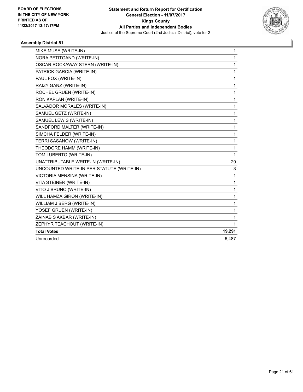

| MIKE MUSE (WRITE-IN)                      | 1            |
|-------------------------------------------|--------------|
| NORA PETITGAND (WRITE-IN)                 | 1            |
| OSCAR ROCKAWAY STERN (WRITE-IN)           | 1            |
| PATRICK GARCIA (WRITE-IN)                 | 1            |
| PAUL FOX (WRITE-IN)                       | $\mathbf{1}$ |
| RAIZY GANZ (WRITE-IN)                     | 1            |
| ROCHEL GRUEN (WRITE-IN)                   | 1            |
| RON KAPLAN (WRITE-IN)                     | 1            |
| SALVADOR MORALES (WRITE-IN)               | 1            |
| SAMUEL GETZ (WRITE-IN)                    | 1            |
| SAMUEL LEWIS (WRITE-IN)                   | $\mathbf{1}$ |
| SANDFORD MALTER (WRITE-IN)                | 1            |
| SIMCHA FELDER (WRITE-IN)                  | 1            |
| TERRI SASANOW (WRITE-IN)                  | $\mathbf{1}$ |
| THEODORE HAMM (WRITE-IN)                  | 1            |
| TOM LUBERTO (WRITE-IN)                    | $\mathbf{1}$ |
| UNATTRIBUTABLE WRITE-IN (WRITE-IN)        | 29           |
| UNCOUNTED WRITE-IN PER STATUTE (WRITE-IN) | 3            |
| VICTORIA MENSINA (WRITE-IN)               | $\mathbf{1}$ |
| VITA STEINER (WRITE-IN)                   | $\mathbf{1}$ |
| VITO J BRUNO (WRITE-IN)                   | 1            |
| WILL HAMZA GIRON (WRITE-IN)               | $\mathbf{1}$ |
| WILLIAM J BERG (WRITE-IN)                 | 1            |
| YOSEF GRUEN (WRITE-IN)                    | 1            |
| ZAINAB S AKBAR (WRITE-IN)                 | 1            |
| ZEPHYR TEACHOUT (WRITE-IN)                | 1.           |
| <b>Total Votes</b>                        | 19,291       |
| Unrecorded                                | 6.487        |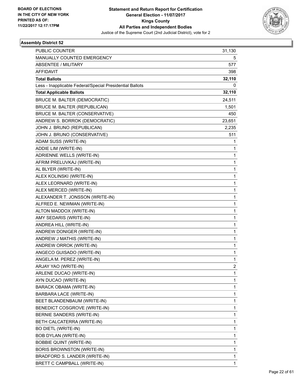

| PUBLIC COUNTER                                           | 31,130         |
|----------------------------------------------------------|----------------|
| MANUALLY COUNTED EMERGENCY                               | 5              |
| <b>ABSENTEE / MILITARY</b>                               | 577            |
| <b>AFFIDAVIT</b>                                         | 398            |
| <b>Total Ballots</b>                                     | 32,110         |
| Less - Inapplicable Federal/Special Presidential Ballots | 0              |
| <b>Total Applicable Ballots</b>                          | 32,110         |
| <b>BRUCE M. BALTER (DEMOCRATIC)</b>                      | 24,511         |
| <b>BRUCE M. BALTER (REPUBLICAN)</b>                      | 1,501          |
| BRUCE M. BALTER (CONSERVATIVE)                           | 450            |
| ANDREW S. BORROK (DEMOCRATIC)                            | 23,651         |
| JOHN J. BRUNO (REPUBLICAN)                               | 2,235          |
| JOHN J. BRUNO (CONSERVATIVE)                             | 511            |
| ADAM SUSS (WRITE-IN)                                     | 1              |
| ADDIE LIM (WRITE-IN)                                     | 1              |
| ADRIENNE WELLS (WRITE-IN)                                | 1              |
| AFRIM PRELUVKAJ (WRITE-IN)                               | 1              |
| AL BLYER (WRITE-IN)                                      | 1              |
| ALEX KOLINSKI (WRITE-IN)                                 | 1              |
| ALEX LEORNARD (WRITE-IN)                                 | 1              |
| ALEX MERCED (WRITE-IN)                                   | 1              |
| ALEXANDER T. JONSSON (WRITE-IN)                          | 1              |
| ALFRED E. NEWMAN (WRITE-IN)                              | 1              |
| ALTON MADDOX (WRITE-IN)                                  | 1              |
| AMY SEDARIS (WRITE-IN)                                   | 1              |
| ANDREA HILL (WRITE-IN)                                   | 1              |
| ANDREW DONIGER (WRITE-IN)                                | 1              |
| ANDREW J MATHIS (WRITE-IN)                               | 1              |
| ANDREW ORROK (WRITE-IN)                                  | 1              |
| ANGECO GUISADO (WRITE-IN)                                | 1              |
| ANGELA M. PEREZ (WRITE-IN)                               | 1              |
| ARJAY YAO (WRITE-IN)                                     | $\overline{2}$ |
| ARLENE DUCAO (WRITE-IN)                                  | 1              |
| AYN DUCAO (WRITE-IN)                                     | 1              |
| BARACK OBAMA (WRITE-IN)                                  | 1              |
| BARBARA LACE (WRITE-IN)                                  | 1              |
| BEET BLANDENBAUM (WRITE-IN)                              | 1              |
| BENEDICT COSGROVE (WRITE-IN)                             | 1              |
| BERNIE SANDERS (WRITE-IN)                                | 1              |
| BETH CALCATERRA (WRITE-IN)                               | 1              |
| <b>BO DIETL (WRITE-IN)</b>                               | 1              |
| <b>BOB DYLAN (WRITE-IN)</b>                              | 1              |
| <b>BOBBIE QUINT (WRITE-IN)</b>                           | 1              |
| <b>BORIS BROWNSTON (WRITE-IN)</b>                        | 1              |
| BRADFORD S. LANDER (WRITE-IN)                            | 1              |
| BRETT C CAMPBALL (WRITE-IN)                              | 1              |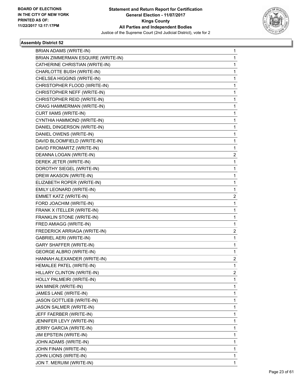

| BRIAN ADAMS (WRITE-IN)             | 1            |
|------------------------------------|--------------|
| BRIAN ZIMMERMAN ESQUIRE (WRITE-IN) | 1            |
| CATHERINE CHRISTIAN (WRITE-IN)     | 1            |
| CHARLOTTE BUSH (WRITE-IN)          | 1            |
| CHELSEA HIGGINS (WRITE-IN)         | 1            |
| CHRISTOPHER FLOOD (WRITE-IN)       | 1            |
| CHRISTOPHER NEFF (WRITE-IN)        | 1            |
| CHRISTOPHER REID (WRITE-IN)        | 1            |
| CRAIG HAMMERMAN (WRITE-IN)         | 1            |
| <b>CURT IIAMS (WRITE-IN)</b>       | 1            |
| CYNTHIA HAMMOND (WRITE-IN)         | 1            |
| DANIEL DINGERSON (WRITE-IN)        | 1            |
| DANIEL OWENS (WRITE-IN)            | 1            |
| DAVID BLOOMFIELD (WRITE-IN)        | 1            |
| DAVID FROMARTZ (WRITE-IN)          | 1            |
| DEANNA LOGAN (WRITE-IN)            | 2            |
| DEREK JETER (WRITE-IN)             | 1            |
| DOROTHY SIEGEL (WRITE-IN)          | 1            |
| DREW AKASON (WRITE-IN)             | 1            |
| ELIZABETH ROPER (WRITE-IN)         | 1            |
| EMILY LEONARD (WRITE-IN)           | 1            |
| EMMET KATZ (WRITE-IN)              | 2            |
| FORD JOACHIM (WRITE-IN)            | 1            |
| FRANK X ITELLER (WRITE-IN)         | 1            |
| FRANKLIN STONE (WRITE-IN)          | 1            |
| FRED AMIAGG (WRITE-IN)             | 1            |
| FREDERICK ARRIAGA (WRITE-IN)       | 2            |
| <b>GABRIEL AERI (WRITE-IN)</b>     | 1            |
| <b>GARY SHAFFER (WRITE-IN)</b>     | 1            |
| <b>GEORGE ALBRO (WRITE-IN)</b>     | 1            |
| HANNAH ALEXANDER (WRITE-IN)        | 2            |
| HEMALEE PATEL (WRITE-IN)           | 1            |
| HILLARY CLINTON (WRITE-IN)         | 2            |
| HOLLY PALMEIRI (WRITE-IN)          | 1            |
| IAN MINER (WRITE-IN)               | 1            |
| JAMES LANE (WRITE-IN)              | 1            |
| JASON GOTTLIEB (WRITE-IN)          | 1            |
| <b>JASON SALMER (WRITE-IN)</b>     | 1            |
| JEFF FAERBER (WRITE-IN)            | 1            |
| JENNIFER LEVY (WRITE-IN)           | 1            |
| JERRY GARCIA (WRITE-IN)            | 1            |
| <b>JIM EPSTEIN (WRITE-IN)</b>      | $\mathbf{1}$ |
| JOHN ADAMS (WRITE-IN)              | 1            |
| JOHN FINAN (WRITE-IN)              | 1            |
| JOHN LIONS (WRITE-IN)              | 1            |
| JON T. MERUIM (WRITE-IN)           | 1            |
|                                    |              |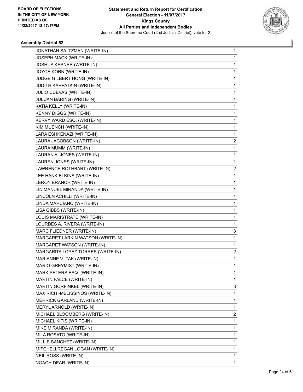

| JONATHAN SALTZMAN (WRITE-IN)      | 1            |
|-----------------------------------|--------------|
| JOSEPH MACK (WRITE-IN)            | 1            |
| JOSHUA KESNER (WRITE-IN)          | 1            |
| JOYCE KORN (WRITE-IN)             | 1            |
| JUDGE GILBERT HONG (WRITE-IN)     | 1            |
| JUDITH KARPATKIN (WRITE-IN)       | 1            |
| JULIO CUEVAS (WRITE-IN)           | 1            |
| JULUAN BARING (WRITE-IN)          | 1            |
| KATIA KELLY (WRITE-IN)            | 1            |
| KENNY DIGGS (WRITE-IN)            | 1            |
| KERVY WARD ESQ. (WRITE-IN)        | 1            |
| KIM MUENCH (WRITE-IN)             | 1            |
| LARA ESHKENAZI (WRITE-IN)         | 1            |
| LAURA JACOBSON (WRITE-IN)         | 2            |
| LAURA MUMM (WRITE-IN)             | 1            |
| LAURAN A. JONES (WRITE-IN)        | 1            |
| LAUREN JONES (WRITE-IN)           | 1            |
| LAWRENCE ROTHBART (WRITE-IN)      | 2            |
| LEE HANK ELKINS (WRITE-IN)        | 1            |
| LEROY BRANCH (WRITE-IN)           | 1            |
| LIN MANUEL MIRANDA (WRITE-IN)     | 1            |
| LINCOLN ACHILLI (WRITE-IN)        | 1            |
| LINDA MARCIANO (WRITE-IN)         | 1            |
| LISA GIBBS (WRITE-IN)             | 1            |
| LOUIS MARISTRATE (WRITE-IN)       | 1            |
| LOURDES A. RIVERA (WRITE-IN)      | 1            |
| MARC FLIEDNER (WRITE-IN)          | 3            |
| MARGARET LARKIN WATSON (WRITE-IN) | 1            |
| MARGARET WATSON (WRITE-IN)        | 1            |
| MARGARITA LOPEZ TORRES (WRITE-IN) | 2            |
| MARIANNE V ITAK (WRITE-IN)        | 1            |
| MARIO GREYMIST (WRITE-IN)         | $\mathbf{1}$ |
| MARK PETERS ESQ. (WRITE-IN)       | 1            |
| MARTIN FALCE (WRITE-IN)           | 1            |
| MARTIN GORFINKEL (WRITE-IN)       | 3            |
| MAX RICH -MELISSINOS (WRITE-IN)   | 1            |
| <b>MERRICK GARLAND (WRITE-IN)</b> | 1            |
| MERYL ARNOLD (WRITE-IN)           | 1            |
| MICHAEL BLOOMBERG (WRITE-IN)      | 2            |
| MICHAEL KITIS (WRITE-IN)          | 1            |
| MIKE MIRANDA (WRITE-IN)           | 1            |
| MILA ROSATO (WRITE-IN)            | 1            |
| MILLIE SANCHEZ (WRITE-IN)         | 1            |
| MITCHELLREGAN LOGAN (WRITE-IN)    | 1            |
| NEIL ROSS (WRITE-IN)              | 1            |
| NOACH DEAR (WRITE-IN)             | 1            |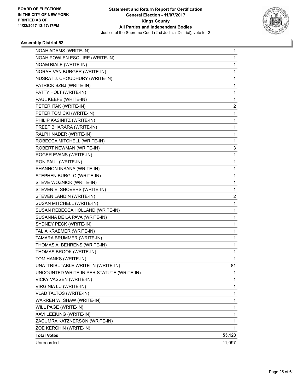

| NOAH ADAMS (WRITE-IN)                     | 1            |
|-------------------------------------------|--------------|
| NOAH POWLEN ESQUIRE (WRITE-IN)            | 1            |
| NOAM BIALE (WRITE-IN)                     | 1            |
| NORAH VAN BURGER (WRITE-IN)               | 1            |
| NUSRAT J. CHOUDHURY (WRITE-IN)            | 1            |
| PATRICK BZBJ (WRITE-IN)                   | 1            |
| PATTY HOLT (WRITE-IN)                     | 1            |
| PAUL KEEFE (WRITE-IN)                     | 1            |
| PETER ITAK (WRITE-IN)                     | 2            |
| PETER TOMICKI (WRITE-IN)                  | 1            |
| PHILIP KASINITZ (WRITE-IN)                | 1            |
| PREET BHARARA (WRITE-IN)                  | 1            |
| RALPH NADER (WRITE-IN)                    | 1            |
| ROBECCA MITCHELL (WRITE-IN)               | 1            |
| ROBERT NEWMAN (WRITE-IN)                  | 3            |
| ROGER EVANS (WRITE-IN)                    | 1            |
| RON PAUL (WRITE-IN)                       | 1            |
| SHANNON INSANA (WRITE-IN)                 | 1            |
| STEPHEN BURGLO (WRITE-IN)                 | 1            |
| STEVE WOZNICK (WRITE-IN)                  | $\mathbf{1}$ |
| STEVEN E. SHOVERS (WRITE-IN)              | 1            |
| STEVEN LANDIN (WRITE-IN)                  | 2            |
| SUSAN MITCHELL (WRITE-IN)                 | 1            |
| SUSAN REBECCA HOLLAND (WRITE-IN)          | 1            |
| SUSANNA DE LA PAVA (WRITE-IN)             | 1            |
| SYDNEY PECK (WRITE-IN)                    | 1            |
| TALIA KRAEMER (WRITE-IN)                  | 1            |
| TAMARA BRUMMER (WRITE-IN)                 | 1            |
| THOMAS A. BEHRENS (WRITE-IN)              | 1            |
| THOMAS BROOK (WRITE-IN)                   | 1            |
| TOM HANKS (WRITE-IN)                      | 1            |
| UNATTRIBUTABLE WRITE-IN (WRITE-IN)        | 81           |
| UNCOUNTED WRITE-IN PER STATUTE (WRITE-IN) | 1            |
| VICKY VASSEN (WRITE-IN)                   | 1            |
| VIRGINIA LU (WRITE-IN)                    | 1            |
| VLAD TALTOS (WRITE-IN)                    | 1            |
| WARREN W. SHAW (WRITE-IN)                 | 1            |
| WILL PAGE (WRITE-IN)                      | 1            |
| XAVI LEEIUNG (WRITE-IN)                   | 1            |
| ZACUMRA KATZNERSON (WRITE-IN)             | 1            |
| ZOE KERCHIN (WRITE-IN)                    | $\mathbf{1}$ |
| <b>Total Votes</b>                        | 53,123       |
| Unrecorded                                | 11,097       |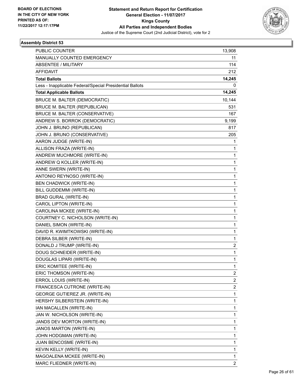

| <b>PUBLIC COUNTER</b>                                    | 13,908         |
|----------------------------------------------------------|----------------|
| MANUALLY COUNTED EMERGENCY                               | 11             |
| ABSENTEE / MILITARY                                      | 114            |
| <b>AFFIDAVIT</b>                                         | 212            |
| <b>Total Ballots</b>                                     | 14,245         |
| Less - Inapplicable Federal/Special Presidential Ballots | 0              |
| <b>Total Applicable Ballots</b>                          | 14,245         |
| <b>BRUCE M. BALTER (DEMOCRATIC)</b>                      | 10,144         |
| BRUCE M. BALTER (REPUBLICAN)                             | 531            |
| BRUCE M. BALTER (CONSERVATIVE)                           | 167            |
| ANDREW S. BORROK (DEMOCRATIC)                            | 9,199          |
| JOHN J. BRUNO (REPUBLICAN)                               | 817            |
| JOHN J. BRUNO (CONSERVATIVE)                             | 205            |
| AARON JUDGE (WRITE-IN)                                   | 1              |
| ALLISON FRAZA (WRITE-IN)                                 | 1              |
| ANDREW MUCHMORE (WRITE-IN)                               | 1              |
| ANDREW Q KOLLER (WRITE-IN)                               | 1              |
| ANNE SWERN (WRITE-IN)                                    | 1              |
| ANTONIO REYNOSO (WRITE-IN)                               | 1              |
| <b>BEN CHADWICK (WRITE-IN)</b>                           | 1              |
| BILL GUDDEMMI (WRITE-IN)                                 | 1              |
| <b>BRAD GURAL (WRITE-IN)</b>                             | 1              |
| CAROL LIPTON (WRITE-IN)                                  | 1              |
| CAROLINA MCKEE (WRITE-IN)                                | 1              |
| COURTNEY C. NICHOLSON (WRITE-IN)                         | 1              |
| DANIEL SIMON (WRITE-IN)                                  | 1              |
| DAVID R. KWIMTKOWSKI (WRITE-IN)                          | 1              |
| DEBRA SILBER (WRITE-IN)                                  | 1              |
| DONALD J TRUMP (WRITE-IN)                                | $\overline{2}$ |
| DOUG SCHNEIDER (WRITE-IN)                                | 1              |
| DOUGLAS LIPARI (WRITE-IN)                                | 1              |
| ERIC KOMITEE (WRITE-IN)                                  | 1              |
| ERIC THOMSON (WRITE-IN)                                  | $\overline{c}$ |
| ERROL LOUIS (WRITE-IN)                                   | 2              |
| FRANCESCA CUTRONE (WRITE-IN)                             | 2              |
| GEORGE GUTIEREZ JR. (WRITE-IN)                           | 1              |
| HERSHY SILBERSTEIN (WRITE-IN)                            | 1              |
| IAN MACALLEN (WRITE-IN)                                  | 1              |
| JAN W. NICHOLSON (WRITE-IN)                              | 1              |
| JANDS DEV MORTON (WRITE-IN)                              | 1              |
| JANOS MARTON (WRITE-IN)                                  | 1              |
| JOHN HODGMAN (WRITE-IN)                                  | 1              |
| JUAN BENCOSME (WRITE-IN)                                 | 1              |
| KEVIN KELLY (WRITE-IN)                                   | 1              |
| MAGOALENA MCKEE (WRITE-IN)                               | 1              |
| MARC FLIEDNER (WRITE-IN)                                 | 2              |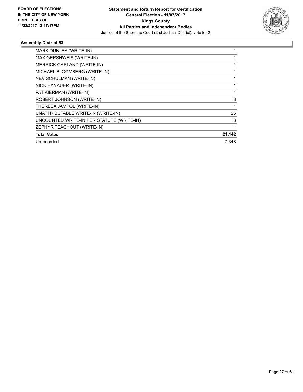

| MARK DUNLEA (WRITE-IN)                    |        |
|-------------------------------------------|--------|
| MAX GERSHWEIS (WRITE-IN)                  |        |
| MERRICK GARLAND (WRITE-IN)                |        |
| MICHAEL BLOOMBERG (WRITE-IN)              |        |
| NEV SCHULMAN (WRITE-IN)                   |        |
| NICK HANAUER (WRITE-IN)                   |        |
| PAT KIERMAN (WRITE-IN)                    |        |
| ROBERT JOHNSON (WRITE-IN)                 | 3      |
| THERESA JAMPOL (WRITE-IN)                 |        |
| UNATTRIBUTABLE WRITE-IN (WRITE-IN)        | 26     |
| UNCOUNTED WRITE-IN PER STATUTE (WRITE-IN) | 3      |
| ZEPHYR TEACHOUT (WRITE-IN)                |        |
| <b>Total Votes</b>                        | 21,142 |
| Unrecorded                                | 7,348  |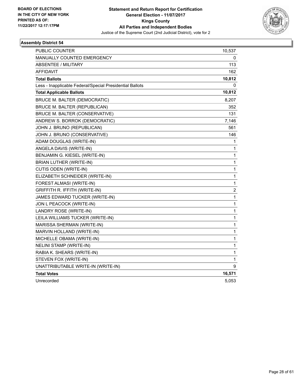

| <b>PUBLIC COUNTER</b>                                    | 10,537                  |
|----------------------------------------------------------|-------------------------|
| MANUALLY COUNTED EMERGENCY                               | 0                       |
| <b>ABSENTEE / MILITARY</b>                               | 113                     |
| <b>AFFIDAVIT</b>                                         | 162                     |
| <b>Total Ballots</b>                                     | 10,812                  |
| Less - Inapplicable Federal/Special Presidential Ballots | 0                       |
| <b>Total Applicable Ballots</b>                          | 10,812                  |
| BRUCE M. BALTER (DEMOCRATIC)                             | 8,207                   |
| BRUCE M. BALTER (REPUBLICAN)                             | 352                     |
| BRUCE M. BALTER (CONSERVATIVE)                           | 131                     |
| ANDREW S. BORROK (DEMOCRATIC)                            | 7,146                   |
| JOHN J. BRUNO (REPUBLICAN)                               | 561                     |
| JOHN J. BRUNO (CONSERVATIVE)                             | 146                     |
| ADAM DOUGLAS (WRITE-IN)                                  | 1                       |
| ANGELA DAVIS (WRITE-IN)                                  | 1                       |
| BENJAMIN G. KIESEL (WRITE-IN)                            | 1                       |
| BRIAN LUTHER (WRITE-IN)                                  | $\mathbf 1$             |
| CUTIS ODEN (WRITE-IN)                                    | $\mathbf{1}$            |
| ELIZABETH SCHNEIDER (WRITE-IN)                           | $\mathbf{1}$            |
| FOREST ALMASI (WRITE-IN)                                 | 1                       |
| <b>GRIFFITH R. IFFITH (WRITE-IN)</b>                     | $\overline{\mathbf{c}}$ |
| JAMES EDWARD TUCKER (WRITE-IN)                           | 1                       |
| JON L PEACOCK (WRITE-IN)                                 | $\mathbf{1}$            |
| LANDRY ROSE (WRITE-IN)                                   | 1                       |
| LEILA WILLIAMS TUCKER (WRITE-IN)                         | $\mathbf{1}$            |
| MARISSA SHERMAN (WRITE-IN)                               | $\mathbf{1}$            |
| MARVIN HOLLAND (WRITE-IN)                                | $\mathbf 1$             |
| MICHELLE OBAMA (WRITE-IN)                                | 1                       |
| NELINI STAMP (WRITE-IN)                                  | 1                       |
| RABIA K. SHEARS (WRITE-IN)                               | 1                       |
| STEVEN FOX (WRITE-IN)                                    | 1                       |
| UNATTRIBUTABLE WRITE-IN (WRITE-IN)                       | 9                       |
| <b>Total Votes</b>                                       | 16,571                  |
| Unrecorded                                               | 5,053                   |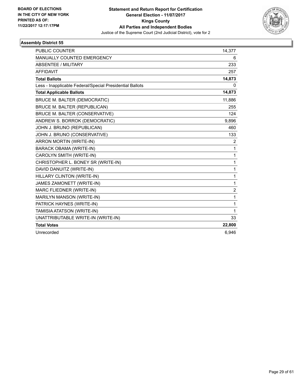

| <b>PUBLIC COUNTER</b>                                    | 14.377         |
|----------------------------------------------------------|----------------|
| MANUALLY COUNTED EMERGENCY                               | 6              |
| <b>ABSENTEE / MILITARY</b>                               | 233            |
| <b>AFFIDAVIT</b>                                         | 257            |
| <b>Total Ballots</b>                                     | 14,873         |
| Less - Inapplicable Federal/Special Presidential Ballots | 0              |
| <b>Total Applicable Ballots</b>                          | 14,873         |
| <b>BRUCE M. BALTER (DEMOCRATIC)</b>                      | 11,886         |
| BRUCE M. BALTER (REPUBLICAN)                             | 255            |
| <b>BRUCE M. BALTER (CONSERVATIVE)</b>                    | 124            |
| ANDREW S. BORROK (DEMOCRATIC)                            | 9,896          |
| JOHN J. BRUNO (REPUBLICAN)                               | 460            |
| JOHN J. BRUNO (CONSERVATIVE)                             | 133            |
| ARRON MORTIN (WRITE-IN)                                  | 2              |
| <b>BARACK OBAMA (WRITE-IN)</b>                           | $\mathbf{1}$   |
| CAROLYN SMITH (WRITE-IN)                                 | $\mathbf{1}$   |
| CHRISTOPHER L. BONEY SR (WRITE-IN)                       | $\mathbf{1}$   |
| DAVID DANUITZ (WRITE-IN)                                 | 1              |
| HILLARY CLINTON (WRITE-IN)                               | $\mathbf{1}$   |
| JAMES ZAMONETT (WRITE-IN)                                | 1              |
| MARC FLIEDNER (WRITE-IN)                                 | $\overline{2}$ |
| MARILYN MANSON (WRITE-IN)                                | $\mathbf{1}$   |
| PATRICK HAYNES (WRITE-IN)                                | $\mathbf{1}$   |
| TAMISIA ATATSON (WRITE-IN)                               | 1              |
| UNATTRIBUTABLE WRITE-IN (WRITE-IN)                       | 33             |
| <b>Total Votes</b>                                       | 22,800         |
| Unrecorded                                               | 6,946          |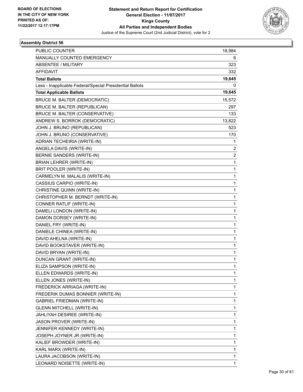

| PUBLIC COUNTER                                           | 18,984 |
|----------------------------------------------------------|--------|
| MANUALLY COUNTED EMERGENCY                               | 6      |
| ABSENTEE / MILITARY                                      | 323    |
| <b>AFFIDAVIT</b>                                         | 332    |
| <b>Total Ballots</b>                                     | 19,645 |
| Less - Inapplicable Federal/Special Presidential Ballots | 0      |
| <b>Total Applicable Ballots</b>                          | 19,645 |
| <b>BRUCE M. BALTER (DEMOCRATIC)</b>                      | 15,572 |
| BRUCE M. BALTER (REPUBLICAN)                             | 297    |
| BRUCE M. BALTER (CONSERVATIVE)                           | 133    |
| ANDREW S. BORROK (DEMOCRATIC)                            | 13,822 |
| JOHN J. BRUNO (REPUBLICAN)                               | 523    |
| JOHN J. BRUNO (CONSERVATIVE)                             | 170    |
| ADRIAN TECHEIRIA (WRITE-IN)                              | 1      |
| ANGELA DAVIS (WRITE-IN)                                  | 2      |
| <b>BERNIE SANDERS (WRITE-IN)</b>                         | 2      |
| BRIAN LEHRER (WRITE-IN)                                  | 1      |
| BRIT POOLER (WRITE-IN)                                   | 1      |
| CARMELYN M. MALALIS (WRITE-IN)                           | 1      |
| CASSIUS CARPIO (WRITE-IN)                                | 1      |
| CHRISTINE QUINN (WRITE-IN)                               | 1      |
| CHRISTOPHER M. BERNDT (WRITE-IN)                         | 1      |
| CONNER RATLIF (WRITE-IN)                                 | 1      |
| DAMELI LONDON (WRITE-IN)                                 | 1      |
| DAMON DORSEY (WRITE-IN)                                  | 1      |
| DANIEL FRY (WRITE-IN)                                    | 1      |
| DANIELE CHINEA (WRITE-IN)                                | 1      |
| DAVID AHELNA (WRITE-IN)                                  | 1      |
| DAVID BOOKSTAVER (WRITE-IN)                              | 1      |
| DAVID BRYAN (WRITE-IN)                                   | 1      |
| DUNCAN GRANT (WRITE-IN)                                  | 1      |
| ELIZA SAMPSON (WRITE-IN)                                 | 1      |
| ELLEN EDWARDS (WRITE-IN)                                 | 1      |
| ELLEN JONES (WRITE-IN)                                   | 1      |
| FREDERICK ARRIAGA (WRITE-IN)                             | 1      |
| FREDERIK DUMAS BONNIER (WRITE-IN)                        | 1      |
| <b>GABRIEL FRIEDMAN (WRITE-IN)</b>                       | 1      |
| <b>GLENN MITCHELL (WRITE-IN)</b>                         | 1      |
| JAHLIYAH DESIREE (WRITE-IN)                              | 1      |
| <b>JASON PROVER (WRITE-IN)</b>                           | 1      |
| JENNIFER KENNEDY (WRITE-IN)                              | 1      |
| JOSEPH JOYNER JR (WRITE-IN)                              | 1      |
| KALIEF BROWDER (WRITE-IN)                                | 1      |
| KARL MARX (WRITE-IN)                                     | 1      |
| LAURA JACOBSON (WRITE-IN)                                | 1      |
| LEONARD NOISETTE (WRITE-IN)                              | 1      |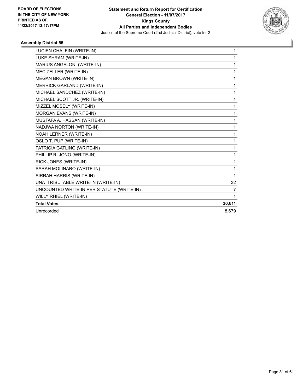

| LUCIEN CHALFIN (WRITE-IN)                 | 1            |
|-------------------------------------------|--------------|
| LUKE SHRAM (WRITE-IN)                     | 1            |
| MARIUS ANGELONI (WRITE-IN)                | 1            |
| MEC ZELLER (WRITE-IN)                     | 1            |
| <b>MEGAN BROWN (WRITE-IN)</b>             | 1            |
| MERRICK GARLAND (WRITE-IN)                | 1            |
| MICHAEL SANDCHEZ (WRITE-IN)               | 1            |
| MICHAEL SCOTT JR. (WRITE-IN)              | 1            |
| MIZZEL MOSELY (WRITE-IN)                  | 1            |
| MORGAN EVANS (WRITE-IN)                   | 1            |
| MUSTAFA A. HASSAN (WRITE-IN)              | 1            |
| NADJWA NORTON (WRITE-IN)                  | 1            |
| NOAH LERNER (WRITE-IN)                    | 1            |
| OSLO T. PUP (WRITE-IN)                    | 1            |
| PATRICIA GATLING (WRITE-IN)               | 1            |
| PHILLIP R. JONO (WRITE-IN)                | 1            |
| RICK JONES (WRITE-IN)                     | 1            |
| SARAH MOLINARO (WRITE-IN)                 | 1            |
| SIRRAH HARRIS (WRITE-IN)                  | 1            |
| UNATTRIBUTABLE WRITE-IN (WRITE-IN)        | 32           |
| UNCOUNTED WRITE-IN PER STATUTE (WRITE-IN) | 7            |
| WILLY RHIEL (WRITE-IN)                    | $\mathbf{1}$ |
| <b>Total Votes</b>                        | 30,611       |
| Unrecorded                                | 8.679        |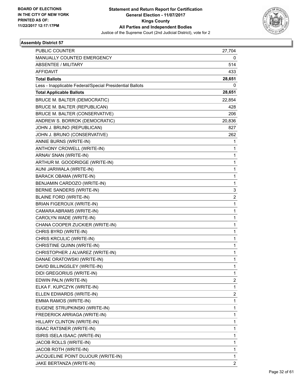

| <b>PUBLIC COUNTER</b>                                    | 27,704                  |
|----------------------------------------------------------|-------------------------|
| <b>MANUALLY COUNTED EMERGENCY</b>                        | 0                       |
| ABSENTEE / MILITARY                                      | 514                     |
| <b>AFFIDAVIT</b>                                         | 433                     |
| <b>Total Ballots</b>                                     | 28,651                  |
| Less - Inapplicable Federal/Special Presidential Ballots | 0                       |
| <b>Total Applicable Ballots</b>                          | 28,651                  |
| <b>BRUCE M. BALTER (DEMOCRATIC)</b>                      | 22,854                  |
| <b>BRUCE M. BALTER (REPUBLICAN)</b>                      | 428                     |
| <b>BRUCE M. BALTER (CONSERVATIVE)</b>                    | 206                     |
| ANDREW S. BORROK (DEMOCRATIC)                            | 20,836                  |
| JOHN J. BRUNO (REPUBLICAN)                               | 827                     |
| JOHN J. BRUNO (CONSERVATIVE)                             | 262                     |
| ANNIE BURNS (WRITE-IN)                                   | 1                       |
| ANTHONY CROWELL (WRITE-IN)                               | 1                       |
| ARNAV SNAN (WRITE-IN)                                    | 1                       |
| ARTHUR M. GOODRIDGE (WRITE-IN)                           | 1                       |
| AUNI JARIWALA (WRITE-IN)                                 | 1                       |
| BARACK OBAMA (WRITE-IN)                                  | 1                       |
| BENJAMIN CARDOZO (WRITE-IN)                              | $\mathbf{1}$            |
| BERNIE SANDERS (WRITE-IN)                                | 3                       |
| <b>BLAINE FORD (WRITE-IN)</b>                            | 2                       |
| <b>BRIAN FIGEROUX (WRITE-IN)</b>                         | $\mathbf{1}$            |
| CAMARA ABRAMS (WRITE-IN)                                 | 1                       |
| CAROLYN WADE (WRITE-IN)                                  | 1                       |
| CHANA COOPER ZUCKIER (WRITE-IN)                          | $\mathbf{1}$            |
| CHRIS BYRD (WRITE-IN)                                    | 1                       |
| CHRIS KRCULIC (WRITE-IN)                                 | 1                       |
| CHRISTINE QUINN (WRITE-IN)                               | $\mathbf{1}$            |
| CHRISTOPHER J ALVAREZ (WRITE-IN)                         | 1                       |
| DANAE ORATOWSKI (WRITE-IN)                               | 1                       |
| DAVID BILLINGSLEY (WRITE-IN)                             | 1                       |
| DIDI GREGORIUS (WRITE-IN)                                | 1                       |
| EDWIN PALN (WRITE-IN)                                    | 2                       |
| ELKA F. KUPCZYK (WRITE-IN)                               | $\mathbf{1}$            |
| ELLEN EDWARDS (WRITE-IN)                                 | $\overline{\mathbf{c}}$ |
| EMMA RAMOS (WRITE-IN)                                    | 1                       |
| EUGENE STRUPKINSKI (WRITE-IN)                            | 1                       |
| FREDERICK ARRIAGA (WRITE-IN)                             | 1                       |
| HILLARY CLINTON (WRITE-IN)                               | 1                       |
| <b>ISAAC RATSNER (WRITE-IN)</b>                          | 1                       |
| ISIRIS ISELA ISAAC (WRITE-IN)                            | 1                       |
| JACOB ROLLS (WRITE-IN)                                   | 1                       |
| JACOB ROTH (WRITE-IN)                                    | 1                       |
| JACQUELINE POINT DUJOUR (WRITE-IN)                       | 1                       |
| JAKE BERTANZA (WRITE-IN)                                 | 2                       |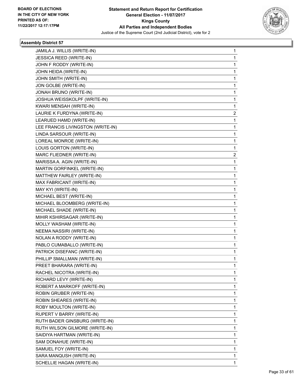

| JAMILA J. WILLIS (WRITE-IN)       | 1 |
|-----------------------------------|---|
| JESSICA REED (WRITE-IN)           | 1 |
| JOHN F RODDY (WRITE-IN)           | 1 |
| JOHN HEIDA (WRITE-IN)             | 1 |
| JOHN SMITH (WRITE-IN)             | 1 |
| JON GOLBE (WRITE-IN)              | 1 |
| JONAH BRUNO (WRITE-IN)            | 1 |
| JOSHUA WEISSKOLPF (WRITE-IN)      | 1 |
| KWARI MENSAH (WRITE-IN)           | 1 |
| LAURIE K FURDYNA (WRITE-IN)       | 2 |
| LEARUED HAMD (WRITE-IN)           | 1 |
| LEE FRANCIS LIVINGSTON (WRITE-IN) | 1 |
| LINDA SARSOUR (WRITE-IN)          | 1 |
| LOREAL MONROE (WRITE-IN)          | 1 |
| LOUIS GORTON (WRITE-IN)           | 1 |
| MARC FLIEDNER (WRITE-IN)          | 2 |
| MARISSA A. AGIN (WRITE-IN)        | 1 |
| MARTIN GORFINKEL (WRITE-IN)       | 1 |
| MATTHEW FAIRLEY (WRITE-IN)        | 1 |
| MAX FABRICANT (WRITE-IN)          | 1 |
| MAY KYI (WRITE-IN)                | 1 |
| MICHAEL BEST (WRITE-IN)           | 1 |
| MICHAEL BLOOMBERG (WRITE-IN)      | 1 |
| MICHAEL SHADE (WRITE-IN)          | 1 |
| MIHIR KSHIRSAGAR (WRITE-IN)       | 1 |
| MOLLY WASHAM (WRITE-IN)           | 1 |
| NEEMA NASSIRI (WRITE-IN)          | 1 |
| NOLAN A RODDY (WRITE-IN)          | 1 |
| PABLO CUMABALLO (WRITE-IN)        | 1 |
| PATRICK DISEFANC (WRITE-IN)       | 1 |
| PHILLIP SMALLMAN (WRITE-IN)       | 1 |
| PREET BHARARA (WRITE-IN)          | 1 |
| RACHEL NICOTRA (WRITE-IN)         | 1 |
| RICHARD LEVY (WRITE-IN)           | 1 |
| ROBERT A MARKOFF (WRITE-IN)       | 1 |
| ROBIN GRUBER (WRITE-IN)           | 1 |
| ROBIN SHEARES (WRITE-IN)          | 1 |
| ROBY MOULTON (WRITE-IN)           | 1 |
| RUPERT V BARRY (WRITE-IN)         | 1 |
| RUTH BADER GINSBURG (WRITE-IN)    | 1 |
| RUTH WILSON GILMORE (WRITE-IN)    | 1 |
| SAIDIYA HARTMAN (WRITE-IN)        | 1 |
| SAM DONAHUE (WRITE-IN)            | 1 |
| SAMUEL FOY (WRITE-IN)             | 1 |
| SARA MANQUSH (WRITE-IN)           | 1 |
| SCHELLIE HAGAN (WRITE-IN)         | 1 |
|                                   |   |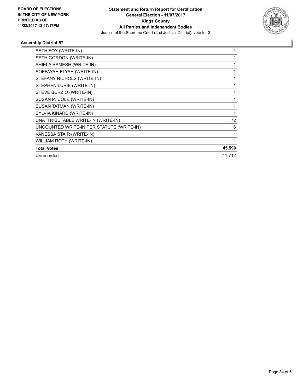

| SETH FOY (WRITE-IN)                       |        |
|-------------------------------------------|--------|
| SETH GORDON (WRITE-IN)                    |        |
| SHIELA RAMESH (WRITE-IN)                  |        |
| SOFFAYAH ELYAH (WRITE-IN)                 |        |
| STEFANY NICHOLS (WRITE-IN)                |        |
| STEPHEN LURIE (WRITE-IN)                  |        |
| STEVE BURZIO (WRITE-IN)                   |        |
| SUSAN P. COLE (WRITE-IN)                  |        |
| SUSAN TATMAN (WRITE-IN)                   |        |
| SYLVIA KINARD (WRITE-IN)                  |        |
| UNATTRIBUTABLE WRITE-IN (WRITE-IN)        | 72     |
| UNCOUNTED WRITE-IN PER STATUTE (WRITE-IN) | 6      |
| VANESSA STAIR (WRITE-IN)                  |        |
| WILLIAM ROTH (WRITE-IN)                   |        |
| <b>Total Votes</b>                        | 45,590 |
| Unrecorded                                | 11.712 |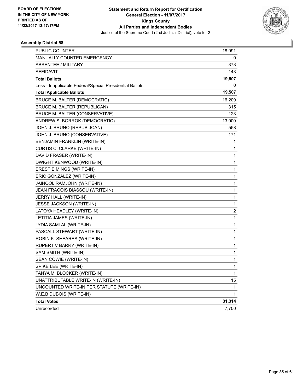

| PUBLIC COUNTER                                           | 18,991 |
|----------------------------------------------------------|--------|
| MANUALLY COUNTED EMERGENCY                               | 0      |
| <b>ABSENTEE / MILITARY</b>                               | 373    |
| <b>AFFIDAVIT</b>                                         | 143    |
| <b>Total Ballots</b>                                     | 19,507 |
| Less - Inapplicable Federal/Special Presidential Ballots | 0      |
| <b>Total Applicable Ballots</b>                          | 19,507 |
| <b>BRUCE M. BALTER (DEMOCRATIC)</b>                      | 16,209 |
| BRUCE M. BALTER (REPUBLICAN)                             | 315    |
| BRUCE M. BALTER (CONSERVATIVE)                           | 123.   |
| ANDREW S. BORROK (DEMOCRATIC)                            | 13,900 |
| JOHN J. BRUNO (REPUBLICAN)                               | 558    |
| JOHN J. BRUNO (CONSERVATIVE)                             | 171    |
| BENJAMIN FRANKLIN (WRITE-IN)                             | 1      |
| CURTIS C. CLARKE (WRITE-IN)                              | 1      |
| DAVID FRASER (WRITE-IN)                                  | 1      |
| DWIGHT KENWOOD (WRITE-IN)                                | 1      |
| ERESTIE MINGS (WRITE-IN)                                 | 1      |
| ERIC GONZALEZ (WRITE-IN)                                 | 1      |
| JAINOOL RAMJOHN (WRITE-IN)                               | 1      |
| JEAN FRACOIS BIASSOU (WRITE-IN)                          | 1      |
| JERRY HALL (WRITE-IN)                                    | 1      |
| JESSE JACKSON (WRITE-IN)                                 | 1      |
| LATOYA HEADLEY (WRITE-IN)                                | 2      |
| LETITIA JAMES (WRITE-IN)                                 | 1      |
| LYDIA SAMLAL (WRITE-IN)                                  | 1      |
| PASCALL STEWART (WRITE-IN)                               | 1      |
| ROBIN K. SHEARES (WRITE-IN)                              | 1      |
| RUPERT V BARRY (WRITE-IN)                                | 1      |
| SAM SMITH (WRITE-IN)                                     | 1      |
| SEAN COWIE (WRITE-IN)                                    | 1      |
| SPIKE LEE (WRITE-IN)                                     | 1      |
| TANYA M. BLOCKER (WRITE-IN)                              | 1      |
| UNATTRIBUTABLE WRITE-IN (WRITE-IN)                       | 15     |
| UNCOUNTED WRITE-IN PER STATUTE (WRITE-IN)                | 1      |
| W.E.B DUBOIS (WRITE-IN)                                  | 1      |
| <b>Total Votes</b>                                       | 31,314 |
| Unrecorded                                               | 7,700  |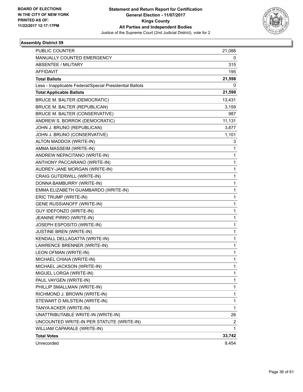

| PUBLIC COUNTER                                           | 21,088       |
|----------------------------------------------------------|--------------|
| MANUALLY COUNTED EMERGENCY                               | 0            |
| <b>ABSENTEE / MILITARY</b>                               | 315          |
| <b>AFFIDAVIT</b>                                         | 195          |
| <b>Total Ballots</b>                                     | 21,598       |
| Less - Inapplicable Federal/Special Presidential Ballots | 0            |
| <b>Total Applicable Ballots</b>                          | 21,598       |
| <b>BRUCE M. BALTER (DEMOCRATIC)</b>                      | 13,431       |
| BRUCE M. BALTER (REPUBLICAN)                             | 3,159        |
| BRUCE M. BALTER (CONSERVATIVE)                           | 987          |
| ANDREW S. BORROK (DEMOCRATIC)                            | 11,131       |
| JOHN J. BRUNO (REPUBLICAN)                               | 3,877        |
| JOHN J. BRUNO (CONSERVATIVE)                             | 1,101        |
| ALTON MADDOX (WRITE-IN)                                  | 3            |
| AMMA MASSEIM (WRITE-IN)                                  | 1            |
| ANDREW NEPACITANO (WRITE-IN)                             | 1            |
| ANTHONY PACCARANO (WRITE-IN)                             | $\mathbf{1}$ |
| AUDREY-JANE MORGAN (WRITE-IN)                            | 1            |
| CRAIG GUTERWILL (WRITE-IN)                               | 1            |
| DONNA BAMBURRY (WRITE-IN)                                | $\mathbf{1}$ |
| EMMA ELIZABETH GUAMBARDO (WRITE-IN)                      | 1            |
| ERIC TRUMP (WRITE-IN)                                    | 1            |
| <b>GENE RUSSIANOFF (WRITE-IN)</b>                        | $\mathbf{1}$ |
| GUY IDEFONZO (WRITE-IN)                                  | 1            |
| JEANINE PIRRO (WRITE-IN)                                 | 1            |
| JOSEPH ESPOSITO (WRITE-IN)                               | 1            |
| <b>JUSTINE BREN (WRITE-IN)</b>                           | 1            |
| KENDALL DELLAGATTA (WRITE-IN)                            | 1            |
| LAWRENCE BRENNER (WRITE-IN)                              | $\mathbf{1}$ |
| LEON OFMAN (WRITE-IN)                                    | 1            |
| MICHAEL CHIAIA (WRITE-IN)                                | 1            |
| MICHAEL JACKSON (WRITE-IN)                               | 1            |
| MIGUEL LORGA (WRITE-IN)                                  | 1            |
| PAUL VAYGEN (WRITE-IN)                                   | 1            |
| PHILLIP SMALLMAN (WRITE-IN)                              | $\mathbf{1}$ |
| RICHMOND J. BROWN (WRITE-IN)                             | 1            |
| STEWART D MILSTEIN (WRITE-IN)                            | 1            |
| TANYA ACKER (WRITE-IN)                                   | 1            |
| UNATTRIBUTABLE WRITE-IN (WRITE-IN)                       | 26           |
| UNCOUNTED WRITE-IN PER STATUTE (WRITE-IN)                | 2            |
| WILLIAM CAPARALE (WRITE-IN)                              | 1            |
| <b>Total Votes</b>                                       | 33,742       |
| Unrecorded                                               | 9,454        |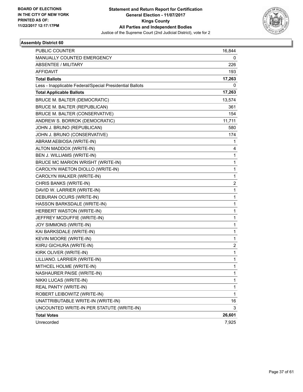

| <b>PUBLIC COUNTER</b>                                    | 16,844                  |
|----------------------------------------------------------|-------------------------|
| MANUALLY COUNTED EMERGENCY                               | 0                       |
| <b>ABSENTEE / MILITARY</b>                               | 226                     |
| <b>AFFIDAVIT</b>                                         | 193                     |
| <b>Total Ballots</b>                                     | 17,263                  |
| Less - Inapplicable Federal/Special Presidential Ballots | 0                       |
| <b>Total Applicable Ballots</b>                          | 17,263                  |
| BRUCE M. BALTER (DEMOCRATIC)                             | 13,574                  |
| BRUCE M. BALTER (REPUBLICAN)                             | 361                     |
| BRUCE M. BALTER (CONSERVATIVE)                           | 154                     |
| ANDREW S. BORROK (DEMOCRATIC)                            | 11,711                  |
| JOHN J. BRUNO (REPUBLICAN)                               | 580                     |
| JOHN J. BRUNO (CONSERVATIVE)                             | 174                     |
| ABRAM AEBIOSA (WRITE-IN)                                 | 1                       |
| ALTON MADDOX (WRITE-IN)                                  | 4                       |
| BEN J. WILLIAMS (WRITE-IN)                               | 1                       |
| BRUCE MC MARION WRISHT (WRITE-IN)                        | $\mathbf{1}$            |
| CAROLYN WAETON DIOLLO (WRITE-IN)                         | 1                       |
| CAROLYN WALKER (WRITE-IN)                                | 1                       |
| CHRIS BANKS (WRITE-IN)                                   | $\overline{\mathbf{c}}$ |
| DAVID W. LARRIER (WRITE-IN)                              | 1                       |
| DEBURAN OCURS (WRITE-IN)                                 | 1                       |
| HASSON BARKSDALE (WRITE-IN)                              | $\mathbf{1}$            |
| HERBERT WASTON (WRITE-IN)                                | 1                       |
| JEFFREY MCDUFFIE (WRITE-IN)                              | 1                       |
| JOY SIMMONS (WRITE-IN)                                   | 1                       |
| KAI BARKSDALE (WRITE-IN)                                 | 1                       |
| KEVIN MOORE (WRITE-IN)                                   | 1                       |
| KIIRU GICHURA (WRITE-IN)                                 | 2                       |
| KIRK OLIVER (WRITE-IN)                                   | 1                       |
| LILLIANO. LARRIER (WRITE-IN)                             | 1                       |
| MITHCEL HOLME (WRITE-IN)                                 | 1                       |
| NASHAURER PAISE (WRITE-IN)                               | 1                       |
| NIKKI LUCAS (WRITE-IN)                                   | 1                       |
| REAL PANTY (WRITE-IN)                                    | 1                       |
| ROBERT LEIBOWITZ (WRITE-IN)                              | 1                       |
| UNATTRIBUTABLE WRITE-IN (WRITE-IN)                       | 16                      |
| UNCOUNTED WRITE-IN PER STATUTE (WRITE-IN)                | 3                       |
| <b>Total Votes</b>                                       | 26,601                  |
| Unrecorded                                               | 7,925                   |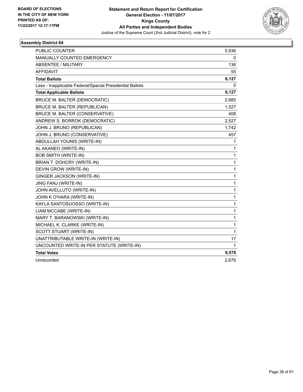

| <b>PUBLIC COUNTER</b>                                    | 5,936 |
|----------------------------------------------------------|-------|
| MANUALLY COUNTED EMERGENCY                               | 0     |
| <b>ABSENTEE / MILITARY</b>                               | 136   |
| <b>AFFIDAVIT</b>                                         | 55    |
| <b>Total Ballots</b>                                     | 6,127 |
| Less - Inapplicable Federal/Special Presidential Ballots | 0     |
| <b>Total Applicable Ballots</b>                          | 6,127 |
| <b>BRUCE M. BALTER (DEMOCRATIC)</b>                      | 2,885 |
| BRUCE M. BALTER (REPUBLICAN)                             | 1,527 |
| BRUCE M. BALTER (CONSERVATIVE)                           | 408   |
| ANDREW S. BORROK (DEMOCRATIC)                            | 2,527 |
| JOHN J. BRUNO (REPUBLICAN)                               | 1,742 |
| JOHN J. BRUNO (CONSERVATIVE)                             | 457   |
| ABDULLAH YOUNIS (WRITE-IN)                               | 1     |
| AL AKANEO (WRITE-IN)                                     | 1     |
| <b>BOB SMITH (WRITE-IN)</b>                              | 1     |
| BRIAN T. DOHCRY (WRITE-IN)                               | 1     |
| DEVIN CROW (WRITE-IN)                                    | 1     |
| GINGER JACKSON (WRITE-IN)                                | 1     |
| JING FANJ (WRITE-IN)                                     | 1     |
| JOHN AVELLUTO (WRITE-IN)                                 | 1     |
| JOHN K O'HARA (WRITE-IN)                                 | 1     |
| KAYLA SANTOSUOSSO (WRITE-IN)                             | 1     |
| LIAM MCCABE (WRITE-IN)                                   | 1     |
| MARY T. BARANOWSKI (WRITE-IN)                            | 1     |
| MICHAEL K. CLARKE (WRITE-IN)                             | 1     |
| SCOTT STUART (WRITE-IN)                                  | 1     |
| UNATTRIBUTABLE WRITE-IN (WRITE-IN)                       | 17    |
| UNCOUNTED WRITE-IN PER STATUTE (WRITE-IN)                | 1     |
| <b>Total Votes</b>                                       | 9,578 |
| Unrecorded                                               | 2,676 |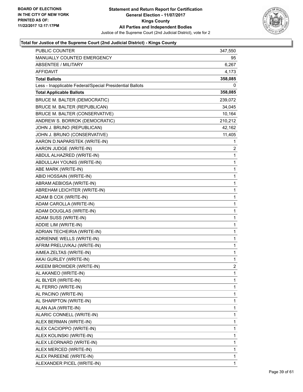

| <b>PUBLIC COUNTER</b>                                    | 347,550 |
|----------------------------------------------------------|---------|
| MANUALLY COUNTED EMERGENCY                               | 95      |
| <b>ABSENTEE / MILITARY</b>                               | 6,267   |
| AFFIDAVIT                                                | 4,173   |
| <b>Total Ballots</b>                                     | 358,085 |
| Less - Inapplicable Federal/Special Presidential Ballots | 0       |
| <b>Total Applicable Ballots</b>                          | 358,085 |
| BRUCE M. BALTER (DEMOCRATIC)                             | 239,072 |
| BRUCE M. BALTER (REPUBLICAN)                             | 34,045  |
| BRUCE M. BALTER (CONSERVATIVE)                           | 10,164  |
| ANDREW S. BORROK (DEMOCRATIC)                            | 210,212 |
| JOHN J. BRUNO (REPUBLICAN)                               | 42,162  |
| JOHN J. BRUNO (CONSERVATIVE)                             | 11,405  |
| AARON D.NAPARSTEK (WRITE-IN)                             | 1       |
| AARON JUDGE (WRITE-IN)                                   | 2       |
| ABDUL ALHAZRED (WRITE-IN)                                | 1       |
| ABDULLAH YOUNIS (WRITE-IN)                               | 1       |
| ABE MARK (WRITE-IN)                                      | 1       |
| ABID HOSSAIN (WRITE-IN)                                  | 1       |
| ABRAM AEBIOSA (WRITE-IN)                                 | 1       |
| ABREHAM LEICHTER (WRITE-IN)                              | 1       |
| ADAM B COX (WRITE-IN)                                    | 1       |
| ADAM CAROLLA (WRITE-IN)                                  | 1       |
| ADAM DOUGLAS (WRITE-IN)                                  | 1       |
| ADAM SUSS (WRITE-IN)                                     | 1       |
| ADDIE LIM (WRITE-IN)                                     | 1       |
| ADRIAN TECHEIRIA (WRITE-IN)                              | 1       |
| ADRIENNE WELLS (WRITE-IN)                                | 1       |
| AFRIM PRELUVKAJ (WRITE-IN)                               | 1       |
| AIMEA ZELTAS (WRITE-IN)                                  | 1       |
| AKAI GURLEY (WRITE-IN)                                   | 1       |
| AKEEM BROWDER (WRITE-IN)                                 | 2       |
| AL AKANEO (WRITE-IN)                                     | 1       |
| AL BLYER (WRITE-IN)                                      | 1       |
| AL FERRO (WRITE-IN)                                      | 1       |
| AL PACINO (WRITE-IN)                                     | 1       |
| AL SHARPTON (WRITE-IN)                                   | 1       |
| ALAN AJA (WRITE-IN)                                      | 1       |
| ALARIC CONNELL (WRITE-IN)                                | 1       |
| ALEX BERMAN (WRITE-IN)                                   | 1       |
| ALEX CACIOPPO (WRITE-IN)                                 | 1       |
| ALEX KOLINSKI (WRITE-IN)                                 | 1       |
| ALEX LEORNARD (WRITE-IN)                                 | 1       |
| ALEX MERCED (WRITE-IN)                                   | 1       |
| ALEX PAREENE (WRITE-IN)                                  | 1       |
| ALEXANDER PICEL (WRITE-IN)                               | 1       |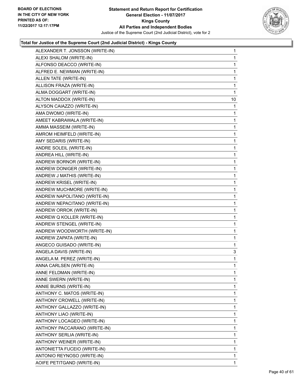

| ALEXANDER T. JONSSON (WRITE-IN) | 1            |
|---------------------------------|--------------|
| ALEXI SHALOM (WRITE-IN)         | 1            |
| ALFONSO DEACCO (WRITE-IN)       | 1            |
| ALFRED E. NEWMAN (WRITE-IN)     | 1            |
| ALLEN TATE (WRITE-IN)           | 1            |
| ALLISON FRAZA (WRITE-IN)        | 1            |
| ALMA DOGGART (WRITE-IN)         | 1            |
| ALTON MADDOX (WRITE-IN)         | 10           |
| ALYSON CAIAZZO (WRITE-IN)       | 1            |
| AMA DWOMO (WRITE-IN)            | 1            |
| AMEET KABRAWALA (WRITE-IN)      | 1            |
| AMMA MASSEIM (WRITE-IN)         | 1            |
| AMROM HEIMFELD (WRITE-IN)       | 1            |
| AMY SEDARIS (WRITE-IN)          | 1            |
| ANDRE SOLEIL (WRITE-IN)         | 1            |
| ANDREA HILL (WRITE-IN)          | 1            |
| ANDREW BORNOR (WRITE-IN)        | 1            |
| ANDREW DONIGER (WRITE-IN)       | 1            |
| ANDREW J MATHIS (WRITE-IN)      | 1            |
| ANDREW KRISEL (WRITE-IN)        | 1            |
| ANDREW MUCHMORE (WRITE-IN)      | 1            |
| ANDREW NAPOLITANO (WRITE-IN)    | 1            |
| ANDREW NEPACITANO (WRITE-IN)    | 1            |
| ANDREW ORROK (WRITE-IN)         | 1            |
| ANDREW Q KOLLER (WRITE-IN)      | 1            |
| ANDREW STENGEL (WRITE-IN)       | 1            |
| ANDREW WOODWORTH (WRITE-IN)     | 1            |
| ANDREW ZAPATA (WRITE-IN)        | 1            |
| ANGECO GUISADO (WRITE-IN)       | 1            |
| ANGELA DAVIS (WRITE-IN)         | 3            |
| ANGELA M. PEREZ (WRITE-IN)      | $\mathbf{1}$ |
| ANNA CARLSEN (WRITE-IN)         | 1            |
| ANNE FELDMAN (WRITE-IN)         | 1            |
| ANNE SWERN (WRITE-IN)           | 1            |
| ANNIE BURNS (WRITE-IN)          | 1            |
| ANTHONY C. MATOS (WRITE-IN)     | 1            |
| ANTHONY CROWELL (WRITE-IN)      | 1            |
| ANTHONY GALLAZZO (WRITE-IN)     | 1            |
| ANTHONY LIAO (WRITE-IN)         | 1            |
| ANTHONY LOCAGEO (WRITE-IN)      | 1            |
| ANTHONY PACCARANO (WRITE-IN)    | 1            |
| ANTHONY SERLIA (WRITE-IN)       | 1            |
| ANTHONY WEINER (WRITE-IN)       | 1            |
| ANTONIETTA FUCEIO (WRITE-IN)    | 1            |
| ANTONIO REYNOSO (WRITE-IN)      | 1            |
| AOIFE PETITGAND (WRITE-IN)      | 1            |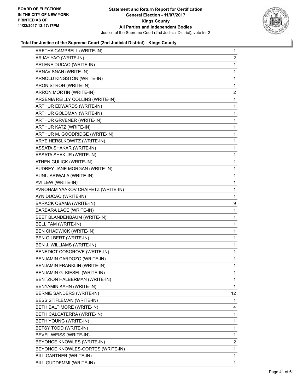

| ARETHA CAMPBELL (WRITE-IN)         | 1           |
|------------------------------------|-------------|
| ARJAY YAO (WRITE-IN)               | 2           |
| ARLENE DUCAO (WRITE-IN)            | 1           |
| ARNAV SNAN (WRITE-IN)              | $\mathbf 1$ |
| ARNOLD KINGSTON (WRITE-IN)         | 1           |
| ARON STROH (WRITE-IN)              | 1           |
| ARRON MORTIN (WRITE-IN)            | 2           |
| ARSENIA REILLY COLLINS (WRITE-IN)  | 1           |
| ARTHUR EDWARDS (WRITE-IN)          | 1           |
| ARTHUR GOLDMAN (WRITE-IN)          | $\mathbf 1$ |
| ARTHUR GRVENER (WRITE-IN)          | 1           |
| ARTHUR KATZ (WRITE-IN)             | 1           |
| ARTHUR M. GOODRIDGE (WRITE-IN)     | 1           |
| ARYE HERSLKOWITZ (WRITE-IN)        | 1           |
| ASSATA SHAKAR (WRITE-IN)           | 1           |
| <b>ASSATA SHAKUR (WRITE-IN)</b>    | $\mathbf 1$ |
| ATHEN GULICK (WRITE-IN)            | 1           |
| AUDREY-JANE MORGAN (WRITE-IN)      | 1           |
| AUNI JARIWALA (WRITE-IN)           | 1           |
| AVI LEW (WRITE-IN)                 | 1           |
| AVROHAM YAAKOV CHAIFETZ (WRITE-IN) | 1           |
| AYN DUCAO (WRITE-IN)               | 1           |
| BARACK OBAMA (WRITE-IN)            | 9           |
| BARBARA LACE (WRITE-IN)            | 1           |
| BEET BLANDENBAUM (WRITE-IN)        | 1           |
| BELL PAM (WRITE-IN)                | 1           |
| BEN CHADWICK (WRITE-IN)            | 1           |
| <b>BEN GILBERT (WRITE-IN)</b>      | $\mathbf 1$ |
| BEN J. WILLIAMS (WRITE-IN)         | 1           |
| BENEDICT COSGROVE (WRITE-IN)       | 1           |
| BENJAMIN CARDOZO (WRITE-IN)        | 1           |
| BENJAMIN FRANKLIN (WRITE-IN)       | 1           |
| BENJAMIN G. KIESEL (WRITE-IN)      | 1           |
| BENTZION HALBERMAN (WRITE-IN)      | 1           |
| BENYAMIN KAHN (WRITE-IN)           | 1           |
| BERNIE SANDERS (WRITE-IN)          | 12          |
| BESS STIFLEMAN (WRITE-IN)          | 1           |
| BETH BALTIMORE (WRITE-IN)          | 4           |
| BETH CALCATERRA (WRITE-IN)         | 1           |
| BETH YOUNG (WRITE-IN)              | 1           |
| BETSY TODD (WRITE-IN)              | 1           |
| BEVEL WEISS (WRITE-IN)             | 1           |
| BEYONCE KNOWLES (WRITE-IN)         | 2           |
| BEYONCE KNOWLES-CORTES (WRITE-IN)  | 1           |
| BILL GARTNER (WRITE-IN)            | 1           |
| BILL GUDDEMMI (WRITE-IN)           | $\mathbf 1$ |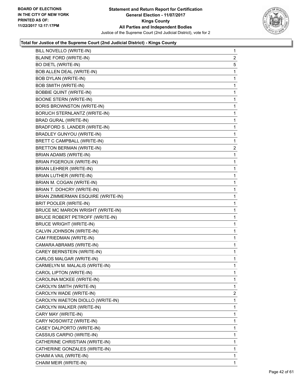

| BILL NOVELLO (WRITE-IN)            | $\mathbf 1$    |
|------------------------------------|----------------|
| BLAINE FORD (WRITE-IN)             | $\overline{2}$ |
| <b>BO DIETL (WRITE-IN)</b>         | 5              |
| BOB ALLEN DEAL (WRITE-IN)          | 1              |
| <b>BOB DYLAN (WRITE-IN)</b>        | 1              |
| <b>BOB SMITH (WRITE-IN)</b>        | 1              |
| <b>BOBBIE QUINT (WRITE-IN)</b>     | 1              |
| <b>BOONE STERN (WRITE-IN)</b>      | 1              |
| BORIS BROWNSTON (WRITE-IN)         | 1              |
| BORUCH STERNLANTZ (WRITE-IN)       | 1              |
| <b>BRAD GURAL (WRITE-IN)</b>       | 1              |
| BRADFORD S. LANDER (WRITE-IN)      | 1              |
| <b>BRADLEY GUNYOU (WRITE-IN)</b>   | 1              |
| BRETT C CAMPBALL (WRITE-IN)        | 1              |
| <b>BRETTON BERMAN (WRITE-IN)</b>   | 2              |
| <b>BRIAN ADAMS (WRITE-IN)</b>      | 1              |
| BRIAN FIGEROUX (WRITE-IN)          | 1              |
| BRIAN LEHRER (WRITE-IN)            | 1              |
| BRIAN LUTHER (WRITE-IN)            | 1              |
| BRIAN M. COGAN (WRITE-IN)          | 1              |
| BRIAN T. DOHCRY (WRITE-IN)         | 1              |
| BRIAN ZIMMERMAN ESQUIRE (WRITE-IN) | 1              |
| BRIT POOLER (WRITE-IN)             | 1              |
| BRUCE MC MARION WRISHT (WRITE-IN)  | 1              |
| BRUCE ROBERT PETROFF (WRITE-IN)    | 1              |
| <b>BRUCE WRIGHT (WRITE-IN)</b>     | 1              |
| CALVIN JOHNSON (WRITE-IN)          | 1              |
| CAM FRIEDMAN (WRITE-IN)            | 1              |
| CAMARA ABRAMS (WRITE-IN)           | 1              |
| CAREY BERNSTEIN (WRITE-IN)         | 1              |
| CARLOS MALGAR (WRITE-IN)           | 1              |
| CARMELYN M. MALALIS (WRITE-IN)     | 1              |
| CAROL LIPTON (WRITE-IN)            | 1              |
| CAROLINA MCKEE (WRITE-IN)          | 1              |
| CAROLYN SMITH (WRITE-IN)           | 1              |
| CAROLYN WADE (WRITE-IN)            | 2              |
| CAROLYN WAETON DIOLLO (WRITE-IN)   | 1              |
| CAROLYN WALKER (WRITE-IN)          | 1              |
| CARY MAY (WRITE-IN)                | 1              |
| CARY NOSOWITZ (WRITE-IN)           | 1              |
| CASEY DALPORTO (WRITE-IN)          | 1              |
| CASSIUS CARPIO (WRITE-IN)          | 1              |
| CATHERINE CHRISTIAN (WRITE-IN)     | 1              |
| CATHERINE GONZALES (WRITE-IN)      | 1              |
| CHAIM A VAIL (WRITE-IN)            | 1              |
| CHAIM MEIR (WRITE-IN)              | 1.             |
|                                    |                |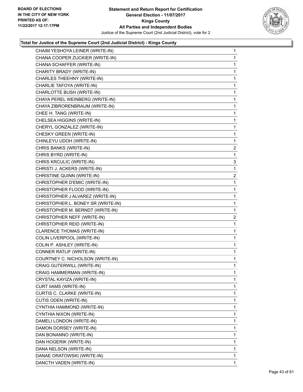

| CHAIM YESHOYA LEINER (WRITE-IN)    | $\mathbf{1}$ |
|------------------------------------|--------------|
| CHANA COOPER ZUCKIER (WRITE-IN)    | 1            |
| CHANA SCHAFFER (WRITE-IN)          | 1            |
| CHARITY BRADY (WRITE-IN)           | 1            |
| CHARLES THEEHNY (WRITE-IN)         | 1            |
| CHARLIE TAFOYA (WRITE-IN)          | 1            |
| CHARLOTTE BUSH (WRITE-IN)          | 1            |
| CHAYA PEREL WEINBERG (WRITE-IN)    | 1            |
| CHAYA ZIBRORENBRAUM (WRITE-IN)     | 1            |
| CHEE H. TANG (WRITE-IN)            | 1            |
| CHELSEA HIGGINS (WRITE-IN)         | 1            |
| CHERYL GONZALEZ (WRITE-IN)         | 1            |
| CHESKY GREEN (WRITE-IN)            | 1            |
| CHINLEYU UDOH (WRITE-IN)           | 1            |
| CHRIS BANKS (WRITE-IN)             | 2            |
| CHRIS BYRD (WRITE-IN)              | 1            |
| CHRIS KRCULIC (WRITE-IN)           | 3            |
| CHRISTI J. ACKERS (WRITE-IN)       | 1            |
| CHRISTINE QUINN (WRITE-IN)         | 2            |
| CHRISTOPHER D'EMIC (WRITE-IN)      | 1            |
| CHRISTOPHER FLOOD (WRITE-IN)       | 1            |
| CHRISTOPHER J ALVAREZ (WRITE-IN)   | 1            |
| CHRISTOPHER L. BONEY SR (WRITE-IN) | 1            |
| CHRISTOPHER M. BERNDT (WRITE-IN)   | 1            |
| CHRISTOPHER NEFF (WRITE-IN)        | 2            |
| CHRISTOPHER REID (WRITE-IN)        | 1            |
| CLARENCE THOMAS (WRITE-IN)         | 1            |
| COLIN LIVERPOOL (WRITE-IN)         | 1            |
| COLIN P. ASHLEY (WRITE-IN)         | 1            |
| CONNER RATLIF (WRITE-IN)           | 1            |
| COURTNEY C. NICHOLSON (WRITE-IN)   | 1            |
| CRAIG GUTERWILL (WRITE-IN)         | 1            |
| CRAIG HAMMERMAN (WRITE-IN)         | 1            |
| CRYSTAL KAYIZA (WRITE-IN)          | 1            |
| CURT IIAMS (WRITE-IN)              | 1            |
| CURTIS C. CLARKE (WRITE-IN)        | 1            |
| CUTIS ODEN (WRITE-IN)              | 1            |
| CYNTHIA HAMMOND (WRITE-IN)         | 1            |
| CYNTHIA NIXON (WRITE-IN)           | 1            |
| DAMELI LONDON (WRITE-IN)           | 1            |
| DAMON DORSEY (WRITE-IN)            | 1            |
| DAN BONANNO (WRITE-IN)             | 1            |
| DAN HOGERIK (WRITE-IN)             | 1            |
| DANA NELSON (WRITE-IN)             | 1            |
| DANAE ORATOWSKI (WRITE-IN)         | 1            |
| DANCTH VADEN (WRITE-IN)            | 1.           |
|                                    |              |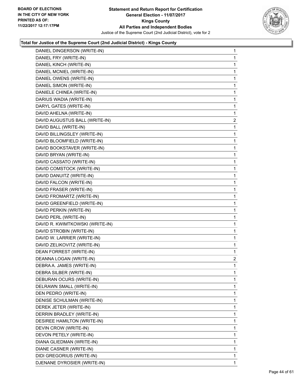

| DANIEL DINGERSON (WRITE-IN)     | $\mathbf{1}$   |
|---------------------------------|----------------|
| DANIEL FRY (WRITE-IN)           | 1              |
| DANIEL KINCH (WRITE-IN)         | 1              |
| DANIEL MCNIEL (WRITE-IN)        | 1              |
| DANIEL OWENS (WRITE-IN)         | 1              |
| DANIEL SIMON (WRITE-IN)         | 1              |
| DANIELE CHINEA (WRITE-IN)       | 1              |
| DARIUS WADIA (WRITE-IN)         | 1              |
| DARYL GATES (WRITE-IN)          | 1              |
| DAVID AHELNA (WRITE-IN)         | 1              |
| DAVID AUGUSTUS BALL (WRITE-IN)  | 2              |
| DAVID BALL (WRITE-IN)           | 1              |
| DAVID BILLINGSLEY (WRITE-IN)    | 1              |
| DAVID BLOOMFIELD (WRITE-IN)     | 1              |
| DAVID BOOKSTAVER (WRITE-IN)     | 1              |
| DAVID BRYAN (WRITE-IN)          | 1              |
| DAVID CASSATO (WRITE-IN)        | 1              |
| DAVID COMSTOCK (WRITE-IN)       | 1              |
| DAVID DANUITZ (WRITE-IN)        | 1              |
| DAVID FALCON (WRITE-IN)         | 1              |
| DAVID FRASER (WRITE-IN)         | 1              |
| DAVID FROMARTZ (WRITE-IN)       | 1              |
| DAVID GREENFIELD (WRITE-IN)     | 1              |
| DAVID PERKIN (WRITE-IN)         | 1              |
| DAVID PERL (WRITE-IN)           | 1              |
| DAVID R. KWIMTKOWSKI (WRITE-IN) | 1              |
| DAVID STROBIN (WRITE-IN)        | 1              |
| DAVID W. LARRIER (WRITE-IN)     | 1              |
| DAVID ZELIKOVITZ (WRITE-IN)     | 1              |
| DEAN FORREST (WRITE-IN)         | 1              |
| DEANNA LOGAN (WRITE-IN)         | $\overline{c}$ |
| DEBRA A. JAMES (WRITE-IN)       | 1              |
| DEBRA SILBER (WRITE-IN)         | 1              |
| <b>DEBURAN OCURS (WRITE-IN)</b> | 1              |
| DELRAWN SMALL (WRITE-IN)        | 1              |
| DEN PEDRO (WRITE-IN)            | 1              |
| DENISE SCHULMAN (WRITE-IN)      | 1              |
| DEREK JETER (WRITE-IN)          | 1              |
| DERRIN BRADLEY (WRITE-IN)       | 1              |
| DESIREE HAMILTON (WRITE-IN)     | 1              |
| DEVIN CROW (WRITE-IN)           | 1              |
| DEVON PETELY (WRITE-IN)         | 1              |
| DIANA GLIEDMAN (WRITE-IN)       | 1              |
| DIANE CASNER (WRITE-IN)         | 1              |
| DIDI GREGORIUS (WRITE-IN)       | 1              |
| DJENANE DYROSIER (WRITE-IN)     | 1              |
|                                 |                |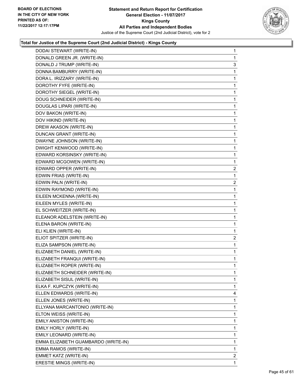

| DODAI STEWART (WRITE-IN)            | 1                       |
|-------------------------------------|-------------------------|
| DONALD GREEN JR. (WRITE-IN)         | 1                       |
| DONALD J TRUMP (WRITE-IN)           | 3                       |
| DONNA BAMBURRY (WRITE-IN)           | 1                       |
| DORA L. IRIZZARY (WRITE-IN)         | 1                       |
| DOROTHY FYFE (WRITE-IN)             | 1                       |
| DOROTHY SIEGEL (WRITE-IN)           | 1                       |
| DOUG SCHNEIDER (WRITE-IN)           | 1                       |
| DOUGLAS LIPARI (WRITE-IN)           | 1                       |
| DOV BAKON (WRITE-IN)                | 1                       |
| DOV HIKIND (WRITE-IN)               | 1                       |
| DREW AKASON (WRITE-IN)              | 1                       |
| DUNCAN GRANT (WRITE-IN)             | 1                       |
| DWAYNE JOHNSON (WRITE-IN)           | 1                       |
| DWIGHT KENWOOD (WRITE-IN)           | 1                       |
| EDWARD KORSINSKY (WRITE-IN)         | $\mathbf{1}$            |
| EDWARD MCGOWEN (WRITE-IN)           | 1                       |
| EDWARD OPPER (WRITE-IN)             | $\mathbf{2}$            |
| EDWIN FRIAS (WRITE-IN)              | 1                       |
| EDWIN PALN (WRITE-IN)               | $\overline{\mathbf{c}}$ |
| EDWIN RAYMOND (WRITE-IN)            | 1                       |
| EILEEN MCKENNA (WRITE-IN)           | 1                       |
| EILEEN MYLES (WRITE-IN)             | 1                       |
| EL SCHWEITZER (WRITE-IN)            | 1                       |
| ELEANOR ADELSTEIN (WRITE-IN)        | 1                       |
| ELENA BARON (WRITE-IN)              | 1                       |
| ELI KLIEN (WRITE-IN)                | 1                       |
| ELIOT SPITZER (WRITE-IN)            | 2                       |
| ELIZA SAMPSON (WRITE-IN)            | 1                       |
| ELIZABETH DANIEL (WRITE-IN)         | 1                       |
| ELIZABETH FRANQUI (WRITE-IN)        | 1                       |
| ELIZABETH ROPER (WRITE-IN)          | 1                       |
| ELIZABETH SCHNEIDER (WRITE-IN)      | 1                       |
| ELIZABETH SISUL (WRITE-IN)          | 1                       |
| ELKA F. KUPCZYK (WRITE-IN)          | 1                       |
| ELLEN EDWARDS (WRITE-IN)            | 4                       |
| ELLEN JONES (WRITE-IN)              | 1                       |
| ELLYANA MARCANTONIO (WRITE-IN)      | 1                       |
| ELTON WEISS (WRITE-IN)              | 1                       |
| EMILY ANISTON (WRITE-IN)            | 1                       |
| EMILY HORLY (WRITE-IN)              | 1                       |
| EMILY LEONARD (WRITE-IN)            | 1                       |
| EMMA ELIZABETH GUAMBARDO (WRITE-IN) | 1                       |
| EMMA RAMOS (WRITE-IN)               | 1                       |
| EMMET KATZ (WRITE-IN)               | 2                       |
| ERESTIE MINGS (WRITE-IN)            | 1.                      |
|                                     |                         |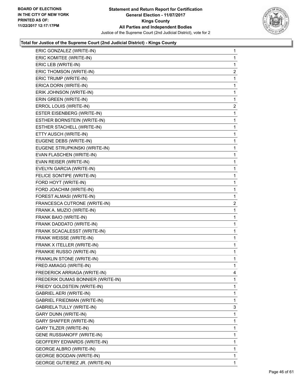

| ERIC GONZALEZ (WRITE-IN)           | 1                       |
|------------------------------------|-------------------------|
| ERIC KOMITEE (WRITE-IN)            | 1                       |
| ERIC LEB (WRITE-IN)                | 1                       |
| ERIC THOMSON (WRITE-IN)            | 2                       |
| ERIC TRUMP (WRITE-IN)              | 1                       |
| ERICA DORN (WRITE-IN)              | 1                       |
| ERIK JOHNSON (WRITE-IN)            | 1                       |
| ERIN GREEN (WRITE-IN)              | 1                       |
| ERROL LOUIS (WRITE-IN)             | $\overline{\mathbf{c}}$ |
| ESTER EISENBERG (WRITE-IN)         | 1                       |
| ESTHER BORNSTEIN (WRITE-IN)        | 1                       |
| ESTHER STACHELL (WRITE-IN)         | 1                       |
| ETTY AUSCH (WRITE-IN)              | 1                       |
| EUGENE DEBS (WRITE-IN)             | 1                       |
| EUGENE STRUPKINSKI (WRITE-IN)      | 1                       |
| EVAN FLASCHEN (WRITE-IN)           | 1                       |
| EVAN REISER (WRITE-IN)             | 1                       |
| EVELYN GARCIA (WRITE-IN)           | 1                       |
| FELICE SONTIPE (WRITE-IN)          | 1                       |
| FORD HOYT (WRITE-IN)               | 1                       |
| FORD JOACHIM (WRITE-IN)            | 1                       |
| FOREST ALMASI (WRITE-IN)           | 1                       |
| FRANCESCA CUTRONE (WRITE-IN)       | 2                       |
| FRANK A. MUZIO (WRITE-IN)          | 1                       |
| FRANK BAIO (WRITE-IN)              | 1                       |
| FRANK DADDATO (WRITE-IN)           | 1                       |
| FRANK SCACALESST (WRITE-IN)        | 1                       |
| FRANK WEISSE (WRITE-IN)            | 1                       |
| FRANK X ITELLER (WRITE-IN)         | 1                       |
| FRANKIE RUSSO (WRITE-IN)           | 1                       |
| FRANKLIN STONE (WRITE-IN)          | 1                       |
| FRED AMIAGG (WRITE-IN)             | 1                       |
| FREDERICK ARRIAGA (WRITE-IN)       | 4                       |
| FREDERIK DUMAS BONNIER (WRITE-IN)  | 1                       |
| FREIDY GOLDSTEIN (WRITE-IN)        | 1                       |
| <b>GABRIEL AERI (WRITE-IN)</b>     | 1                       |
| <b>GABRIEL FRIEDMAN (WRITE-IN)</b> | 1                       |
| GABRIELA TULLY (WRITE-IN)          | 3                       |
| <b>GARY DUNN (WRITE-IN)</b>        | 1                       |
| GARY SHAFFER (WRITE-IN)            | 1                       |
| <b>GARY TILZER (WRITE-IN)</b>      | 1                       |
| <b>GENE RUSSIANOFF (WRITE-IN)</b>  | 1                       |
| GEOFFERY EDWARDS (WRITE-IN)        | 1                       |
| <b>GEORGE ALBRO (WRITE-IN)</b>     | 1                       |
| <b>GEORGE BOGDAN (WRITE-IN)</b>    | 1                       |
| GEORGE GUTIEREZ JR. (WRITE-IN)     | 1                       |
|                                    |                         |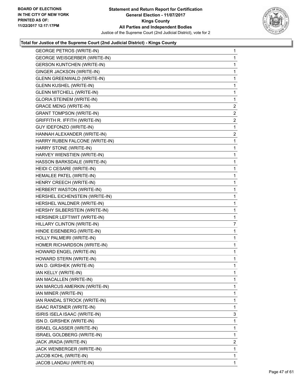

| <b>GEORGE PETROS (WRITE-IN)</b>     | $\mathbf 1$             |
|-------------------------------------|-------------------------|
| <b>GEORGE WEISGERBER (WRITE-IN)</b> | $\mathbf{1}$            |
| <b>GERSON KUNTCHEN (WRITE-IN)</b>   | $\mathbf 1$             |
| GINGER JACKSON (WRITE-IN)           | 1                       |
| GLENN GREENWALD (WRITE-IN)          | $\mathbf{1}$            |
| <b>GLENN KUSHEL (WRITE-IN)</b>      | $\mathbf 1$             |
| <b>GLENN MITCHELL (WRITE-IN)</b>    | 1                       |
| <b>GLORIA STEINEM (WRITE-IN)</b>    | $\mathbf 1$             |
| <b>GRACE MENG (WRITE-IN)</b>        | $\overline{2}$          |
| <b>GRANT TOMPSON (WRITE-IN)</b>     | $\mathbf{2}$            |
| GRIFFITH R. IFFITH (WRITE-IN)       | $\overline{\mathbf{c}}$ |
| GUY IDEFONZO (WRITE-IN)             | $\mathbf 1$             |
| HANNAH ALEXANDER (WRITE-IN)         | $\mathbf{2}$            |
| HARRY RUBEN FALCONE (WRITE-IN)      | $\mathbf 1$             |
| HARRY STONE (WRITE-IN)              | $\mathbf 1$             |
| HARVEY WIENSTIEN (WRITE-IN)         | 1                       |
| HASSON BARKSDALE (WRITE-IN)         | 1                       |
| HEIDI C CESARE (WRITE-IN)           | $\mathbf 1$             |
| HEMALEE PATEL (WRITE-IN)            | 1                       |
| HENRY CREECH (WRITE-IN)             | $\mathbf{1}$            |
| HERBERT WASTON (WRITE-IN)           | $\mathbf 1$             |
| HERSHEL EICHENSTEIN (WRITE-IN)      | 1                       |
| HERSHEL WALDNER (WRITE-IN)          | 1                       |
| HERSHY SILBERSTEIN (WRITE-IN)       | $\mathbf 1$             |
| HERSINER LEFTIWIT (WRITE-IN)        | 1                       |
| HILLARY CLINTON (WRITE-IN)          | 7                       |
| HINDE EISENBERG (WRITE-IN)          | 1                       |
| HOLLY PALMEIRI (WRITE-IN)           | 1                       |
| HOMER RICHARDSON (WRITE-IN)         | 1                       |
| HOWARD ENGEL (WRITE-IN)             | $\mathbf 1$             |
| HOWARD STERN (WRITE-IN)             | 1                       |
| IAN D. GIRSHEK (WRITE-IN)           | $\mathbf{1}$            |
| IAN KELLY (WRITE-IN)                | 1                       |
| IAN MACALLEN (WRITE-IN)             | 1                       |
| IAN MARCUS AMERKIN (WRITE-IN)       | 1                       |
| IAN MINER (WRITE-IN)                | 1                       |
| IAN RANDAL STROCK (WRITE-IN)        | 1                       |
| <b>ISAAC RATSNER (WRITE-IN)</b>     | 1                       |
| ISIRIS ISELA ISAAC (WRITE-IN)       | 3                       |
| ISN D. GIRSHEK (WRITE-IN)           | 1                       |
| <b>ISRAEL GLASSER (WRITE-IN)</b>    | 1                       |
| ISRAEL GOLDBERG (WRITE-IN)          | 1                       |
| JACK JRADA (WRITE-IN)               | 2                       |
| JACK WENBERGER (WRITE-IN)           | 1                       |
| JACOB KOHL (WRITE-IN)               | $\mathbf 1$             |
| JACOB LANDAU (WRITE-IN)             | 1                       |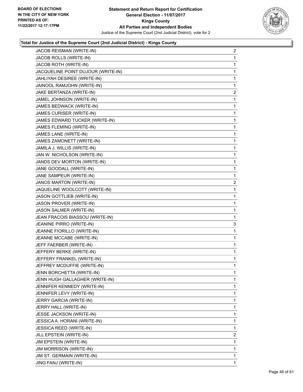

| JACOB REISMAN (WRITE-IN)           | 2                       |
|------------------------------------|-------------------------|
| JACOB ROLLS (WRITE-IN)             | 1                       |
| JACOB ROTH (WRITE-IN)              | 1                       |
| JACQUELINE POINT DUJOUR (WRITE-IN) | $\mathbf{1}$            |
| JAHLIYAH DESIREE (WRITE-IN)        | 1                       |
| JAINOOL RAMJOHN (WRITE-IN)         | 1                       |
| JAKE BERTANZA (WRITE-IN)           | $\overline{c}$          |
| JAMEL JOHNSON (WRITE-IN)           | 1                       |
| JAMES BEDWACK (WRITE-IN)           | 1                       |
| JAMES CURISER (WRITE-IN)           | $\mathbf{1}$            |
| JAMES EDWARD TUCKER (WRITE-IN)     | 1                       |
| JAMES FLEMING (WRITE-IN)           | 1                       |
| JAMES LANE (WRITE-IN)              | 1                       |
| JAMES ZAMONETT (WRITE-IN)          | 1                       |
| JAMILA J. WILLIS (WRITE-IN)        | 1                       |
| JAN W. NICHOLSON (WRITE-IN)        | $\mathbf{1}$            |
| JANDS DEV MORTON (WRITE-IN)        | 1                       |
| JANE GOODALL (WRITE-IN)            | 1                       |
| JANE SAMPEUR (WRITE-IN)            | 1                       |
| JANOS MARTON (WRITE-IN)            | $\overline{\mathbf{c}}$ |
| JAQUELINE WOOLCOTT (WRITE-IN)      | 1                       |
| <b>JASON GOTTLIEB (WRITE-IN)</b>   | 1                       |
| JASON PROVER (WRITE-IN)            | 1                       |
| JASON SALMER (WRITE-IN)            | 1                       |
| JEAN FRACOIS BIASSOU (WRITE-IN)    | 1                       |
| JEANINE PIRRO (WRITE-IN)           | 3                       |
| JEANNE FIORILLO (WRITE-IN)         | 1                       |
| JEANNE MCCABE (WRITE-IN)           | 1                       |
| JEFF FAERBER (WRITE-IN)            | 1                       |
| JEFFERY BERKE (WRITE-IN)           | 1                       |
| JEFFERY FRANKEL (WRITE-IN)         | 1                       |
| JEFFREY MCDUFFIE (WRITE-IN)        | 1                       |
| JENN BORCHETTA (WRITE-IN)          | 1                       |
| JENN HUGH GALLAGHER (WRITE-IN)     | 1                       |
| JENNIFER KENNEDY (WRITE-IN)        | 1                       |
| JENNIFER LEVY (WRITE-IN)           | 1                       |
| JERRY GARCIA (WRITE-IN)            | 1                       |
| JERRY HALL (WRITE-IN)              | 1                       |
| JESSE JACKSON (WRITE-IN)           | 1                       |
| JESSICA A. HORANI (WRITE-IN)       | 1                       |
| JESSICA REED (WRITE-IN)            | 1                       |
| JILL EPSTEIN (WRITE-IN)            | $\overline{2}$          |
| JIM EPSTEIN (WRITE-IN)             | 1                       |
| <b>JIM MORRISON (WRITE-IN)</b>     | 1                       |
| JIM ST. GERMAIN (WRITE-IN)         | 1                       |
| JING FANJ (WRITE-IN)               | 1                       |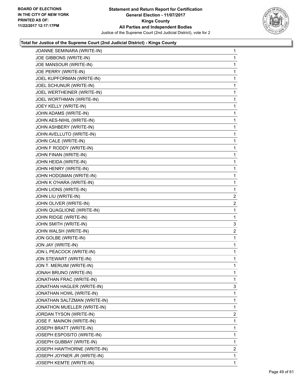

| JOANNE SEMINARA (WRITE-IN)   | 1                       |
|------------------------------|-------------------------|
| JOE GIBBONS (WRITE-IN)       | 1                       |
| JOE MANSOUR (WRITE-IN)       | 1                       |
| JOE PERRY (WRITE-IN)         | 1                       |
| JOEL KUPFORMAN (WRITE-IN)    | 1                       |
| JOEL SCHUNUR (WRITE-IN)      | 1                       |
| JOEL WERTHEINER (WRITE-IN)   | 1                       |
| JOEL WORTHMAN (WRITE-IN)     | 1                       |
| JOEY KELLY (WRITE-IN)        | 1                       |
| JOHN ADAMS (WRITE-IN)        | 1                       |
| JOHN AES-NIHIL (WRITE-IN)    | 1                       |
| JOHN ASHBERY (WRITE-IN)      | 1                       |
| JOHN AVELLUTO (WRITE-IN)     | 1                       |
| JOHN CALE (WRITE-IN)         | 1                       |
| JOHN F RODDY (WRITE-IN)      | 1                       |
| JOHN FINAN (WRITE-IN)        | 1                       |
| JOHN HEIDA (WRITE-IN)        | 1                       |
| JOHN HENRY (WRITE-IN)        | 1                       |
| JOHN HODGMAN (WRITE-IN)      | 1                       |
| JOHN K O'HARA (WRITE-IN)     | 1                       |
| JOHN LIONS (WRITE-IN)        | 1                       |
| JOHN LIU (WRITE-IN)          | $\overline{\mathbf{c}}$ |
| JOHN OLIVER (WRITE-IN)       | 2                       |
| JOHN QUAGLIONE (WRITE-IN)    | 1                       |
| JOHN RIDGE (WRITE-IN)        | 1                       |
| JOHN SMITH (WRITE-IN)        | 3                       |
| JOHN WALSH (WRITE-IN)        | 2                       |
| JON GOLBE (WRITE-IN)         | 1                       |
| JON JAY (WRITE-IN)           | 1                       |
| JON L PEACOCK (WRITE-IN)     | 1                       |
| JON STEWART (WRITE-IN)       | 1                       |
| JON T. MERUIM (WRITE-IN)     | 1                       |
| JONAH BRUNO (WRITE-IN)       | 1                       |
| JONATHAN FRAC (WRITE-IN)     | 1                       |
| JONATHAN HAGLER (WRITE-IN)   | 3                       |
| JONATHAN HOWL (WRITE-IN)     | 1                       |
| JONATHAN SALTZMAN (WRITE-IN) | 1                       |
| JONATHON MUELLER (WRITE-IN)  | 1                       |
| JORDAN TYSON (WRITE-IN)      | 2                       |
| JOSE F. MAINON (WRITE-IN)    | 1                       |
| JOSEPH BRATT (WRITE-IN)      | 1                       |
| JOSEPH ESPOSITO (WRITE-IN)   | 1                       |
| JOSEPH GUBBAY (WRITE-IN)     | 1                       |
| JOSEPH HAWTHORNE (WRITE-IN)  | 2                       |
| JOSEPH JOYNER JR (WRITE-IN)  | 1                       |
| JOSEPH KEMTE (WRITE-IN)      | 1                       |
|                              |                         |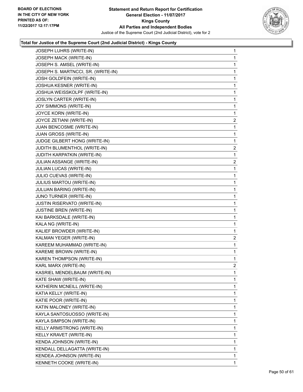

| JOSEPH MACK (WRITE-IN)<br>JOSEPH S. AMSEL (WRITE-IN)<br>JOSEPH S. MARTNCCI, SR. (WRITE-IN)<br>JOSH GOLDFEIN (WRITE-IN)<br>JOSHUA KESNER (WRITE-IN)<br>JOSHUA WEISSKOLPF (WRITE-IN)<br>JOSLYN CARTER (WRITE-IN)<br>JOY SIMMONS (WRITE-IN)<br>JOYCE KORN (WRITE-IN)<br>JOYCE ZETIANI (WRITE-IN)<br>JUAN BENCOSME (WRITE-IN)<br><b>JUAN GROSS (WRITE-IN)</b><br>JUDGE GILBERT HONG (WRITE-IN)<br>JUDITH BLUMENTHOL (WRITE-IN)<br>JUDITH KARPATKIN (WRITE-IN)<br>JULIAN ASSANGE (WRITE-IN)<br><b>JULIAN LUCAS (WRITE-IN)</b><br>JULIO CUEVAS (WRITE-IN)<br>JULIUS MARTOU (WRITE-IN)<br>JULUAN BARING (WRITE-IN)<br>JUNO TURNER (WRITE-IN)<br><b>JUSTIN RISERVATO (WRITE-IN)</b><br><b>JUSTINE BREN (WRITE-IN)</b><br>KAI BARKSDALE (WRITE-IN)<br>KALA NG (WRITE-IN)<br>KALIEF BROWDER (WRITE-IN)<br>KALMAN YEGER (WRITE-IN)<br>KAREEM MUHAMMAD (WRITE-IN)<br>KAREME BROWN (WRITE-IN)<br>KAREN THOMPSON (WRITE-IN)<br>KARL MARX (WRITE-IN)<br>KASRIEL MENDELBAUM (WRITE-IN)<br>KATE SHAW (WRITE-IN)<br>KATHERIN MCNEILL (WRITE-IN)<br>KATIA KELLY (WRITE-IN)<br>KATIE POOR (WRITE-IN)<br>KATIN MALONEY (WRITE-IN)<br>KAYLA SANTOSUOSSO (WRITE-IN)<br>KAYLA SIMPSON (WRITE-IN)<br>KELLY ARMSTRONG (WRITE-IN)<br>KELLY KRAVET (WRITE-IN)<br>KENDA JOHNSON (WRITE-IN)<br>KENDALL DELLAGATTA (WRITE-IN)<br>KENDEA JOHNSON (WRITE-IN) | JOSEPH LUHRS (WRITE-IN)  | $\mathbf{1}$   |
|-----------------------------------------------------------------------------------------------------------------------------------------------------------------------------------------------------------------------------------------------------------------------------------------------------------------------------------------------------------------------------------------------------------------------------------------------------------------------------------------------------------------------------------------------------------------------------------------------------------------------------------------------------------------------------------------------------------------------------------------------------------------------------------------------------------------------------------------------------------------------------------------------------------------------------------------------------------------------------------------------------------------------------------------------------------------------------------------------------------------------------------------------------------------------------------------------------------------------------------------------------------------------------------------------------------------------------|--------------------------|----------------|
|                                                                                                                                                                                                                                                                                                                                                                                                                                                                                                                                                                                                                                                                                                                                                                                                                                                                                                                                                                                                                                                                                                                                                                                                                                                                                                                             |                          | 1              |
|                                                                                                                                                                                                                                                                                                                                                                                                                                                                                                                                                                                                                                                                                                                                                                                                                                                                                                                                                                                                                                                                                                                                                                                                                                                                                                                             |                          | 1              |
|                                                                                                                                                                                                                                                                                                                                                                                                                                                                                                                                                                                                                                                                                                                                                                                                                                                                                                                                                                                                                                                                                                                                                                                                                                                                                                                             |                          | 1              |
|                                                                                                                                                                                                                                                                                                                                                                                                                                                                                                                                                                                                                                                                                                                                                                                                                                                                                                                                                                                                                                                                                                                                                                                                                                                                                                                             |                          | 1              |
|                                                                                                                                                                                                                                                                                                                                                                                                                                                                                                                                                                                                                                                                                                                                                                                                                                                                                                                                                                                                                                                                                                                                                                                                                                                                                                                             |                          | 1              |
|                                                                                                                                                                                                                                                                                                                                                                                                                                                                                                                                                                                                                                                                                                                                                                                                                                                                                                                                                                                                                                                                                                                                                                                                                                                                                                                             |                          | 1              |
|                                                                                                                                                                                                                                                                                                                                                                                                                                                                                                                                                                                                                                                                                                                                                                                                                                                                                                                                                                                                                                                                                                                                                                                                                                                                                                                             |                          | 1              |
|                                                                                                                                                                                                                                                                                                                                                                                                                                                                                                                                                                                                                                                                                                                                                                                                                                                                                                                                                                                                                                                                                                                                                                                                                                                                                                                             |                          | 1              |
|                                                                                                                                                                                                                                                                                                                                                                                                                                                                                                                                                                                                                                                                                                                                                                                                                                                                                                                                                                                                                                                                                                                                                                                                                                                                                                                             |                          | 1              |
|                                                                                                                                                                                                                                                                                                                                                                                                                                                                                                                                                                                                                                                                                                                                                                                                                                                                                                                                                                                                                                                                                                                                                                                                                                                                                                                             |                          | 2              |
|                                                                                                                                                                                                                                                                                                                                                                                                                                                                                                                                                                                                                                                                                                                                                                                                                                                                                                                                                                                                                                                                                                                                                                                                                                                                                                                             |                          | 1              |
|                                                                                                                                                                                                                                                                                                                                                                                                                                                                                                                                                                                                                                                                                                                                                                                                                                                                                                                                                                                                                                                                                                                                                                                                                                                                                                                             |                          | $\mathbf 1$    |
|                                                                                                                                                                                                                                                                                                                                                                                                                                                                                                                                                                                                                                                                                                                                                                                                                                                                                                                                                                                                                                                                                                                                                                                                                                                                                                                             |                          | 1              |
|                                                                                                                                                                                                                                                                                                                                                                                                                                                                                                                                                                                                                                                                                                                                                                                                                                                                                                                                                                                                                                                                                                                                                                                                                                                                                                                             |                          | 2              |
|                                                                                                                                                                                                                                                                                                                                                                                                                                                                                                                                                                                                                                                                                                                                                                                                                                                                                                                                                                                                                                                                                                                                                                                                                                                                                                                             |                          | 1              |
|                                                                                                                                                                                                                                                                                                                                                                                                                                                                                                                                                                                                                                                                                                                                                                                                                                                                                                                                                                                                                                                                                                                                                                                                                                                                                                                             |                          | 2              |
|                                                                                                                                                                                                                                                                                                                                                                                                                                                                                                                                                                                                                                                                                                                                                                                                                                                                                                                                                                                                                                                                                                                                                                                                                                                                                                                             |                          | 1              |
|                                                                                                                                                                                                                                                                                                                                                                                                                                                                                                                                                                                                                                                                                                                                                                                                                                                                                                                                                                                                                                                                                                                                                                                                                                                                                                                             |                          | $\mathbf 1$    |
|                                                                                                                                                                                                                                                                                                                                                                                                                                                                                                                                                                                                                                                                                                                                                                                                                                                                                                                                                                                                                                                                                                                                                                                                                                                                                                                             |                          | 1              |
|                                                                                                                                                                                                                                                                                                                                                                                                                                                                                                                                                                                                                                                                                                                                                                                                                                                                                                                                                                                                                                                                                                                                                                                                                                                                                                                             |                          | 1              |
|                                                                                                                                                                                                                                                                                                                                                                                                                                                                                                                                                                                                                                                                                                                                                                                                                                                                                                                                                                                                                                                                                                                                                                                                                                                                                                                             |                          | 1              |
|                                                                                                                                                                                                                                                                                                                                                                                                                                                                                                                                                                                                                                                                                                                                                                                                                                                                                                                                                                                                                                                                                                                                                                                                                                                                                                                             |                          | 1              |
|                                                                                                                                                                                                                                                                                                                                                                                                                                                                                                                                                                                                                                                                                                                                                                                                                                                                                                                                                                                                                                                                                                                                                                                                                                                                                                                             |                          | 1              |
|                                                                                                                                                                                                                                                                                                                                                                                                                                                                                                                                                                                                                                                                                                                                                                                                                                                                                                                                                                                                                                                                                                                                                                                                                                                                                                                             |                          | 1              |
|                                                                                                                                                                                                                                                                                                                                                                                                                                                                                                                                                                                                                                                                                                                                                                                                                                                                                                                                                                                                                                                                                                                                                                                                                                                                                                                             |                          | 1              |
|                                                                                                                                                                                                                                                                                                                                                                                                                                                                                                                                                                                                                                                                                                                                                                                                                                                                                                                                                                                                                                                                                                                                                                                                                                                                                                                             |                          | 1              |
|                                                                                                                                                                                                                                                                                                                                                                                                                                                                                                                                                                                                                                                                                                                                                                                                                                                                                                                                                                                                                                                                                                                                                                                                                                                                                                                             |                          | 2              |
|                                                                                                                                                                                                                                                                                                                                                                                                                                                                                                                                                                                                                                                                                                                                                                                                                                                                                                                                                                                                                                                                                                                                                                                                                                                                                                                             |                          | 1              |
|                                                                                                                                                                                                                                                                                                                                                                                                                                                                                                                                                                                                                                                                                                                                                                                                                                                                                                                                                                                                                                                                                                                                                                                                                                                                                                                             |                          | 1              |
|                                                                                                                                                                                                                                                                                                                                                                                                                                                                                                                                                                                                                                                                                                                                                                                                                                                                                                                                                                                                                                                                                                                                                                                                                                                                                                                             |                          | 1              |
|                                                                                                                                                                                                                                                                                                                                                                                                                                                                                                                                                                                                                                                                                                                                                                                                                                                                                                                                                                                                                                                                                                                                                                                                                                                                                                                             |                          | $\overline{2}$ |
|                                                                                                                                                                                                                                                                                                                                                                                                                                                                                                                                                                                                                                                                                                                                                                                                                                                                                                                                                                                                                                                                                                                                                                                                                                                                                                                             |                          | 1              |
|                                                                                                                                                                                                                                                                                                                                                                                                                                                                                                                                                                                                                                                                                                                                                                                                                                                                                                                                                                                                                                                                                                                                                                                                                                                                                                                             |                          | 1              |
|                                                                                                                                                                                                                                                                                                                                                                                                                                                                                                                                                                                                                                                                                                                                                                                                                                                                                                                                                                                                                                                                                                                                                                                                                                                                                                                             |                          | 1              |
|                                                                                                                                                                                                                                                                                                                                                                                                                                                                                                                                                                                                                                                                                                                                                                                                                                                                                                                                                                                                                                                                                                                                                                                                                                                                                                                             |                          | 1              |
|                                                                                                                                                                                                                                                                                                                                                                                                                                                                                                                                                                                                                                                                                                                                                                                                                                                                                                                                                                                                                                                                                                                                                                                                                                                                                                                             |                          | 1              |
|                                                                                                                                                                                                                                                                                                                                                                                                                                                                                                                                                                                                                                                                                                                                                                                                                                                                                                                                                                                                                                                                                                                                                                                                                                                                                                                             |                          | 1              |
|                                                                                                                                                                                                                                                                                                                                                                                                                                                                                                                                                                                                                                                                                                                                                                                                                                                                                                                                                                                                                                                                                                                                                                                                                                                                                                                             |                          | 1              |
|                                                                                                                                                                                                                                                                                                                                                                                                                                                                                                                                                                                                                                                                                                                                                                                                                                                                                                                                                                                                                                                                                                                                                                                                                                                                                                                             |                          | 1              |
|                                                                                                                                                                                                                                                                                                                                                                                                                                                                                                                                                                                                                                                                                                                                                                                                                                                                                                                                                                                                                                                                                                                                                                                                                                                                                                                             |                          | 1              |
|                                                                                                                                                                                                                                                                                                                                                                                                                                                                                                                                                                                                                                                                                                                                                                                                                                                                                                                                                                                                                                                                                                                                                                                                                                                                                                                             |                          | 1              |
|                                                                                                                                                                                                                                                                                                                                                                                                                                                                                                                                                                                                                                                                                                                                                                                                                                                                                                                                                                                                                                                                                                                                                                                                                                                                                                                             |                          | 1              |
|                                                                                                                                                                                                                                                                                                                                                                                                                                                                                                                                                                                                                                                                                                                                                                                                                                                                                                                                                                                                                                                                                                                                                                                                                                                                                                                             |                          | 1              |
|                                                                                                                                                                                                                                                                                                                                                                                                                                                                                                                                                                                                                                                                                                                                                                                                                                                                                                                                                                                                                                                                                                                                                                                                                                                                                                                             |                          | $\mathbf 1$    |
|                                                                                                                                                                                                                                                                                                                                                                                                                                                                                                                                                                                                                                                                                                                                                                                                                                                                                                                                                                                                                                                                                                                                                                                                                                                                                                                             | KENNETH COOKE (WRITE-IN) | $\mathbf{1}$   |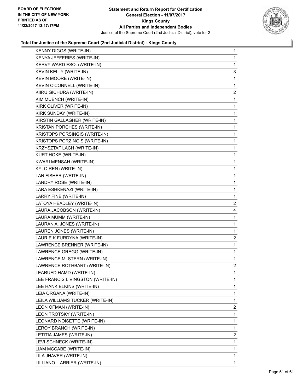

| <b>KENNY DIGGS (WRITE-IN)</b>     | 1                       |
|-----------------------------------|-------------------------|
| KENYA JEFFERIES (WRITE-IN)        | 1                       |
| KERVY WARD ESQ. (WRITE-IN)        | 1                       |
| KEVIN KELLY (WRITE-IN)            | 3                       |
| KEVIN MOORE (WRITE-IN)            | 1                       |
| KEVIN O'CONNELL (WRITE-IN)        | 1                       |
| KIIRU GICHURA (WRITE-IN)          | $\overline{\mathbf{c}}$ |
| KIM MUENCH (WRITE-IN)             | 1                       |
| KIRK OLIVER (WRITE-IN)            | 1                       |
| KIRK SUNDAY (WRITE-IN)            | 1                       |
| KIRSTIN GALLAGHER (WRITE-IN)      | 1                       |
| KRISTAN PORCHES (WRITE-IN)        | 1                       |
| KRISTOPS PORSINGIS (WRITE-IN)     | 1                       |
| KRISTOPS PORZINGIS (WRITE-IN)     | 1                       |
| KRZYSZTAF LACH (WRITE-IN)         | 1                       |
| KURT HOKE (WRITE-IN)              | 1                       |
| KWARI MENSAH (WRITE-IN)           | 1                       |
| KYLO REN (WRITE-IN)               | 1                       |
| LAN FISHER (WRITE-IN)             | 1                       |
| LANDRY ROSE (WRITE-IN)            | 1                       |
| LARA ESHKENAZI (WRITE-IN)         | 1                       |
| LARRY FINE (WRITE-IN)             | 1                       |
| LATOYA HEADLEY (WRITE-IN)         | 2                       |
| LAURA JACOBSON (WRITE-IN)         | 4                       |
| LAURA MUMM (WRITE-IN)             | 1                       |
| LAURAN A. JONES (WRITE-IN)        | 1                       |
| LAUREN JONES (WRITE-IN)           | 1                       |
| LAURIE K FURDYNA (WRITE-IN)       | 2                       |
| LAWRENCE BRENNER (WRITE-IN)       | $\mathbf{1}$            |
| LAWRENCE GREGG (WRITE-IN)         | 1                       |
| LAWRENCE M. STERN (WRITE-IN)      | 1                       |
| LAWRENCE ROTHBART (WRITE-IN)      | $\overline{2}$          |
| LEARUED HAMD (WRITE-IN)           | 1                       |
| LEE FRANCIS LIVINGSTON (WRITE-IN) | 1                       |
| LEE HANK ELKINS (WRITE-IN)        | 1                       |
| LEIA ORGANA (WRITE-IN)            | 1                       |
| LEILA WILLIAMS TUCKER (WRITE-IN)  | 1                       |
| LEON OFMAN (WRITE-IN)             | 2                       |
| LEON TROTSKY (WRITE-IN)           | 1                       |
| LEONARD NOISETTE (WRITE-IN)       | 1                       |
| LEROY BRANCH (WRITE-IN)           | 1                       |
| LETITIA JAMES (WRITE-IN)          | 2                       |
| LEVI SCHNECK (WRITE-IN)           | 1                       |
| LIAM MCCABE (WRITE-IN)            | 1                       |
| LILA JHAVER (WRITE-IN)            | 1                       |
| LILLIANO. LARRIER (WRITE-IN)      | 1                       |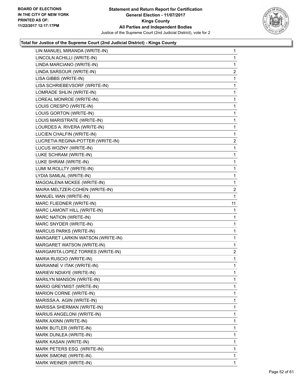

| LIN MANUEL MIRANDA (WRITE-IN)     | $\mathbf{1}$   |
|-----------------------------------|----------------|
| LINCOLN ACHILLI (WRITE-IN)        | 1              |
| LINDA MARCIANO (WRITE-IN)         | 1              |
| LINDA SARSOUR (WRITE-IN)          | 2              |
| LISA GIBBS (WRITE-IN)             | 1              |
| LISA SCHRIEBEVSORF (WRITE-IN)     | 1              |
| LOMRADE SHLIN (WRITE-IN)          | 1              |
| LOREAL MONROE (WRITE-IN)          | 1              |
| LOUIS CRESPO (WRITE-IN)           | 1              |
| LOUIS GORTON (WRITE-IN)           | 1              |
| LOUIS MARISTRATE (WRITE-IN)       | 1              |
| LOURDES A. RIVERA (WRITE-IN)      | 1              |
| LUCIEN CHALFIN (WRITE-IN)         | 1              |
| LUCRETIA REGINA-POTTER (WRITE-IN) | $\overline{2}$ |
| LUCUS WOZNY (WRITE-IN)            | 1              |
| LUKE SCHRAM (WRITE-IN)            | 1              |
| LUKE SHRAM (WRITE-IN)             | 1              |
| LUMI M.ROLLTY (WRITE-IN)          | 1              |
| LYDIA SAMLAL (WRITE-IN)           | 1              |
| MAGOALENA MCKEE (WRITE-IN)        | 1              |
| MAIRA MELTZER-COHEN (WRITE-IN)    | 2              |
| MANUEL WAN (WRITE-IN)             | 1              |
| MARC FLIEDNER (WRITE-IN)          | 11             |
| MARC LAMONT HILL (WRITE-IN)       | 1              |
| MARC NATION (WRITE-IN)            | 1              |
| MARC SNYDER (WRITE-IN)            | 1              |
| MARCUS PARKS (WRITE-IN)           | 1              |
| MARGARET LARKIN WATSON (WRITE-IN) | 1              |
| MARGARET WATSON (WRITE-IN)        | 1              |
| MARGARITA LOPEZ TORRES (WRITE-IN) | $\overline{c}$ |
| MARIA RUSCIO (WRITE-IN)           | 1              |
| MARIANNE V ITAK (WRITE-IN)        | 1              |
| MARIEW NDIAYE (WRITE-IN)          | 1              |
| MARILYN MANSON (WRITE-IN)         | 1              |
| MARIO GREYMIST (WRITE-IN)         | 1              |
| MARION CORNE (WRITE-IN)           | 1              |
| MARISSA A. AGIN (WRITE-IN)        | 1              |
| MARISSA SHERMAN (WRITE-IN)        | 1              |
| MARIUS ANGELONI (WRITE-IN)        | 1              |
| MARK AXINN (WRITE-IN)             | 1              |
| MARK BUTLER (WRITE-IN)            | 1              |
| MARK DUNLEA (WRITE-IN)            | 1              |
| MARK KASAN (WRITE-IN)             | 1              |
| MARK PETERS ESQ. (WRITE-IN)       | 1              |
| MARK SIMONE (WRITE-IN)            | 1              |
| MARK WEINER (WRITE-IN)            | 1              |
|                                   |                |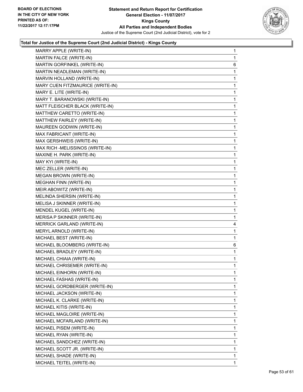

| MARRY APPLE (WRITE-IN)           | $\mathbf 1$  |
|----------------------------------|--------------|
| MARTIN FALCE (WRITE-IN)          | $\mathbf{1}$ |
| MARTIN GORFINKEL (WRITE-IN)      | 6            |
| MARTIN NEADLEMAN (WRITE-IN)      | 1            |
| MARVIN HOLLAND (WRITE-IN)        | 1            |
| MARY CUEN FITZMAURICE (WRITE-IN) | 1            |
| MARY E. LITE (WRITE-IN)          | 1            |
| MARY T. BARANOWSKI (WRITE-IN)    | 1            |
| MATT FLEISCHER BLACK (WRITE-IN)  | 1            |
| MATTHEW CARETTO (WRITE-IN)       | 1            |
| MATTHEW FAIRLEY (WRITE-IN)       | 1            |
| MAUREEN GODWIN (WRITE-IN)        | $\mathbf 1$  |
| MAX FABRICANT (WRITE-IN)         | 1            |
| MAX GERSHWEIS (WRITE-IN)         | $\mathbf{1}$ |
| MAX RICH - MELISSINOS (WRITE-IN) | 1            |
| MAXINE H. PARK (WRITE-IN)        | 1            |
| MAY KYI (WRITE-IN)               | 1            |
| MEC ZELLER (WRITE-IN)            | $\mathbf 1$  |
| <b>MEGAN BROWN (WRITE-IN)</b>    | 1            |
| MEGHAN FINN (WRITE-IN)           | $\mathbf{1}$ |
| MEIR ABOWITZ (WRITE-IN)          | 1            |
| MELINDA SHERSIN (WRITE-IN)       | 1            |
| MELISA J SKINNER (WRITE-IN)      | 1            |
| MENDEL KUGEL (WRITE-IN)          | $\mathbf 1$  |
| MERISA P SKINNER (WRITE-IN)      | 1            |
| MERRICK GARLAND (WRITE-IN)       | 4            |
| MERYL ARNOLD (WRITE-IN)          | 1            |
| MICHAEL BEST (WRITE-IN)          | 1            |
| MICHAEL BLOOMBERG (WRITE-IN)     | 6            |
| MICHAEL BRADLEY (WRITE-IN)       | $\mathbf 1$  |
| MICHAEL CHIAIA (WRITE-IN)        | 1            |
| MICHAEL CHRISEMER (WRITE-IN)     | 1            |
| MICHAEL EINHORN (WRITE-IN)       | 1            |
| MICHAEL FASHAS (WRITE-IN)        | 1            |
| MICHAEL GORDBERGER (WRITE-IN)    | 1            |
| MICHAEL JACKSON (WRITE-IN)       | 1            |
| MICHAEL K. CLARKE (WRITE-IN)     | 1            |
| MICHAEL KITIS (WRITE-IN)         | 1            |
| MICHAEL MAGLOIRE (WRITE-IN)      | 1            |
| MICHAEL MCFARLAND (WRITE-IN)     | 1            |
| MICHAEL PISEM (WRITE-IN)         | 1            |
| MICHAEL RYAN (WRITE-IN)          | 1            |
| MICHAEL SANDCHEZ (WRITE-IN)      | 1            |
| MICHAEL SCOTT JR. (WRITE-IN)     | 1            |
| MICHAEL SHADE (WRITE-IN)         | $\mathbf 1$  |
| MICHAEL TEITEL (WRITE-IN)        | 1            |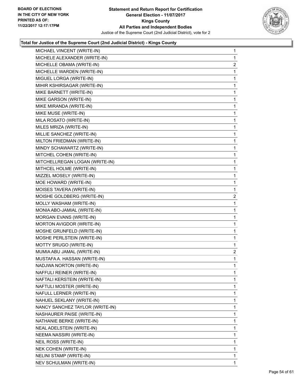

| MICHAEL VINCENT (WRITE-IN)      | $\mathbf{1}$   |
|---------------------------------|----------------|
| MICHELE ALEXANDER (WRITE-IN)    | $\mathbf{1}$   |
| MICHELLE OBAMA (WRITE-IN)       | $\overline{2}$ |
| MICHELLE WARDEN (WRITE-IN)      | 1              |
| MIGUEL LORGA (WRITE-IN)         | 1              |
| MIHIR KSHIRSAGAR (WRITE-IN)     | 1              |
| MIKE BARNETT (WRITE-IN)         | 1              |
| MIKE GARSON (WRITE-IN)          | 1              |
| MIKE MIRANDA (WRITE-IN)         | 1              |
| MIKE MUSE (WRITE-IN)            | 1              |
| MILA ROSATO (WRITE-IN)          | 1              |
| MILES MRIZA (WRITE-IN)          | 1              |
| MILLIE SANCHEZ (WRITE-IN)       | 1              |
| MILTON FRIEDMAN (WRITE-IN)      | 1              |
| MINDY SCHAWARTZ (WRITE-IN)      | 1              |
| MITCHEL COHEN (WRITE-IN)        | 1              |
| MITCHELLREGAN LOGAN (WRITE-IN)  | 1              |
| MITHCEL HOLME (WRITE-IN)        | 1              |
| MIZZEL MOSELY (WRITE-IN)        | 1              |
| MOE HOWARD (WRITE-IN)           | 1              |
| MOISES TAVERA (WRITE-IN)        | 1              |
| MOISHE GOLDBERG (WRITE-IN)      | 2              |
| MOLLY WASHAM (WRITE-IN)         | 1              |
| MONIA ABO-JAMIAL (WRITE-IN)     | 1              |
| MORGAN EVANS (WRITE-IN)         | 1              |
| MORTON AVIGDOR (WRITE-IN)       | 1              |
| MOSHE GRUNFELD (WRITE-IN)       | 1              |
| MOSHE PERLSTEIN (WRITE-IN)      | 1              |
| MOTTY SRUGO (WRITE-IN)          | 1              |
| MUMIA ABU JAMAL (WRITE-IN)      | 2              |
| MUSTAFA A. HASSAN (WRITE-IN)    | 1              |
| NADJWA NORTON (WRITE-IN)        | 1              |
| NAFFULI REINER (WRITE-IN)       | 1              |
| NAFTALI KERSTEIN (WRITE-IN)     | 1              |
| NAFTULI MOSTER (WRITE-IN)       | 1              |
| NAFULL LERNER (WRITE-IN)        | 1              |
| NAHUEL SEKLANY (WRITE-IN)       | 1              |
| NANCY SANCHEZ TAYLOR (WRITE-IN) | 1              |
| NASHAURER PAISE (WRITE-IN)      | 1              |
| NATHANIE BERKE (WRITE-IN)       | 1              |
| NEAL ADELSTEIN (WRITE-IN)       | 1              |
| NEEMA NASSIRI (WRITE-IN)        | 1              |
| NEIL ROSS (WRITE-IN)            | 1              |
| NEK COHEN (WRITE-IN)            | 1              |
| NELINI STAMP (WRITE-IN)         | 1              |
| NEV SCHULMAN (WRITE-IN)         | 1              |
|                                 |                |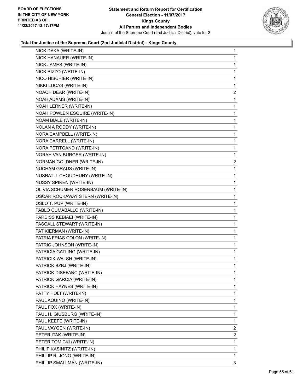

| NICK DAKA (WRITE-IN)                | 1              |
|-------------------------------------|----------------|
| NICK HANAUER (WRITE-IN)             | 1              |
| NICK JAMES (WRITE-IN)               | 1              |
| NICK RIZZO (WRITE-IN)               | 1              |
| NICO HISCHIER (WRITE-IN)            | 1              |
| NIKKI LUCAS (WRITE-IN)              | 1              |
| NOACH DEAR (WRITE-IN)               | 2              |
| NOAH ADAMS (WRITE-IN)               | 1              |
| NOAH LERNER (WRITE-IN)              | 1              |
| NOAH POWLEN ESQUIRE (WRITE-IN)      | 1              |
| <b>NOAM BIALE (WRITE-IN)</b>        | 1              |
| NOLAN A RODDY (WRITE-IN)            | 1              |
| NORA CAMPBELL (WRITE-IN)            | 1              |
| NORA CARRELL (WRITE-IN)             | 1              |
| NORA PETITGAND (WRITE-IN)           | 1              |
| NORAH VAN BURGER (WRITE-IN)         | 1              |
| NORMAN GOLDNER (WRITE-IN)           | 2              |
| NUCHAM GRAUS (WRITE-IN)             | 1              |
| NUSRAT J. CHOUDHURY (WRITE-IN)      | 1              |
| <b>NUSSY SPIREN (WRITE-IN)</b>      | 1              |
| OLIVIA SCHUMER ROSENBAUM (WRITE-IN) | 1              |
| OSCAR ROCKAWAY STERN (WRITE-IN)     | 1              |
| OSLO T. PUP (WRITE-IN)              | 1              |
| PABLO CUMABALLO (WRITE-IN)          | 1              |
| PARDISS KEBIAEI (WRITE-IN)          | 1              |
| PASCALL STEWART (WRITE-IN)          | 1              |
| PAT KIERMAN (WRITE-IN)              | 1              |
| PATRIA FRIAS COLON (WRITE-IN)       | 1              |
| PATRIC JOHNSON (WRITE-IN)           | 1              |
| PATRICIA GATLING (WRITE-IN)         | 1              |
| PATRICIK WALSH (WRITE-IN)           | 1              |
| PATRICK BZBJ (WRITE-IN)             | 1              |
| PATRICK DISEFANC (WRITE-IN)         | 1              |
| PATRICK GARCIA (WRITE-IN)           | 1              |
| PATRICK HAYNES (WRITE-IN)           | 1              |
| PATTY HOLT (WRITE-IN)               | 1              |
| PAUL AQUINO (WRITE-IN)              | 1              |
| PAUL FOX (WRITE-IN)                 | 1              |
| PAUL H. GIUSBURG (WRITE-IN)         | 1              |
| PAUL KEEFE (WRITE-IN)               | 1              |
| PAUL VAYGEN (WRITE-IN)              | $\mathbf{2}$   |
| PETER ITAK (WRITE-IN)               | $\overline{2}$ |
| PETER TOMICKI (WRITE-IN)            | 1              |
| PHILIP KASINITZ (WRITE-IN)          | 1              |
| PHILLIP R. JONO (WRITE-IN)          | 1              |
| PHILLIP SMALLMAN (WRITE-IN)         | 3              |
|                                     |                |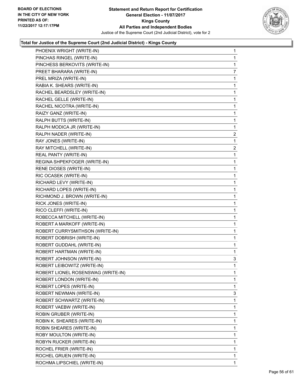

| PHOENIX WRIGHT (WRITE-IN)          | 1              |
|------------------------------------|----------------|
| PINCHAS RINGEL (WRITE-IN)          | $\mathbf 1$    |
| PINCHESS BERKOVITS (WRITE-IN)      | 1              |
| PREET BHARARA (WRITE-IN)           | 7              |
| PREL MRIZA (WRITE-IN)              | 1              |
| RABIA K. SHEARS (WRITE-IN)         | 1              |
| RACHEL BEARDSLEY (WRITE-IN)        | 1              |
| RACHEL GELLE (WRITE-IN)            | 1              |
| RACHEL NICOTRA (WRITE-IN)          | 1              |
| RAIZY GANZ (WRITE-IN)              | 1              |
| RALPH BUTTS (WRITE-IN)             | 1              |
| RALPH MODICA JR (WRITE-IN)         | 1              |
| RALPH NADER (WRITE-IN)             | 2              |
| RAY JONES (WRITE-IN)               | 1              |
| RAY MITCHELL (WRITE-IN)            | $\overline{2}$ |
| REAL PANTY (WRITE-IN)              | 1              |
| REGINA SHPEKFOGER (WRITE-IN)       | 1              |
| RENE DIOSES (WRITE-IN)             | 1              |
| RIC OCASEK (WRITE-IN)              | 1              |
| RICHARD LEVY (WRITE-IN)            | 1              |
| RICHARD LOPES (WRITE-IN)           | 1              |
| RICHMOND J. BROWN (WRITE-IN)       | 1              |
| RICK JONES (WRITE-IN)              | 1              |
| RICO CLEFFI (WRITE-IN)             | 1              |
| ROBECCA MITCHELL (WRITE-IN)        | 1              |
| ROBERT A MARKOFF (WRITE-IN)        | 1              |
| ROBERT CURRYSMITHSON (WRITE-IN)    | 1              |
| ROBERT DOBRISH (WRITE-IN)          | 1              |
| ROBERT GUDDAHL (WRITE-IN)          | 1              |
| ROBERT HARTMAN (WRITE-IN)          | 1              |
| ROBERT JOHNSON (WRITE-IN)          | 3              |
| ROBERT LEIBOWITZ (WRITE-IN)        | 1              |
| ROBERT LIONEL ROSENSWAG (WRITE-IN) | 1              |
| ROBERT LONDON (WRITE-IN)           | 1              |
| ROBERT LOPES (WRITE-IN)            | $\mathbf 1$    |
| ROBERT NEWMAN (WRITE-IN)           | 3              |
| ROBERT SCHWARTZ (WRITE-IN)         | 1              |
| ROBERT VAEBW (WRITE-IN)            | 1              |
| ROBIN GRUBER (WRITE-IN)            | 1              |
| ROBIN K. SHEARES (WRITE-IN)        | 1              |
| ROBIN SHEARES (WRITE-IN)           | 1              |
| ROBY MOULTON (WRITE-IN)            | 1              |
| ROBYN RUCKER (WRITE-IN)            | 1              |
| ROCHEL FRIER (WRITE-IN)            | 1              |
| ROCHEL GRUEN (WRITE-IN)            | $\mathbf 1$    |
| ROCHMA LIPSCHIEL (WRITE-IN)        | 1              |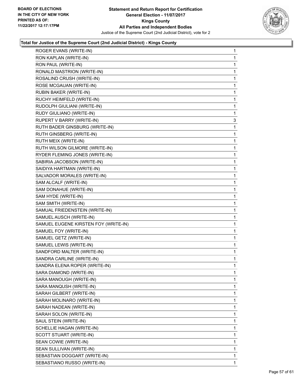

| ROGER EVANS (WRITE-IN)                                      | $\mathbf{1}$ |
|-------------------------------------------------------------|--------------|
| RON KAPLAN (WRITE-IN)                                       | 1            |
| RON PAUL (WRITE-IN)                                         | 1            |
| RONALD MASTRION (WRITE-IN)                                  | 1            |
| ROSALIND CRUSH (WRITE-IN)                                   | 1            |
| ROSE MCGAUAN (WRITE-IN)                                     | 1            |
| RUBIN BAKER (WRITE-IN)                                      | 1            |
| RUCHY HEIMFELD (WRITE-IN)                                   | 1            |
| RUDOLPH GIULIANI (WRITE-IN)                                 | 1            |
| RUDY GIULIANO (WRITE-IN)                                    | 1            |
| RUPERT V BARRY (WRITE-IN)                                   | 3            |
| RUTH BADER GINSBURG (WRITE-IN)                              | 1            |
| RUTH GINSBERG (WRITE-IN)                                    | 1            |
| RUTH MEIX (WRITE-IN)                                        | 1            |
| RUTH WILSON GILMORE (WRITE-IN)                              | 1            |
| RYDER FLEMING JONES (WRITE-IN)                              | 1            |
| SABIRIA JACOBSON (WRITE-IN)                                 | 1            |
| SAIDIYA HARTMAN (WRITE-IN)                                  | 1            |
| SALVADOR MORALES (WRITE-IN)                                 | 1            |
| SAM ALCALF (WRITE-IN)                                       | 1            |
| SAM DONAHUE (WRITE-IN)                                      | 1            |
| SAM HYDE (WRITE-IN)                                         | 1            |
| SAM SMITH (WRITE-IN)                                        | 1            |
| SAMUAL FRIEDENSTEIN (WRITE-IN)                              | 1            |
| SAMUEL AUSCH (WRITE-IN)                                     | 1            |
| SAMUEL EUGENE KIRSTEN FOY (WRITE-IN)                        | 1            |
| SAMUEL FOY (WRITE-IN)                                       | 1            |
| SAMUEL GETZ (WRITE-IN)                                      | 1            |
| SAMUEL LEWIS (WRITE-IN)                                     | 1            |
| SANDFORD MALTER (WRITE-IN)                                  | 1            |
| SANDRA CARLINE (WRITE-IN)                                   | 1            |
| SANDRA ELENA ROPER (WRITE-IN)                               | 1            |
| SARA DIAMOND (WRITE-IN)                                     | 1            |
| SARA MANOUGH (WRITE-IN)                                     | 1            |
| SARA MANQUSH (WRITE-IN)                                     | 1            |
| SARAH GILBERT (WRITE-IN)                                    | 1            |
| SARAH MOLINARO (WRITE-IN)                                   | 1            |
| SARAH NADEAN (WRITE-IN)                                     | 1            |
| SARAH SOLON (WRITE-IN)                                      | 1            |
| SAUL STEIN (WRITE-IN)                                       | 1            |
| SCHELLIE HAGAN (WRITE-IN)                                   | 1            |
| SCOTT STUART (WRITE-IN)                                     | 1            |
| SEAN COWIE (WRITE-IN)                                       |              |
|                                                             |              |
|                                                             | 1            |
| SEAN SULLIVAN (WRITE-IN)                                    | 1            |
| SEBASTIAN DOGGART (WRITE-IN)<br>SEBASTIANO RUSSO (WRITE-IN) | 1<br>1.      |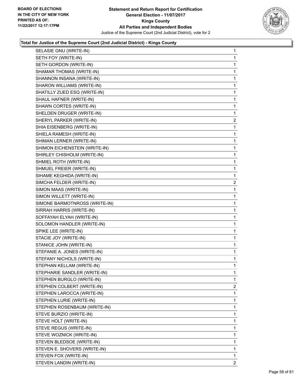

| SELASIE GNU (WRITE-IN)        | 1            |
|-------------------------------|--------------|
| SETH FOY (WRITE-IN)           | 1            |
| SETH GORDON (WRITE-IN)        | 1            |
| SHAMAR THOMAS (WRITE-IN)      | 1            |
| SHANNON INSANA (WRITE-IN)     | 1            |
| SHARON WILLIAMS (WRITE-IN)    | 1            |
| SHATILLY ZUED ESQ (WRITE-IN)  | 1            |
| SHAUL HAFNER (WRITE-IN)       | 1            |
| SHAWN CORTES (WRITE-IN)       | 1            |
| SHELDEN DRUGER (WRITE-IN)     | 1            |
| SHERYL PARKER (WRITE-IN)      | 2            |
| SHIA EISENBERG (WRITE-IN)     | 1            |
| SHIELA RAMESH (WRITE-IN)      | 1            |
| SHIMAN LERNER (WRITE-IN)      | 1            |
| SHIMON EICHENSTEIN (WRITE-IN) | 1            |
| SHIRLEY CHISHOLM (WRITE-IN)   | 1            |
| SHMIEL ROTH (WRITE-IN)        | 1            |
| SHMUEL FREIER (WRITE-IN)      | 1            |
| SIHAME KEGHIDA (WRITE-IN)     | 1            |
| SIMCHA FELDER (WRITE-IN)      | 2            |
| SIMON MAAS (WRITE-IN)         | 1            |
| SIMON WILLETT (WRITE-IN)      | 1            |
| SIMONE BARMOTNROSS (WRITE-IN) | 1            |
| SIRRAH HARRIS (WRITE-IN)      | 1            |
| SOFFAYAH ELYAH (WRITE-IN)     | 1            |
| SOLOMON HANDLER (WRITE-IN)    | 1            |
| SPIKE LEE (WRITE-IN)          | 1            |
| STACIE JOY (WRITE-IN)         | 1            |
| STANICE JOHN (WRITE-IN)       | 1            |
| STEFANIE A. JONES (WRITE-IN)  | 1            |
| STEFANY NICHOLS (WRITE-IN)    | 1            |
| STEPHAN KELLAM (WRITE-IN)     | 1            |
| STEPHARIE SANDLER (WRITE-IN)  | 1            |
| STEPHEN BURGLO (WRITE-IN)     | $\mathbf{1}$ |
| STEPHEN COLBERT (WRITE-IN)    | 2            |
| STEPHEN LAROCCA (WRITE-IN)    | 1            |
| STEPHEN LURIE (WRITE-IN)      | 1            |
| STEPHEN ROSENBAUM (WRITE-IN)  | 1            |
| STEVE BURZIO (WRITE-IN)       | 1            |
| STEVE HOLT (WRITE-IN)         | 1            |
| STEVE REGUS (WRITE-IN)        | 1            |
| STEVE WOZNICK (WRITE-IN)      | 1            |
| STEVEN BLEDSOE (WRITE-IN)     | 1            |
| STEVEN E. SHOVERS (WRITE-IN)  | 1            |
| STEVEN FOX (WRITE-IN)         | 1            |
| STEVEN LANDIN (WRITE-IN)      | $\mathbf{2}$ |
|                               |              |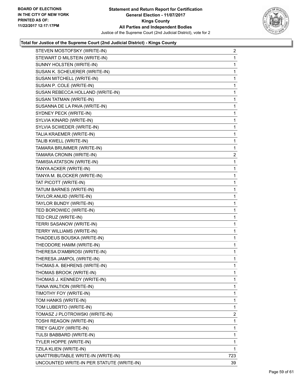

| STEVEN MOSTOFSKY (WRITE-IN)               | $\overline{2}$ |
|-------------------------------------------|----------------|
| STEWART D MILSTEIN (WRITE-IN)             | 1              |
| SUNNY HOLSTEN (WRITE-IN)                  | 1              |
| SUSAN K. SCHEUERER (WRITE-IN)             | 1              |
| SUSAN MITCHELL (WRITE-IN)                 | 1              |
| SUSAN P. COLE (WRITE-IN)                  | 1              |
| SUSAN REBECCA HOLLAND (WRITE-IN)          | 1              |
| SUSAN TATMAN (WRITE-IN)                   | 1              |
| SUSANNA DE LA PAVA (WRITE-IN)             | 1              |
| SYDNEY PECK (WRITE-IN)                    | 1              |
| SYLVIA KINARD (WRITE-IN)                  | 1              |
| SYLVIA SCWEDER (WRITE-IN)                 | 1              |
| TALIA KRAEMER (WRITE-IN)                  | 1              |
| TALIB KWELL (WRITE-IN)                    | 1              |
| TAMARA BRUMMER (WRITE-IN)                 | 1              |
| TAMARA CRONIN (WRITE-IN)                  | $\overline{2}$ |
| TAMISIA ATATSON (WRITE-IN)                | 1              |
| TANYA ACKER (WRITE-IN)                    | 1              |
| TANYA M. BLOCKER (WRITE-IN)               | 1              |
| TAT PICOTT (WRITE-IN)                     | 1              |
| TATUM BARNES (WRITE-IN)                   | 1              |
| TAYLOR ANUID (WRITE-IN)                   | 1              |
| TAYLOR BUNDY (WRITE-IN)                   | 1              |
| TED BOROWIEC (WRITE-IN)                   | 1              |
| TED CRUZ (WRITE-IN)                       | 1              |
| TERRI SASANOW (WRITE-IN)                  | 1              |
| TERRY WILLIAMS (WRITE-IN)                 | 1              |
| THADDEUS BOUSKA (WRITE-IN)                | 1              |
| THEODORE HAMM (WRITE-IN)                  | 1              |
| THERESA D'AMBROSI (WRITE-IN)              | 1              |
| THERESA JAMPOL (WRITE-IN)                 | 1              |
| THOMAS A. BEHRENS (WRITE-IN)              | 1              |
| THOMAS BROOK (WRITE-IN)                   | 1              |
| THOMAS J. KENNEDY (WRITE-IN)              | 1              |
| TIANA WALTION (WRITE-IN)                  | 1              |
| TIMOTHY FOY (WRITE-IN)                    | 1              |
| TOM HANKS (WRITE-IN)                      | 1              |
| TOM LUBERTO (WRITE-IN)                    | 1              |
| TOMASZ J PLOTROWSKI (WRITE-IN)            | 2              |
| TOSHI REAGON (WRITE-IN)                   | 1              |
| TREY GAUDY (WRITE-IN)                     | 1              |
| TULSI BABBARD (WRITE-IN)                  | 1              |
| TYLER HOPPE (WRITE-IN)                    | 1              |
| TZILA KLIEN (WRITE-IN)                    | 1              |
| UNATTRIBUTABLE WRITE-IN (WRITE-IN)        | 723            |
| UNCOUNTED WRITE-IN PER STATUTE (WRITE-IN) | 39             |
|                                           |                |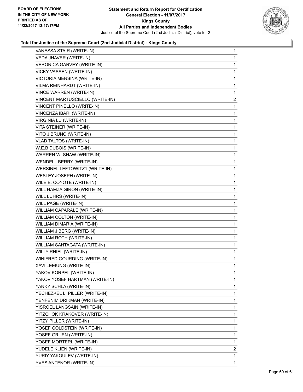

| VANESSA STAIR (WRITE-IN)        | 1            |
|---------------------------------|--------------|
| VEDA JHAVER (WRITE-IN)          | 1            |
| VERONICA GARVEY (WRITE-IN)      | 1            |
| VICKY VASSEN (WRITE-IN)         | 1            |
| VICTORIA MENSINA (WRITE-IN)     | 1            |
| VILMA REINHARDT (WRITE-IN)      | 1            |
| <b>VINCE WARREN (WRITE-IN)</b>  | 1            |
| VINCENT MARTUSCIELLO (WRITE-IN) | 2            |
| VINCENT PINELLO (WRITE-IN)      | 1            |
| VINCENZA IBARI (WRITE-IN)       | 1            |
| VIRGINIA LU (WRITE-IN)          | 1            |
| VITA STEINER (WRITE-IN)         | 1            |
| VITO J BRUNO (WRITE-IN)         | 1            |
| <b>VLAD TALTOS (WRITE-IN)</b>   | 1            |
| W.E.B DUBOIS (WRITE-IN)         | 1            |
| WARREN W. SHAW (WRITE-IN)       | $\mathbf{1}$ |
| WENDELL BERRY (WRITE-IN)        | 1            |
| WERSINEL LEFTOWITZ1 (WRITE-IN)  | 1            |
| WESLEY JOSEPH (WRITE-IN)        | 1            |
| WILE E. COYOTE (WRITE-IN)       | 1            |
| WILL HAMZA GIRON (WRITE-IN)     | 1            |
| WILL LUHRS (WRITE-IN)           | $\mathbf{1}$ |
| WILL PAGE (WRITE-IN)            | 1            |
| WILLIAM CAPARALE (WRITE-IN)     | 1            |
| WILLIAM COLTON (WRITE-IN)       | 1            |
| WILLIAM DIMARIA (WRITE-IN)      | 1            |
| WILLIAM J BERG (WRITE-IN)       | 1            |
| WILLIAM ROTH (WRITE-IN)         | $\mathbf{1}$ |
| WILLIAM SANTAGATA (WRITE-IN)    | 1            |
| WILLY RHIEL (WRITE-IN)          | 1            |
| WINIFRED GOURDING (WRITE-IN)    | 1            |
| XAVI LEEIUNG (WRITE-IN)         | 1            |
| YAKOV KORPEL (WRITE-IN)         | 1            |
| YAKOV YOSEF HARTMAN (WRITE-IN)  | 1            |
| YANKY SCHLA (WRITE-IN)          | 1            |
| YECHEZKEL L. PILLER (WRITE-IN)  | 1            |
| YENFENIM DRIKMAN (WRITE-IN)     | 1            |
| YISROEL LANGSAIN (WRITE-IN)     | 1            |
| YITZCHOK KRAKOVER (WRITE-IN)    | 1            |
| YITZY PILLER (WRITE-IN)         | 1            |
| YOSEF GOLDSTEIN (WRITE-IN)      | 1            |
| YOSEF GRUEN (WRITE-IN)          | 1            |
| YOSEF MORTERL (WRITE-IN)        | 1            |
| YUDELE KLIEN (WRITE-IN)         | 2            |
| YURIY YAKOULEV (WRITE-IN)       | 1            |
| YVES ANTENOR (WRITE-IN)         | 1            |